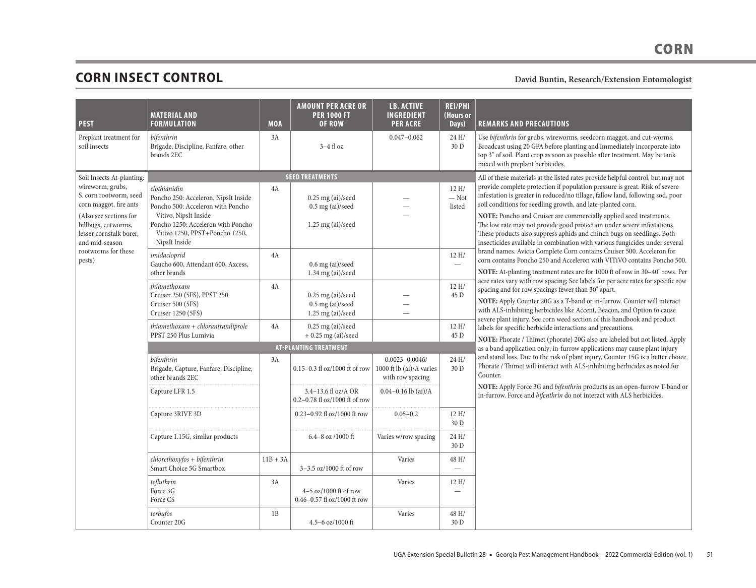# **CORN INSECT CONTROL** David Buntin, Research/Extension Entomologist
David Buntin, Research/Extension Entomologist

m.

| <b>PEST</b>                                                                                                                                                        | <b>MATERIAL AND</b><br><b>FORMULATION</b>                                                                                                                                                                   | <b>MOA</b> | <b>AMOUNT PER ACRE OR</b><br><b>PER 1000 FT</b><br><b>OF ROW</b> | <b>LB. ACTIVE</b><br><b>INGREDIENT</b><br><b>PER ACRE</b>         | <b>REI/PHI</b><br>(Hours or<br>Days)    | <b>REMARKS AND PRECAUTIONS</b>                                                                                                                                                                                                                                                                                                                                                                                                                                                                                                         |
|--------------------------------------------------------------------------------------------------------------------------------------------------------------------|-------------------------------------------------------------------------------------------------------------------------------------------------------------------------------------------------------------|------------|------------------------------------------------------------------|-------------------------------------------------------------------|-----------------------------------------|----------------------------------------------------------------------------------------------------------------------------------------------------------------------------------------------------------------------------------------------------------------------------------------------------------------------------------------------------------------------------------------------------------------------------------------------------------------------------------------------------------------------------------------|
| Preplant treatment for<br>soil insects                                                                                                                             | bifenthrin<br>Brigade, Discipline, Fanfare, other<br>brands 2EC                                                                                                                                             | 3A         | $3-4$ fl oz                                                      | $0.047 - 0.062$                                                   | 24 H/<br>30 D                           | Use bifenthrin for grubs, wireworms, seedcorn maggot, and cut-worms.<br>Broadcast using 20 GPA before planting and immediately incorporate into<br>top 3" of soil. Plant crop as soon as possible after treatment. May be tank<br>mixed with preplant herbicides.                                                                                                                                                                                                                                                                      |
| Soil Insects At-planting:                                                                                                                                          |                                                                                                                                                                                                             |            | <b>SEED TREATMENTS</b>                                           |                                                                   |                                         | All of these materials at the listed rates provide helpful control, but may not                                                                                                                                                                                                                                                                                                                                                                                                                                                        |
| wireworm, grubs,<br>S. corn rootworm, seed<br>corn maggot, fire ants<br>(Also see sections for<br>billbugs, cutworms,<br>lesser cornstalk borer,<br>and mid-season | clothianidin<br>Poncho 250: Acceleron, NipsIt Inside<br>Poncho 500: Acceleron with Poncho<br>Vitivo, NipsIt Inside<br>Poncho 1250: Acceleron with Poncho<br>Vitivo 1250, PPST+Poncho 1250,<br>NipsIt Inside | 4A         | $0.25$ mg (ai)/seed<br>$0.5$ mg (ai)/seed<br>$1.25$ mg (ai)/seed |                                                                   | 12H/<br>$-$ Not<br>listed               | provide complete protection if population pressure is great. Risk of severe<br>infestation is greater in reduced/no tillage, fallow land, following sod, poor<br>soil conditions for seedling growth, and late-planted corn.<br>NOTE: Poncho and Cruiser are commercially applied seed treatments.<br>The low rate may not provide good protection under severe infestations.<br>These products also suppress aphids and chinch bugs on seedlings. Both<br>insecticides available in combination with various fungicides under several |
| rootworms for these<br>pests)                                                                                                                                      | imidacloprid<br>Gaucho 600, Attendant 600, Axcess,<br>other brands                                                                                                                                          | 4A         | $0.6$ mg (ai)/seed<br>$1.34$ mg (ai)/seed                        |                                                                   | 12H/<br>$\overbrace{\qquad \qquad }^{}$ | brand names. Avicta Complete Corn contains Cruiser 500. Acceleron for<br>corn contains Poncho 250 and Acceleron with VITiVO contains Poncho 500.<br>NOTE: At-planting treatment rates are for 1000 ft of row in 30-40" rows. Per                                                                                                                                                                                                                                                                                                       |
|                                                                                                                                                                    | thiamethoxam<br>Cruiser 250 (5FS), PPST 250<br>Cruiser 500 (5FS)<br>Cruiser 1250 (5FS)                                                                                                                      | 4A         | $0.25$ mg (ai)/seed<br>$0.5$ mg (ai)/seed<br>$1.25$ mg (ai)/seed |                                                                   | 12H/<br>45 D                            | acre rates vary with row spacing; See labels for per acre rates for specific row<br>spacing and for row spacings fewer than 30" apart.<br>NOTE: Apply Counter 20G as a T-band or in-furrow. Counter will interact<br>with ALS-inhibiting herbicides like Accent, Beacon, and Option to cause<br>severe plant injury. See corn weed section of this handbook and product                                                                                                                                                                |
|                                                                                                                                                                    | $thi$ amethoxam + chlorantraniliprole<br>PPST 250 Plus Lumivia                                                                                                                                              | 4A         | $0.25$ mg (ai)/seed<br>$+0.25$ mg (ai)/seed                      |                                                                   | 12H/<br>45 D                            | labels for specific herbicide interactions and precautions.<br>NOTE: Phorate / Thimet (phorate) 20G also are labeled but not listed. Apply                                                                                                                                                                                                                                                                                                                                                                                             |
|                                                                                                                                                                    |                                                                                                                                                                                                             |            | <b>AT-PLANTING TREATMENT</b>                                     |                                                                   |                                         | as a band application only; in-furrow applications may cause plant injury                                                                                                                                                                                                                                                                                                                                                                                                                                                              |
|                                                                                                                                                                    | bifenthrin<br>Brigade, Capture, Fanfare, Discipline,<br>other brands 2EC                                                                                                                                    | 3A         | $0.15 - 0.3$ fl oz/1000 ft of row                                | $0.0023 - 0.0046$<br>1000 ft lb (ai)/A varies<br>with row spacing | 24 H/<br>30 D                           | and stand loss. Due to the risk of plant injury, Counter 15G is a better choice.<br>Phorate / Thimet will interact with ALS-inhibiting herbicides as noted for<br>Counter.                                                                                                                                                                                                                                                                                                                                                             |
|                                                                                                                                                                    | Capture LFR 1.5                                                                                                                                                                                             |            | 3.4-13.6 fl oz/A OR<br>$0.2 - 0.78$ fl oz/1000 ft of row         | $0.04 - 0.16$ lb (ai)/A                                           |                                         | NOTE: Apply Force 3G and bifenthrin products as an open-furrow T-band or<br>in-furrow. Force and bifenthrin do not interact with ALS herbicides.                                                                                                                                                                                                                                                                                                                                                                                       |
|                                                                                                                                                                    | Capture 3RIVE 3D                                                                                                                                                                                            |            | 0.23-0.92 fl oz/1000 ft row                                      | $0.05 - 0.2$                                                      | 12 H/<br>30 D                           |                                                                                                                                                                                                                                                                                                                                                                                                                                                                                                                                        |
|                                                                                                                                                                    | Capture 1.15G, similar products                                                                                                                                                                             |            | $6.4 - 8$ oz $/1000$ ft                                          | Varies w/row spacing                                              | 24 H/<br>30 D                           |                                                                                                                                                                                                                                                                                                                                                                                                                                                                                                                                        |
|                                                                                                                                                                    | $chlorethoxy$ fos + bifenthrin<br>Smart Choice 5G Smartbox                                                                                                                                                  | $11B + 3A$ | 3-3.5 oz/1000 ft of row                                          | Varies                                                            | 48 H/<br>$\overline{\phantom{0}}$       |                                                                                                                                                                                                                                                                                                                                                                                                                                                                                                                                        |
|                                                                                                                                                                    | tefluthrin<br>Force 3G<br>Force CS                                                                                                                                                                          | 3A         | $4-5$ oz/1000 ft of row<br>$0.46 - 0.57$ fl oz/1000 ft row       | Varies                                                            | 12H/                                    |                                                                                                                                                                                                                                                                                                                                                                                                                                                                                                                                        |
|                                                                                                                                                                    | terbufos<br>Counter 20G                                                                                                                                                                                     | 1B         | 4.5-6 oz/1000 ft                                                 | Varies                                                            | 48 H/<br>30 D                           |                                                                                                                                                                                                                                                                                                                                                                                                                                                                                                                                        |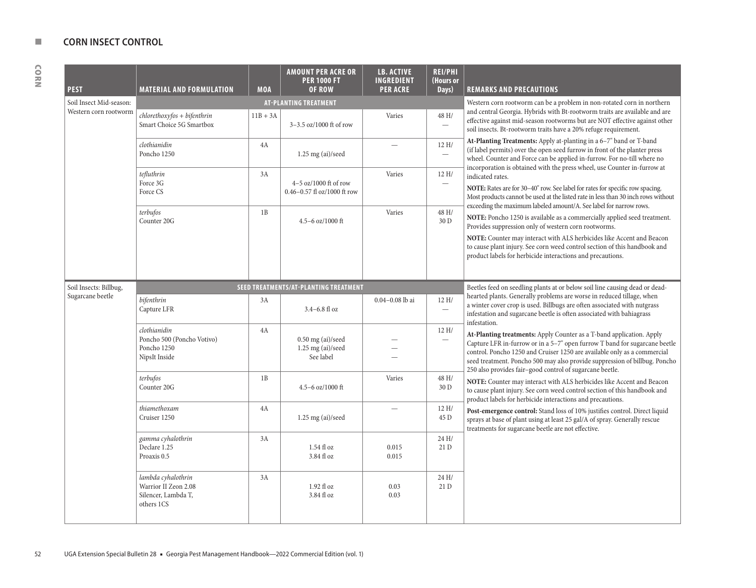| <b>PEST</b>             | <b>MATERIAL AND FORMULATION</b>                                                 | <b>MOA</b> | <b>AMOUNT PER ACRE OR</b><br><b>PER 1000 FT</b><br>OF ROW  | <b>LB. ACTIVE</b><br><b>INGREDIENT</b><br><b>PER ACRE</b>              | <b>REI/PHI</b><br>(Hours or<br>Days) | <b>REMARKS AND PRECAUTIONS</b>                                                                                                                                                                                                                                                                                                                                           |
|-------------------------|---------------------------------------------------------------------------------|------------|------------------------------------------------------------|------------------------------------------------------------------------|--------------------------------------|--------------------------------------------------------------------------------------------------------------------------------------------------------------------------------------------------------------------------------------------------------------------------------------------------------------------------------------------------------------------------|
| Soil Insect Mid-season: |                                                                                 |            | <b>AT-PLANTING TREATMENT</b>                               | Western corn rootworm can be a problem in non-rotated corn in northern |                                      |                                                                                                                                                                                                                                                                                                                                                                          |
| Western corn rootworm   | $chlorethoxyfos + bifenthrin$<br>Smart Choice 5G Smartbox                       | $11B + 3A$ | 3-3.5 oz/1000 ft of row                                    | Varies                                                                 | 48 H/<br>$\overline{\phantom{0}}$    | and central Georgia. Hybrids with Bt-rootworm traits are available and are<br>effective against mid-season rootworms but are NOT effective against other<br>soil insects. Bt-rootworm traits have a 20% refuge requirement.                                                                                                                                              |
|                         | clothianidin<br>Poncho 1250                                                     | 4A         | $1.25$ mg (ai)/seed                                        |                                                                        | 12H/<br>$\overline{\phantom{0}}$     | At-Planting Treatments: Apply at-planting in a 6-7" band or T-band<br>(if label permits) over the open seed furrow in front of the planter press<br>wheel. Counter and Force can be applied in-furrow. For no-till where no                                                                                                                                              |
|                         | tefluthrin<br>Force 3G<br>Force CS                                              | 3A         | $4-5$ oz/1000 ft of row<br>$0.46 - 0.57$ fl oz/1000 ft row | Varies                                                                 | 12H/<br>$\overline{\phantom{m}}$     | incorporation is obtained with the press wheel, use Counter in-furrow at<br>indicated rates.<br>NOTE: Rates are for 30-40" row. See label for rates for specific row spacing.<br>Most products cannot be used at the listed rate in less than 30 inch rows without<br>exceeding the maximum labeled amount/A. See label for narrow rows.                                 |
|                         | terbufos<br>Counter 20G                                                         | 1B         | 4.5-6 oz/1000 ft                                           | Varies                                                                 | 48 H/<br>30 D                        | NOTE: Poncho 1250 is available as a commercially applied seed treatment.<br>Provides suppression only of western corn rootworms.                                                                                                                                                                                                                                         |
|                         |                                                                                 |            |                                                            |                                                                        |                                      | NOTE: Counter may interact with ALS herbicides like Accent and Beacon<br>to cause plant injury. See corn weed control section of this handbook and<br>product labels for herbicide interactions and precautions.                                                                                                                                                         |
| Soil Insects: Billbug,  |                                                                                 |            | SEED TREATMENTS/AT-PLANTING TREATMENT                      |                                                                        |                                      | Beetles feed on seedling plants at or below soil line causing dead or dead-                                                                                                                                                                                                                                                                                              |
| Sugarcane beetle        | bifenthrin<br>Capture LFR                                                       | 3A         | $3.4 - 6.8$ fl oz                                          | $0.04 - 0.08$ lb ai                                                    | 12 H/<br>$\overline{\phantom{0}}$    | hearted plants. Generally problems are worse in reduced tillage, when<br>a winter cover crop is used. Billbugs are often associated with nutgrass<br>infestation and sugarcane beetle is often associated with bahiagrass<br>infestation.                                                                                                                                |
|                         | clothianidin<br>Poncho 500 (Poncho Votivo)<br>Poncho 1250<br>NipsIt Inside      | 4A         | $0.50$ mg (ai)/seed<br>$1.25$ mg (ai)/seed<br>See label    |                                                                        | 12H/                                 | At-Planting treatments: Apply Counter as a T-band application. Apply<br>Capture LFR in-furrow or in a 5-7" open furrow T band for sugarcane beetle<br>control. Poncho 1250 and Cruiser 1250 are available only as a commercial<br>seed treatment. Poncho 500 may also provide suppression of billbug. Poncho<br>250 also provides fair-good control of sugarcane beetle. |
|                         | terbufos<br>Counter 20G                                                         | 1B         | 4.5-6 oz/1000 ft                                           | Varies                                                                 | 48 H/<br>30 D                        | NOTE: Counter may interact with ALS herbicides like Accent and Beacon<br>to cause plant injury. See corn weed control section of this handbook and<br>product labels for herbicide interactions and precautions.                                                                                                                                                         |
|                         | thiamethoxam<br>Cruiser 1250                                                    | 4A         | $1.25$ mg (ai)/seed                                        |                                                                        | 12H/<br>45 D                         | Post-emergence control: Stand loss of 10% justifies control. Direct liquid<br>sprays at base of plant using at least 25 gal/A of spray. Generally rescue<br>treatments for sugarcane beetle are not effective.                                                                                                                                                           |
|                         | gamma cyhalothrin<br>Declare 1.25<br>Proaxis 0.5                                | 3A         | $1.54$ fl oz<br>3.84 fl oz                                 | 0.015<br>0.015                                                         | 24 H/<br>21D                         |                                                                                                                                                                                                                                                                                                                                                                          |
|                         | lambda cyhalothrin<br>Warrior II Zeon 2.08<br>Silencer, Lambda T,<br>others 1CS | 3A         | $1.92$ fl oz<br>3.84 fl oz                                 | 0.03<br>0.03                                                           | 24 H/<br>21D                         |                                                                                                                                                                                                                                                                                                                                                                          |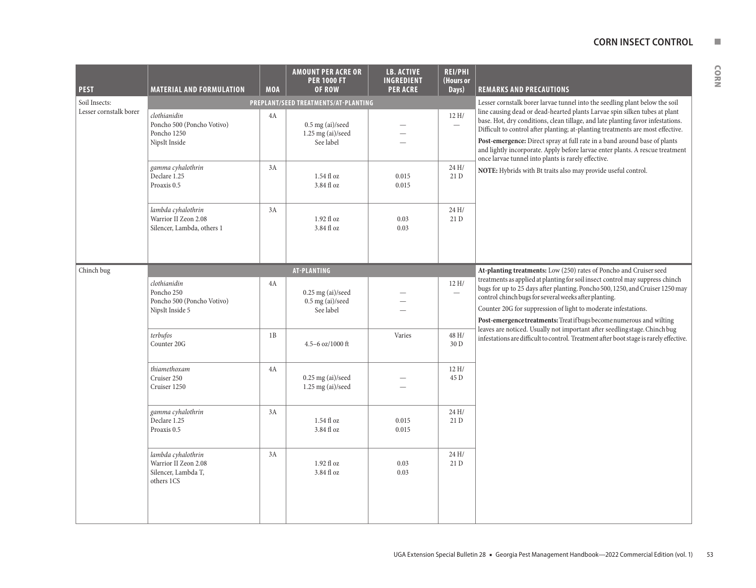| <b>PEST</b>            | <b>MATERIAL AND FORMULATION</b>                                                 | <b>MOA</b> | <b>AMOUNT PER ACRE OR</b><br><b>PER 1000 FT</b><br>OF ROW | <b>LB. ACTIVE</b><br>INGREDIENT<br><b>PER ACRE</b> | <b>REI/PHI</b><br>(Hours or<br>Days) | <b>REMARKS AND PRECAUTIONS</b>                                                                                                                                                                                                                                                                                                                                                                                                                                        |
|------------------------|---------------------------------------------------------------------------------|------------|-----------------------------------------------------------|----------------------------------------------------|--------------------------------------|-----------------------------------------------------------------------------------------------------------------------------------------------------------------------------------------------------------------------------------------------------------------------------------------------------------------------------------------------------------------------------------------------------------------------------------------------------------------------|
| Soil Insects:          |                                                                                 |            | PREPLANT/SEED TREATMENTS/AT-PLANTING                      |                                                    |                                      | Lesser cornstalk borer larvae tunnel into the seedling plant below the soil                                                                                                                                                                                                                                                                                                                                                                                           |
| Lesser cornstalk borer | clothianidin<br>Poncho 500 (Poncho Votivo)<br>Poncho 1250<br>NipsIt Inside      | 4A         | $0.5$ mg (ai)/seed<br>$1.25$ mg (ai)/seed<br>See label    |                                                    | 12H/<br>$\overline{\phantom{0}}$     | line causing dead or dead-hearted plants Larvae spin silken tubes at plant<br>base. Hot, dry conditions, clean tillage, and late planting favor infestations.<br>Difficult to control after planting; at-planting treatments are most effective.<br>Post-emergence: Direct spray at full rate in a band around base of plants<br>and lightly incorporate. Apply before larvae enter plants. A rescue treatment<br>once larvae tunnel into plants is rarely effective. |
|                        | gamma cyhalothrin<br>Declare 1.25<br>Proaxis 0.5                                | 3A         | $1.54$ fl oz<br>3.84 fl oz                                | 0.015<br>0.015                                     | 24 H/<br>21 D                        | NOTE: Hybrids with Bt traits also may provide useful control.                                                                                                                                                                                                                                                                                                                                                                                                         |
|                        | lambda cyhalothrin<br>Warrior II Zeon 2.08<br>Silencer, Lambda, others 1        | 3A         | $1.92$ fl oz<br>3.84 fl oz                                | 0.03<br>0.03                                       | 24H/<br>21 D                         |                                                                                                                                                                                                                                                                                                                                                                                                                                                                       |
| Chinch bug             |                                                                                 |            | <b>AT-PLANTING</b>                                        |                                                    |                                      | At-planting treatments: Low (250) rates of Poncho and Cruiser seed                                                                                                                                                                                                                                                                                                                                                                                                    |
|                        | clothianidin<br>Poncho 250<br>Poncho 500 (Poncho Votivo)<br>NipsIt Inside 5     | 4A         | $0.25$ mg (ai)/seed<br>$0.5$ mg (ai)/seed<br>See label    |                                                    | 12 H/<br>$\overline{\phantom{m}}$    | treatments as applied at planting for soil insect control may suppress chinch<br>bugs for up to 25 days after planting. Poncho 500, 1250, and Cruiser 1250 may<br>control chinch bugs for several weeks after planting.<br>Counter 20G for suppression of light to moderate infestations.<br>Post-emergence treatments: Treatifbugs become numerous and wilting                                                                                                       |
|                        | terbufos<br>Counter 20G                                                         | 1B         | 4.5-6 oz/1000 ft                                          | Varies                                             | 48 H/<br>30 D                        | leaves are noticed. Usually not important after seedling stage. Chinch bug<br>infestations are difficult to control. Treatment after boot stage is rarely effective.                                                                                                                                                                                                                                                                                                  |
|                        | thiamethoxam<br>Cruiser 250<br>Cruiser 1250                                     | 4A         | $0.25$ mg (ai)/seed<br>$1.25$ mg (ai)/seed                |                                                    | 12H/<br>45 D                         |                                                                                                                                                                                                                                                                                                                                                                                                                                                                       |
|                        | gamma cyhalothrin<br>Declare 1.25<br>Proaxis 0.5                                | 3A         | $1.54$ fl oz<br>3.84 fl oz                                | 0.015<br>0.015                                     | 24 H/<br>21 D                        |                                                                                                                                                                                                                                                                                                                                                                                                                                                                       |
|                        | lambda cyhalothrin<br>Warrior II Zeon 2.08<br>Silencer, Lambda T,<br>others 1CS | 3A         | 1.92 fl oz<br>3.84 fl oz                                  | 0.03<br>0.03                                       | 24 H/<br>21 D                        |                                                                                                                                                                                                                                                                                                                                                                                                                                                                       |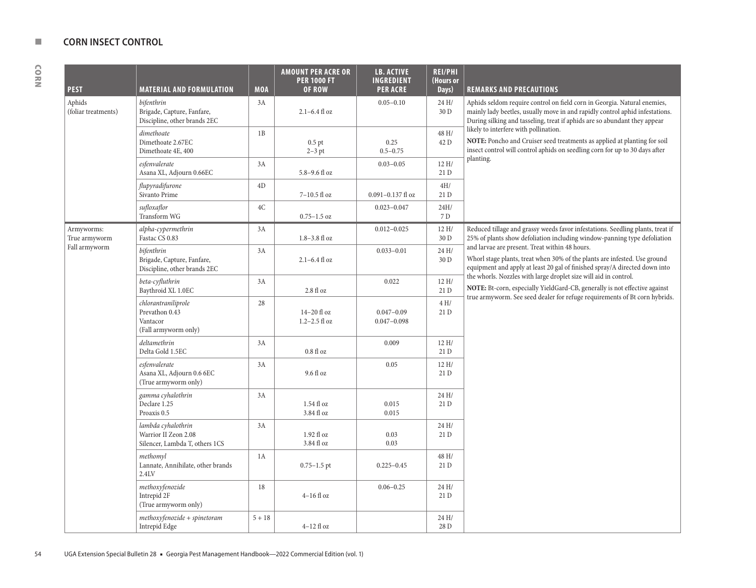| <b>PEST</b>                   | <b>MATERIAL AND FORMULATION</b>                                              | <b>MOA</b> | <b>AMOUNT PER ACRE OR</b><br><b>PER 1000 FT</b><br><b>OF ROW</b> | <b>LB. ACTIVE</b><br><b>INGREDIENT</b><br><b>PER ACRE</b> | <b>REI/PHI</b><br>(Hours or<br>Days) | <b>REMARKS AND PRECAUTIONS</b>                                                                                                                                                                                                        |
|-------------------------------|------------------------------------------------------------------------------|------------|------------------------------------------------------------------|-----------------------------------------------------------|--------------------------------------|---------------------------------------------------------------------------------------------------------------------------------------------------------------------------------------------------------------------------------------|
| Aphids<br>(foliar treatments) | bifenthrin<br>Brigade, Capture, Fanfare,<br>Discipline, other brands 2EC     | 3A         | $2.1 - 6.4$ fl oz                                                | $0.05 - 0.10$                                             | 24 H/<br>30 D                        | Aphids seldom require control on field corn in Georgia. Natural enemies,<br>mainly lady beetles, usually move in and rapidly control aphid infestations.<br>During silking and tasseling, treat if aphids are so abundant they appear |
|                               | dimethoate<br>Dimethoate 2.67EC<br>Dimethoate 4E, 400                        | 1B         | $0.5$ pt<br>$2-3$ pt                                             | 0.25<br>$0.5 - 0.75$                                      | 48 H/<br>42 D                        | likely to interfere with pollination.<br>NOTE: Poncho and Cruiser seed treatments as applied at planting for soil<br>insect control will control aphids on seedling corn for up to 30 days after                                      |
|                               | esfenvalerate<br>Asana XL, Adjourn 0.66EC                                    | 3A         | $5.8 - 9.6$ fl oz                                                | $0.03 - 0.05$                                             | 12 H/<br>21D                         | planting.                                                                                                                                                                                                                             |
|                               | flupyradifurone<br>Sivanto Prime                                             | 4D         | 7-10.5 fl oz                                                     | $0.091 - 0.137$ fl oz                                     | 4H/<br>21 D                          |                                                                                                                                                                                                                                       |
|                               | sufloxaflor<br><b>Transform WG</b>                                           | 4C         | $0.75 - 1.5$ oz                                                  | $0.023 - 0.047$                                           | 24H/<br>7 D                          |                                                                                                                                                                                                                                       |
| Armyworms:<br>True armyworm   | alpha-cypermethrin<br>Fastac CS 0.83                                         | 3A         | $1.8 - 3.8$ fl oz                                                | $0.012 - 0.025$                                           | 12 H/<br>30 D                        | Reduced tillage and grassy weeds favor infestations. Seedling plants, treat if<br>25% of plants show defoliation including window-panning type defoliation                                                                            |
| Fall armyworm                 | bifenthrin<br>Brigade, Capture, Fanfare,<br>Discipline, other brands 2EC     | 3A         | $2.1 - 6.4$ fl oz                                                | $0.033 - 0.01$                                            | 24 H/<br>30 D                        | and larvae are present. Treat within 48 hours.<br>Whorl stage plants, treat when 30% of the plants are infested. Use ground<br>equipment and apply at least 20 gal of finished spray/A directed down into                             |
|                               | beta-cyfluthrin<br>Baythroid XL 1.0EC                                        | 3A         | 2.8 fl oz                                                        | 0.022                                                     | 12 H/<br>21D                         | the whorls. Nozzles with large droplet size will aid in control.<br>NOTE: Bt-corn, especially YieldGard-CB, generally is not effective against                                                                                        |
|                               | chlorantraniliprole<br>Prevathon 0.43<br>Vantacor<br>(Fall armyworm only)    | 28         | $14-20$ fl oz<br>$1.2 - 2.5$ fl oz                               | $0.047 - 0.09$<br>$0.047 - 0.098$                         | 4 H/<br>21 D                         | true armyworm. See seed dealer for refuge requirements of Bt corn hybrids.                                                                                                                                                            |
|                               | deltamethrin<br>Delta Gold 1.5EC                                             | 3A         | $0.8f1$ oz                                                       | 0.009                                                     | 12 H/<br>21 D                        |                                                                                                                                                                                                                                       |
|                               | esfenvalerate<br>Asana XL, Adjourn 0.6 6EC<br>(True armyworm only)           | 3A         | 9.6 fl oz                                                        | 0.05                                                      | 12 H/<br>21 D                        |                                                                                                                                                                                                                                       |
|                               | gamma cyhalothrin<br>Declare 1.25<br>Proaxis 0.5                             | 3A         | $1.54$ fl oz<br>3.84 fl oz                                       | 0.015<br>0.015                                            | 24 H/<br>21 D                        |                                                                                                                                                                                                                                       |
|                               | lambda cyhalothrin<br>Warrior II Zeon 2.08<br>Silencer, Lambda T, others 1CS | 3A         | $1.92$ fl oz<br>3.84 fl oz                                       | 0.03<br>0.03                                              | 24 H/<br>21D                         |                                                                                                                                                                                                                                       |
|                               | methomyl<br>Lannate, Annihilate, other brands<br>2.4 <sub>LV</sub>           | 1A         | $0.75 - 1.5$ pt                                                  | $0.225 - 0.45$                                            | 48 H/<br>21 D                        |                                                                                                                                                                                                                                       |
|                               | methoxyfenozide<br>Intrepid 2F<br>(True armyworm only)                       | 18         | $4-16$ fl oz                                                     | $0.06 - 0.25$                                             | 24 H/<br>21 D                        |                                                                                                                                                                                                                                       |
|                               | methoxyfenozide + spinetoram<br>Intrepid Edge                                | $5 + 18$   | $4-12$ fl oz                                                     |                                                           | 24 H/<br>28 D                        |                                                                                                                                                                                                                                       |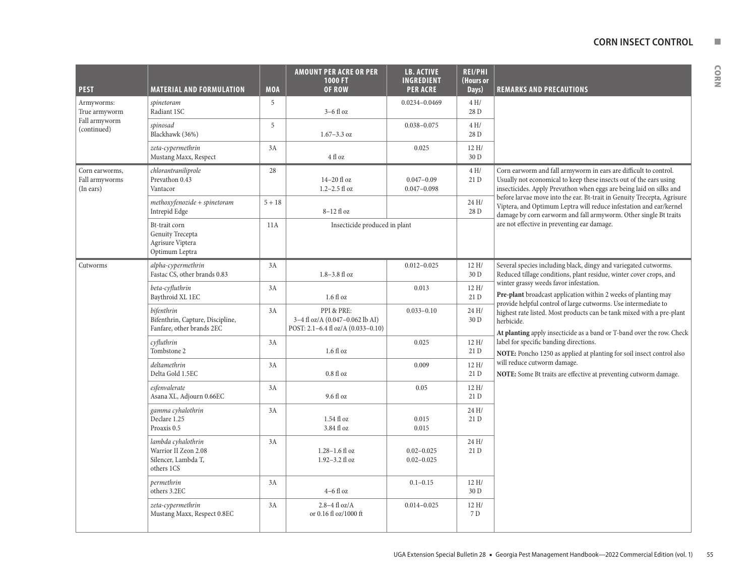| <b>PEST</b>                                   | <b>MATERIAL AND FORMULATION</b>                                                 | <b>MOA</b> | <b>AMOUNT PER ACRE OR PER</b><br>1000 FT<br><b>OF ROW</b>                           | <b>LB. ACTIVE</b><br><b>INGREDIENT</b><br><b>PER ACRE</b> | <b>REI/PHI</b><br>(Hours or<br>Days) | <b>REMARKS AND PRECAUTIONS</b>                                                                                                                                                                                    |
|-----------------------------------------------|---------------------------------------------------------------------------------|------------|-------------------------------------------------------------------------------------|-----------------------------------------------------------|--------------------------------------|-------------------------------------------------------------------------------------------------------------------------------------------------------------------------------------------------------------------|
| Armyworms:<br>True armyworm                   | spinetoram<br>Radiant 1SC                                                       | 5          | $3-6$ fl oz                                                                         | $0.0234 - 0.0469$                                         | 4H/<br>28 D                          |                                                                                                                                                                                                                   |
| Fall armyworm<br>(continued)                  | spinosad<br>Blackhawk (36%)                                                     | 5          | $1.67 - 3.3$ oz                                                                     | $0.038 - 0.075$                                           | 4 H/<br>28 D                         |                                                                                                                                                                                                                   |
|                                               | zeta-cypermethrin<br>Mustang Maxx, Respect                                      | 3A         | 4 fl oz                                                                             | 0.025                                                     | 12 H/<br>30 D                        |                                                                                                                                                                                                                   |
| Corn earworms,<br>Fall armyworms<br>(In ears) | chlorantraniliprole<br>Prevathon 0.43<br>Vantacor                               | 28         | $14-20$ fl oz<br>$1.2 - 2.5$ fl oz                                                  | $0.047 - 0.09$<br>$0.047 - 0.098$                         | 4H/<br>21 D                          | Corn earworm and fall armyworm in ears are difficult to control.<br>Usually not economical to keep these insects out of the ears using<br>insecticides. Apply Prevathon when eggs are being laid on silks and     |
|                                               | $methoxyfenozide + spinetoram$<br>Intrepid Edge                                 | $5 + 18$   | $8-12$ fl oz                                                                        |                                                           | 24 H/<br>28 D                        | before larvae move into the ear. Bt-trait in Genuity Trecepta, Agrisure<br>Viptera, and Optimum Leptra will reduce infestation and ear/kernel<br>damage by corn earworm and fall armyworm. Other single Bt traits |
|                                               | Bt-trait corn<br>Genuity Trecepta<br>Agrisure Viptera<br>Optimum Leptra         | 11A        | Insecticide produced in plant                                                       |                                                           |                                      | are not effective in preventing ear damage.                                                                                                                                                                       |
| Cutworms                                      | alpha-cypermethrin<br>Fastac CS, other brands 0.83                              | 3A         | $1.8 - 3.8$ fl oz                                                                   | $0.012 - 0.025$                                           | 12H/<br>30 D                         | Several species including black, dingy and variegated cutworms.<br>Reduced tillage conditions, plant residue, winter cover crops, and                                                                             |
|                                               | beta-cyfluthrin<br>Baythroid XL 1EC                                             | 3A         | $1.6f$ l oz                                                                         | 0.013                                                     | 12H/<br>21 D                         | winter grassy weeds favor infestation.<br>Pre-plant broadcast application within 2 weeks of planting may<br>provide helpful control of large cutworms. Use intermediate to                                        |
|                                               | bifenthrin<br>Bifenthrin, Capture, Discipline,<br>Fanfare, other brands 2EC     | 3A         | PPI & PRE:<br>3-4 fl oz/A (0.047-0.062 lb AI)<br>POST: 2.1-6.4 fl oz/A (0.033-0.10) | $0.033 - 0.10$                                            | 24 H/<br>30 D                        | highest rate listed. Most products can be tank mixed with a pre-plant<br>herbicide.<br>At planting apply insecticide as a band or T-band over the row. Check                                                      |
|                                               | cyfluthrin<br>Tombstone 2                                                       | 3A         | $1.6f$ l oz                                                                         | 0.025                                                     | 12H/<br>21 D                         | label for specific banding directions.<br>NOTE: Poncho 1250 as applied at planting for soil insect control also                                                                                                   |
|                                               | deltamethrin<br>Delta Gold 1.5EC                                                | 3A         | $0.8f1$ oz                                                                          | 0.009                                                     | 12H/<br>21 D                         | will reduce cutworm damage.<br>NOTE: Some Bt traits are effective at preventing cutworm damage.                                                                                                                   |
|                                               | esfenvalerate<br>Asana XL, Adjourn 0.66EC                                       | 3A         | 9.6 fl oz                                                                           | 0.05                                                      | 12H/<br>21 D                         |                                                                                                                                                                                                                   |
|                                               | gamma cyhalothrin<br>Declare 1.25<br>Proaxis 0.5                                | 3A         | 1.54 fl oz<br>3.84 fl oz                                                            | 0.015<br>0.015                                            | 24 H/<br>21 D                        |                                                                                                                                                                                                                   |
|                                               | lambda cyhalothrin<br>Warrior II Zeon 2.08<br>Silencer, Lambda T,<br>others 1CS | 3A         | $1.28 - 1.6$ fl oz<br>1.92-3.2 fl oz                                                | $0.02 - 0.025$<br>$0.02 - 0.025$                          | 24 H/<br>21 D                        |                                                                                                                                                                                                                   |
|                                               | permethrin<br>others 3.2EC                                                      | 3A         | $4-6$ fl oz                                                                         | $0.1 - 0.15$                                              | 12 H/<br>30 D                        |                                                                                                                                                                                                                   |
|                                               | zeta-cypermethrin<br>Mustang Maxx, Respect 0.8EC                                | 3A         | $2.8 - 4$ fl oz/A<br>or 0.16 fl oz/1000 ft                                          | $0.014 - 0.025$                                           | 12 H/<br>7 D                         |                                                                                                                                                                                                                   |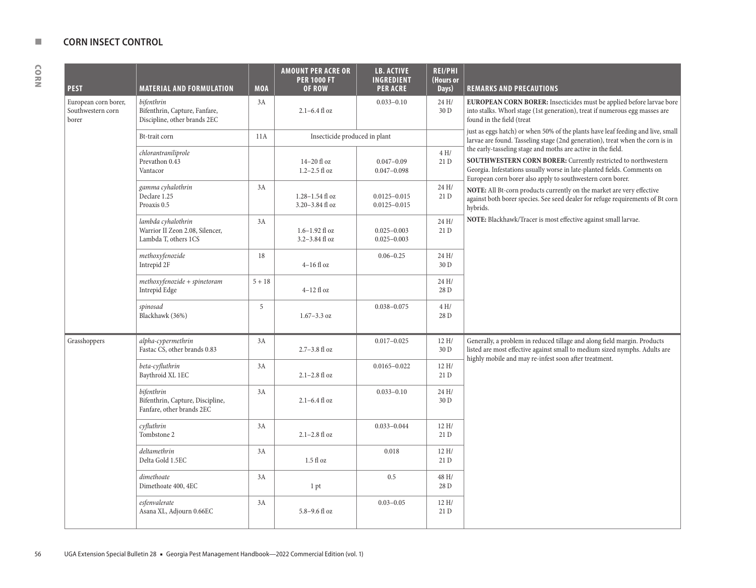| <b>PEST</b>                                        | <b>MATERIAL AND FORMULATION</b>                                               | <b>MOA</b> | <b>AMOUNT PER ACRE OR</b><br><b>PER 1000 FT</b><br>OF ROW | <b>LB. ACTIVE</b><br><b>INGREDIENT</b><br><b>PER ACRE</b> | <b>REI/PHI</b><br>(Hours or<br>Days) | <b>REMARKS AND PRECAUTIONS</b>                                                                                                                                                                                                                                         |
|----------------------------------------------------|-------------------------------------------------------------------------------|------------|-----------------------------------------------------------|-----------------------------------------------------------|--------------------------------------|------------------------------------------------------------------------------------------------------------------------------------------------------------------------------------------------------------------------------------------------------------------------|
| European corn borer,<br>Southwestern corn<br>borer | bifenthrin<br>Bifenthrin, Capture, Fanfare,<br>Discipline, other brands 2EC   | 3A         | $2.1 - 6.4$ fl oz                                         | $0.033 - 0.10$                                            | 24 H/<br>30 D                        | EUROPEAN CORN BORER: Insecticides must be applied before larvae bore<br>into stalks. Whorl stage (1st generation), treat if numerous egg masses are<br>found in the field (treat                                                                                       |
|                                                    | Bt-trait corn                                                                 | 11A        | Insecticide produced in plant                             |                                                           |                                      | just as eggs hatch) or when 50% of the plants have leaf feeding and live, small<br>larvae are found. Tasseling stage (2nd generation), treat when the corn is in                                                                                                       |
|                                                    | chlorantraniliprole<br>Prevathon 0.43<br>Vantacor                             |            | 14-20 fl oz<br>$1.2 - 2.5$ fl oz                          | $0.047 - 0.09$<br>$0.047 - 0.098$                         | 4 H/<br>21D                          | the early-tasseling stage and moths are active in the field.<br>SOUTHWESTERN CORN BORER: Currently restricted to northwestern<br>Georgia. Infestations usually worse in late-planted fields. Comments on<br>European corn borer also apply to southwestern corn borer. |
|                                                    | gamma cyhalothrin<br>Declare 1.25<br>Proaxis 0.5                              | 3A         | $1.28 - 1.54$ fl oz<br>3.20-3.84 fl oz                    | $0.0125 - 0.015$<br>$0.0125 - 0.015$                      | 24 H/<br>21 D                        | NOTE: All Bt-corn products currently on the market are very effective<br>against both borer species. See seed dealer for refuge requirements of Bt corn<br>hybrids.                                                                                                    |
|                                                    | lambda cyhalothrin<br>Warrior II Zeon 2.08, Silencer,<br>Lambda T, others 1CS | 3A         | $1.6 - 1.92$ fl oz<br>$3.2 - 3.84$ fl oz                  | $0.025 - 0.003$<br>$0.025 - 0.003$                        | 24 H/<br>21 D                        | NOTE: Blackhawk/Tracer is most effective against small larvae.                                                                                                                                                                                                         |
|                                                    | methoxyfenozide<br>Intrepid 2F                                                | 18         | $4-16$ fl oz                                              | $0.06 - 0.25$                                             | 24 H/<br>30 D                        |                                                                                                                                                                                                                                                                        |
|                                                    | $methoxyfenozide + spinetoram$<br>Intrepid Edge                               | $5 + 18$   | $4-12$ fl oz                                              |                                                           | 24 H/<br>28 D                        |                                                                                                                                                                                                                                                                        |
|                                                    | spinosad<br>Blackhawk (36%)                                                   | 5          | $1.67 - 3.3$ oz                                           | $0.038 - 0.075$                                           | 4 H/<br>28 D                         |                                                                                                                                                                                                                                                                        |
| Grasshoppers                                       | alpha-cypermethrin<br>Fastac CS, other brands 0.83                            | 3A         | $2.7 - 3.8$ fl oz                                         | $0.017 - 0.025$                                           | 12H/<br>30 D                         | Generally, a problem in reduced tillage and along field margin. Products<br>listed are most effective against small to medium sized nymphs. Adults are<br>highly mobile and may re-infest soon after treatment.                                                        |
|                                                    | beta-cyfluthrin<br>Baythroid XL 1EC                                           | 3A         | $2.1 - 2.8$ fl oz                                         | $0.0165 - 0.022$                                          | 12 H/<br>21 D                        |                                                                                                                                                                                                                                                                        |
|                                                    | bifenthrin<br>Bifenthrin, Capture, Discipline,<br>Fanfare, other brands 2EC   | 3A         | 2.1-6.4 fl oz                                             | $0.033 - 0.10$                                            | 24 H/<br>30 D                        |                                                                                                                                                                                                                                                                        |
|                                                    | cyfluthrin<br>Tombstone 2                                                     | 3A         | $2.1 - 2.8$ fl oz                                         | $0.033 - 0.044$                                           | 12 H/<br>21 D                        |                                                                                                                                                                                                                                                                        |
|                                                    | deltamethrin<br>Delta Gold 1.5EC                                              | 3A         | $1.5f1$ oz                                                | 0.018                                                     | 12 H/<br>21 D                        |                                                                                                                                                                                                                                                                        |
|                                                    | dimethoate<br>Dimethoate 400, 4EC                                             | 3A         | 1 pt                                                      | 0.5                                                       | 48 H/<br>28 D                        |                                                                                                                                                                                                                                                                        |
|                                                    | esfenvalerate<br>Asana XL, Adjourn 0.66EC                                     | 3A         | 5.8-9.6 fl oz                                             | $0.03 - 0.05$                                             | 12H/<br>21 D                         |                                                                                                                                                                                                                                                                        |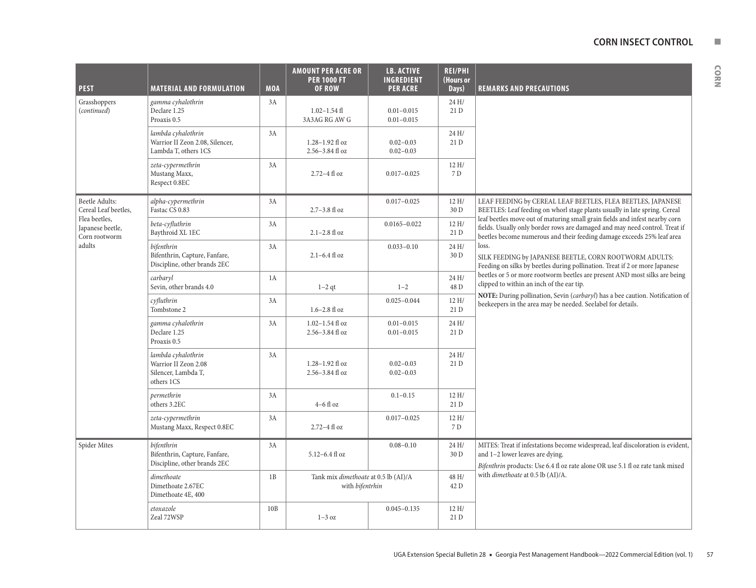| . . |
|-----|
|     |

| <b>PEST</b>                                        | <b>MATERIAL AND FORMULATION</b>                                                 | <b>MOA</b> | <b>AMOUNT PER ACRE OR</b><br><b>PER 1000 FT</b><br><b>OF ROW</b> | <b>LB. ACTIVE</b><br><b>INGREDIENT</b><br><b>PER ACRE</b> | <b>REI/PHI</b><br>(Hours or<br>Days) | <b>REMARKS AND PRECAUTIONS</b>                                                                                                                                                                                                       |
|----------------------------------------------------|---------------------------------------------------------------------------------|------------|------------------------------------------------------------------|-----------------------------------------------------------|--------------------------------------|--------------------------------------------------------------------------------------------------------------------------------------------------------------------------------------------------------------------------------------|
| Grasshoppers<br>(continued)                        | gamma cyhalothrin<br>Declare 1.25<br>Proaxis 0.5                                | 3A         | $1.02 - 1.54$ fl<br>3A3AG RG AW G                                | $0.01 - 0.015$<br>$0.01 - 0.015$                          | 24 H/<br>21 D                        |                                                                                                                                                                                                                                      |
|                                                    | lambda cyhalothrin<br>Warrior II Zeon 2.08, Silencer,<br>Lambda T, others 1CS   | 3A         | $1.28 - 1.92$ fl oz<br>2.56-3.84 fl oz                           | $0.02 - 0.03$<br>$0.02 - 0.03$                            | 24 H/<br>21D                         |                                                                                                                                                                                                                                      |
|                                                    | zeta-cypermethrin<br>Mustang Maxx,<br>Respect 0.8EC                             | 3A         | $2.72 - 4$ fl oz                                                 | $0.017 - 0.025$                                           | 12 H/<br>7D                          |                                                                                                                                                                                                                                      |
| <b>Beetle Adults:</b><br>Cereal Leaf beetles,      | alpha-cypermethrin<br>Fastac CS 0.83                                            | 3A         | 2.7-3.8 fl oz                                                    | $0.017 - 0.025$                                           | 12 H/<br>30 D                        | LEAF FEEDING by CEREAL LEAF BEETLES, FLEA BEETLES, JAPANESE<br>BEETLES: Leaf feeding on whorl stage plants usually in late spring. Cereal                                                                                            |
| Flea beetles,<br>Japanese beetle,<br>Corn rootworm | beta-cyfluthrin<br>Baythroid XL 1EC                                             | 3A         | $2.1 - 2.8$ fl oz                                                | $0.0165 - 0.022$                                          | 12 H/<br>21 D                        | leaf beetles move out of maturing small grain fields and infest nearby corn<br>fields. Usually only border rows are damaged and may need control. Treat if<br>beetles become numerous and their feeding damage exceeds 25% leaf area |
| adults                                             | bifenthrin<br>Bifenthrin, Capture, Fanfare,<br>Discipline, other brands 2EC     | 3A         | $2.1 - 6.4$ fl oz                                                | $0.033 - 0.10$                                            | 24H/<br>30 D                         | loss.<br>SILK FEEDING by JAPANESE BEETLE, CORN ROOTWORM ADULTS:<br>Feeding on silks by beetles during pollination. Treat if 2 or more Japanese                                                                                       |
|                                                    | carbaryl<br>Sevin, other brands 4.0                                             | 1A         | $1-2$ qt                                                         | $1 - 2$                                                   | 24H/<br>48 D                         | beetles or 5 or more rootworm beetles are present AND most silks are being<br>clipped to within an inch of the ear tip.                                                                                                              |
|                                                    | cyfluthrin<br>Tombstone 2                                                       | 3A         | $1.6 - 2.8$ fl oz                                                | $0.025 - 0.044$                                           | 12 H/<br>21 D                        | NOTE: During pollination, Sevin (carbaryl) has a bee caution. Notification of<br>beekeepers in the area may be needed. Seelabel for details.                                                                                         |
|                                                    | gamma cyhalothrin<br>Declare 1.25<br>Proaxis 0.5                                | 3A         | $1.02 - 1.54$ fl oz<br>2.56-3.84 fl oz                           | $0.01 - 0.015$<br>$0.01 - 0.015$                          | 24H/<br>21 D                         |                                                                                                                                                                                                                                      |
|                                                    | lambda cyhalothrin<br>Warrior II Zeon 2.08<br>Silencer, Lambda T,<br>others 1CS | 3A         | 1.28-1.92 fl oz<br>$2.56 - 3.84$ fl oz                           | $0.02 - 0.03$<br>$0.02 - 0.03$                            | 24 H/<br>21 D                        |                                                                                                                                                                                                                                      |
|                                                    | permethrin<br>others 3.2EC                                                      | 3A         | $4-6$ fl $oz$                                                    | $0.1 - 0.15$                                              | 12 H/<br>21 D                        |                                                                                                                                                                                                                                      |
|                                                    | zeta-cypermethrin<br>Mustang Maxx, Respect 0.8EC                                | 3A         | $2.72 - 4$ fl oz                                                 | $0.017 - 0.025$                                           | 12 H/<br>7 D                         |                                                                                                                                                                                                                                      |
| Spider Mites                                       | bifenthrin<br>Bifenthrin, Capture, Fanfare,<br>Discipline, other brands 2EC     | 3A         | 5.12-6.4 fl oz                                                   | $0.08 - 0.10$                                             | 24 H/<br>30 D                        | MITES: Treat if infestations become widespread, leaf discoloration is evident,<br>and 1-2 lower leaves are dying.<br>Bifenthrin products: Use 6.4 fl oz rate alone OR use 5.1 fl oz rate tank mixed                                  |
|                                                    | dimethoate<br>Dimethoate 2.67EC<br>Dimethoate 4E, 400                           | 1B         | Tank mix dimethoate at 0.5 lb (AI)/A<br>with bifentrhin          |                                                           | 48 H/<br>42 D                        | with <i>dimethoate</i> at 0.5 lb (AI)/A.                                                                                                                                                                                             |
|                                                    | etoxazole<br>Zeal 72WSP                                                         | 10B        | $1-3$ oz                                                         | $0.045 - 0.135$                                           | 12 H/<br>21 D                        |                                                                                                                                                                                                                                      |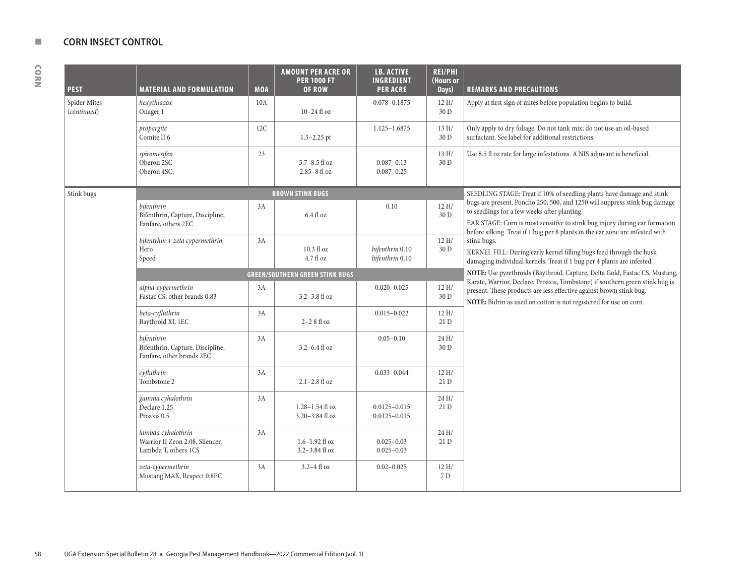| <b>PEST</b>                 | <b>MATERIAL AND FORMULATION</b>                                               | <b>MOA</b> | <b>AMOUNT PER ACRE OR</b><br><b>PER 1000 FT</b><br><b>OF ROW</b> | <b>LB. ACTIVE</b><br><b>INGREDIENT</b><br><b>PER ACRE</b> | <b>REI/PHI</b><br>(Hours or<br>Days) | <b>REMARKS AND PRECAUTIONS</b>                                                                                                                                                                                                                |
|-----------------------------|-------------------------------------------------------------------------------|------------|------------------------------------------------------------------|-----------------------------------------------------------|--------------------------------------|-----------------------------------------------------------------------------------------------------------------------------------------------------------------------------------------------------------------------------------------------|
| Spider Mites<br>(continued) | hexythiazox<br>Onager 1                                                       | 10A        | $10-24$ fl oz                                                    | $0.078 - 0.1875$                                          | 12H/<br>30 D                         | Apply at first sign of mites before population begins to build.                                                                                                                                                                               |
|                             | propargite<br>Comite II 6                                                     | 12C        | $1.5 - 2.25$ pt                                                  | 1.125-1.6875                                              | 13 H/<br>30 D                        | Only apply to dry foliage. Do not tank mix; do not use an oil-based<br>surfactant. See label for additional restrictions.                                                                                                                     |
|                             | spiromesifen<br>Oberon 2SC<br>Oberon 4SC,                                     | 23         | $5.7 - 8.5$ fl oz<br>$2.85 - 8$ fl oz                            | $0.087 - 0.13$<br>$0.087 - 0.25$                          | 13 H/<br>30 D                        | Use 8.5 fl oz rate for large infestations. A NIS adjuvant is beneficial.                                                                                                                                                                      |
| Stink bugs                  |                                                                               |            | <b>BROWN STINK BUGS</b>                                          |                                                           |                                      | SEEDLING STAGE: Treat if 10% of seedling plants have damage and stink                                                                                                                                                                         |
|                             | bifenthrin<br>Bifenthrin, Capture, Discipline,<br>Fanfare, others 2EC         | 3A         | 6.4 fl oz                                                        | 0.10                                                      | 12H/<br>30 D                         | bugs are present. Poncho 250, 500, and 1250 will suppress stink bug damage<br>to seedlings for a few weeks after planting.<br>EAR STAGE: Corn is most sensitive to stink bug injury during ear formation                                      |
|                             | bifentrhin + zeta cypermethrin<br>Hero<br>Speed                               | 3A         | $10.3 f$ l oz<br>4.7 fl oz                                       | bifenthrin 0.10<br>bifenthrin 0.10                        | 12H/<br>30 D                         | before silking. Treat if 1 bug per 8 plants in the ear zone are infested with<br>stink bugs.<br>KERNEL FILL: During early kernel filling bugs feed through the husk<br>damaging individual kernels. Treat if 1 bug per 4 plants are infested. |
|                             |                                                                               |            | <b>GREEN/SOUTHERN GREEN STINK BUGS</b>                           |                                                           |                                      | NOTE: Use pyrethroids (Baythroid, Capture, Delta Gold, Fastac CS, Mustang,                                                                                                                                                                    |
|                             | alpha-cypermethrin<br>Fastac CS, other brands 0.83                            | 3A         | $3.2 - 3.8$ fl oz                                                | $0.020 - 0.025$                                           | 12H/<br>30 D                         | Karate, Warrior, Declare, Proaxis, Tombstone) if southern green stink bug is<br>present. These products are less effective against brown stink bug.<br>NOTE: Bidrin as used on cotton is not registered for use on corn.                      |
|                             | beta-cyfluthrin<br>Baythroid XL 1EC                                           | 3A         | $2-28$ fl oz                                                     | $0.015 - 0.022$                                           | 12H/<br>21D                          |                                                                                                                                                                                                                                               |
|                             | bifenthrin<br>Bifenthrin, Capture, Discipline,<br>Fanfare, other brands 2EC   | 3A         | $3.2 - 6.4$ fl oz                                                | $0.05 - 0.10$                                             | 24 H/<br>30 D                        |                                                                                                                                                                                                                                               |
|                             | cyfluthrin<br>Tombstone $2\,$                                                 | 3A         | $2.1 - 2.8$ fl oz                                                | $0.033 - 0.044$                                           | 12 H/<br>21D                         |                                                                                                                                                                                                                                               |
|                             | gamma cyhalothrin<br>Declare 1.25<br>Proaxis 0.5                              | 3A         | $1.28 - 1.54$ fl oz<br>3.20-3.84 fl oz                           | $0.0125 - 0.015$<br>$0.0125 - 0.015$                      | 24H/<br>21 D                         |                                                                                                                                                                                                                                               |
|                             | lambda cyhalothrin<br>Warrior II Zeon 2.08, Silencer,<br>Lambda T, others 1CS | 3A         | $1.6 - 1.92$ fl oz<br>3.2-3.84 fl oz                             | $0.025 - 0.03$<br>$0.025 - 0.03$                          | 24H/<br>21 D                         |                                                                                                                                                                                                                                               |
|                             | zeta-cypermethrin<br>Mustang MAX, Respect 0.8EC                               | 3A         | $3.2 - 4$ fl oz                                                  | $0.02 - 0.025$                                            | 12H/<br>7 D                          |                                                                                                                                                                                                                                               |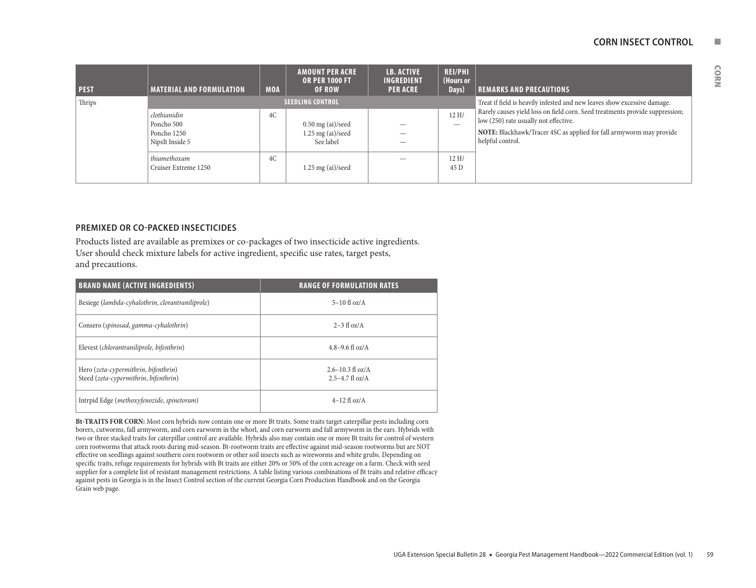#### **CORN INSECT CONTROL NET**

| <b>PEST</b> | <b>MATERIAL AND FORMULATION</b>                              | <b>MOA</b> | <b>AMOUNT PER ACRE</b><br><b>OR PER 1000 FT</b><br><b>OF ROW</b> | <b>LB. ACTIVE</b><br><b>INGREDIENT</b><br><b>PER ACRE</b> | <b>REI/PHI</b><br>(Hours or<br>Days) | <b>REMARKS AND PRECAUTIONS</b>                                                                                                                                                                                   |
|-------------|--------------------------------------------------------------|------------|------------------------------------------------------------------|-----------------------------------------------------------|--------------------------------------|------------------------------------------------------------------------------------------------------------------------------------------------------------------------------------------------------------------|
| Thrips      |                                                              |            | <b>SEEDLING CONTROL</b>                                          |                                                           |                                      | Treat if field is heavily infested and new leaves show excessive damage.                                                                                                                                         |
|             | clothianidin<br>Poncho 500<br>Poncho 1250<br>NipsIt Inside 5 | 4C         | $0.50$ mg (ai)/seed<br>$1.25$ mg (ai)/seed<br>See label          |                                                           | 12H/<br>$\hspace{0.05cm}$            | Rarely causes yield loss on field corn. Seed treatments provide suppression;<br>low (250) rate usually not effective.<br>NOTE: Blackhawk/Tracer 4SC as applied for fall armyworm may provide<br>helpful control. |
|             | thiamethoxam<br>Cruiser Extreme 1250                         | 4C         | $1.25$ mg (ai)/seed                                              |                                                           | 12H/<br>45 D                         |                                                                                                                                                                                                                  |

#### **PREMIXED OR CO-PACKED INSECTICIDES**

Products listed are available as premixes or co-packages of two insecticide active ingredients. User should check mixture labels for active ingredient, specific use rates, target pests, and precautions.

| <b>BRAND NAME (ACTIVE INGREDIENTS)</b>                                        | <b>RANGE OF FORMULATION RATES</b>           |
|-------------------------------------------------------------------------------|---------------------------------------------|
| Besiege (lambda-cyhalothrin, clorantraniliprole)                              | $5-10$ fl oz/A                              |
| Consero (spinosad, gamma-cyhalothrin)                                         | $2-3$ fl $oz/A$                             |
| Elevest (chlorantraniliprole, bifenthrin)                                     | $4.8 - 9.6$ fl oz/A                         |
| Hero (zeta-cypermithrin, bifenthrin)<br>Steed (zeta-cypermithrin, bifenthrin) | $2.6 - 10.3$ fl oz/A<br>$2.5 - 4.7$ fl oz/A |
| Intrpid Edge (methoxyfenozide, spinetoram)                                    | $4-12$ fl oz/A                              |

**Bt-TRAITS FOR CORN:** Most corn hybrids now contain one or more Bt traits. Some traits target caterpillar pests including corn borers, cutworms, fall armyworm, and corn earworm in the whorl, and corn earworm and fall armyworm in the ears. Hybrids with two or three stacked traits for caterpillar control are available. Hybrids also may contain one or more Bt traits for control of western corn rootworms that attack roots during mid-season. Bt-rootworm traits are effective against mid-season rootworms but are NOT effective on seedlings against southern corn rootworm or other soil insects such as wireworms and white grubs. Depending on specific traits, refuge requirements for hybrids with Bt traits are either 20% or 50% of the corn acreage on a farm. Check with seed supplier for a complete list of resistant management restrictions. A table listing various combinations of Bt traits and relative efficacy against pests in Georgia is in the Insect Control section of the current Georgia Corn Production Handbook and on the Georgia Grain web page.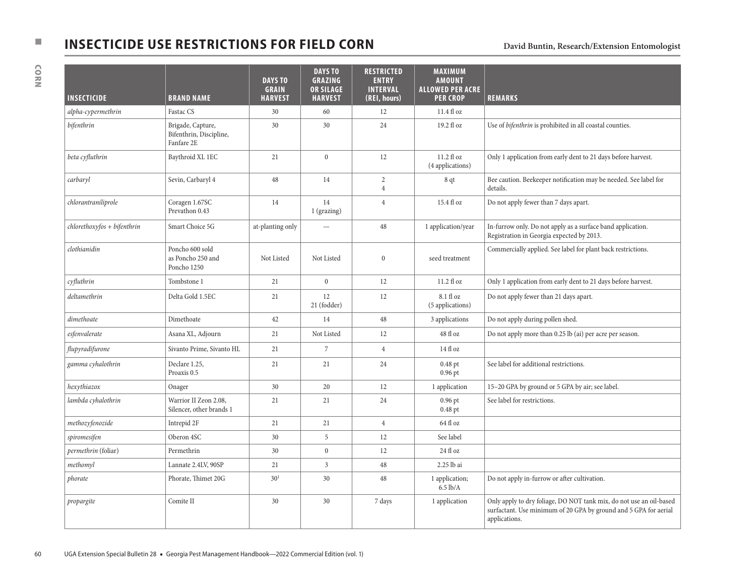# **NSECTICIDE USE RESTRICTIONS FOR FIELD CORN** David Buntin, Research/Extension Entomologist David Buntin, Research/Extension Entomologist

| <b>INSECTICIDE</b>             | <b>BRAND NAME</b>                                          | <b>DAYS TO</b><br><b>GRAIN</b><br><b>HARVEST</b> | <b>DAYS TO</b><br><b>GRAZING</b><br><b>OR SILAGE</b><br><b>HARVEST</b> | <b>RESTRICTED</b><br><b>ENTRY</b><br><b>INTERVAL</b><br>(REI, hours) | <b>MAXIMUM</b><br><b>AMOUNT</b><br><b>ALLOWED PER ACRE</b><br><b>PER CROP</b> | <b>REMARKS</b>                                                                                                                                           |
|--------------------------------|------------------------------------------------------------|--------------------------------------------------|------------------------------------------------------------------------|----------------------------------------------------------------------|-------------------------------------------------------------------------------|----------------------------------------------------------------------------------------------------------------------------------------------------------|
| alpha-cypermethrin             | Fastac CS                                                  | 30                                               | 60                                                                     | 12                                                                   | $11.4\ \mathrm{fl}$ oz                                                        |                                                                                                                                                          |
| bifenthrin                     | Brigade, Capture,<br>Bifenthrin, Discipline,<br>Fanfare 2E | 30                                               | 30                                                                     | 24                                                                   | 19.2 fl oz                                                                    | Use of bifenthrin is prohibited in all coastal counties.                                                                                                 |
| beta cyfluthrin                | Baythroid XL 1EC                                           | 21                                               | $\boldsymbol{0}$                                                       | 12                                                                   | 11.2 fl oz<br>(4 applications)                                                | Only 1 application from early dent to 21 days before harvest.                                                                                            |
| carbaryl                       | Sevin, Carbaryl 4                                          | 48                                               | 14                                                                     | $\overline{2}$<br>$\overline{4}$                                     | 8 qt                                                                          | Bee caution. Beekeeper notification may be needed. See label for<br>details.                                                                             |
| chlorantraniliprole            | Coragen 1.67SC<br>Prevathon 0.43                           | 14                                               | 14<br>1 (grazing)                                                      | $\overline{4}$                                                       | 15.4 fl oz                                                                    | Do not apply fewer than 7 days apart.                                                                                                                    |
| $chlorethoxy$ fos + bifenthrin | Smart Choice 5G                                            | at-planting only                                 |                                                                        | 48                                                                   | 1 application/year                                                            | In-furrow only. Do not apply as a surface band application.<br>Registration in Georgia expected by 2013.                                                 |
| clothianidin                   | Poncho 600 sold<br>as Poncho 250 and<br>Poncho 1250        | Not Listed                                       | Not Listed                                                             | $\boldsymbol{0}$                                                     | seed treatment                                                                | Commercially applied. See label for plant back restrictions.                                                                                             |
| cyfluthrin                     | Tombstone 1                                                | 21                                               | $\mathbf{0}$                                                           | 12                                                                   | 11.2 flog                                                                     | Only 1 application from early dent to 21 days before harvest.                                                                                            |
| deltamethrin                   | Delta Gold 1.5EC                                           | 21                                               | 12<br>21 (fodder)                                                      | 12                                                                   | 8.1 fl oz<br>(5 applications)                                                 | Do not apply fewer than 21 days apart.                                                                                                                   |
| dimethoate                     | Dimethoate                                                 | 42                                               | 14                                                                     | 48                                                                   | 3 applications                                                                | Do not apply during pollen shed.                                                                                                                         |
| esfenvalerate                  | Asana XL, Adjourn                                          | 21                                               | Not Listed                                                             | 12                                                                   | 48 fl oz                                                                      | Do not apply more than 0.25 lb (ai) per acre per season.                                                                                                 |
| flupyradifurone                | Sivanto Prime, Sivanto HL                                  | 21                                               | 7                                                                      | $\overline{4}$                                                       | 14 fl oz                                                                      |                                                                                                                                                          |
| gamma cyhalothrin              | Declare 1.25,<br>Proaxis 0.5                               | 21                                               | 21                                                                     | 24                                                                   | $0.48$ pt<br>$0.96$ pt                                                        | See label for additional restrictions.                                                                                                                   |
| hexythiazox                    | Onager                                                     | 30                                               | 20                                                                     | 12                                                                   | 1 application                                                                 | 15-20 GPA by ground or 5 GPA by air; see label.                                                                                                          |
| lambda cyhalothrin             | Warrior II Zeon 2.08,<br>Silencer, other brands 1          | 21                                               | 21                                                                     | 24                                                                   | 0.96 pt<br>$0.48$ pt                                                          | See label for restrictions.                                                                                                                              |
| methozyfenozide                | Intrepid 2F                                                | 21                                               | 21                                                                     | $\overline{4}$                                                       | 64 fl oz                                                                      |                                                                                                                                                          |
| spiromesifen                   | Oberon 4SC                                                 | 30                                               | 5                                                                      | 12                                                                   | See label                                                                     |                                                                                                                                                          |
| permethrin (foliar)            | Permethrin                                                 | 30                                               | $\mathbf{0}$                                                           | 12                                                                   | 24 fl oz                                                                      |                                                                                                                                                          |
| methomyl                       | Lannate 2.4LV, 90SP                                        | 21                                               | 3                                                                      | 48                                                                   | 2.25 lb ai                                                                    |                                                                                                                                                          |
| phorate                        | Phorate, Thimet 20G                                        | $30^{1}$                                         | 30                                                                     | 48                                                                   | 1 application;<br>$6.5$ lb/A                                                  | Do not apply in-furrow or after cultivation.                                                                                                             |
| propargite                     | Comite II                                                  | 30                                               | 30                                                                     | 7 days                                                               | 1 application                                                                 | Only apply to dry foliage, DO NOT tank mix, do not use an oil-based<br>surfactant. Use minimum of 20 GPA by ground and 5 GPA for aerial<br>applications. |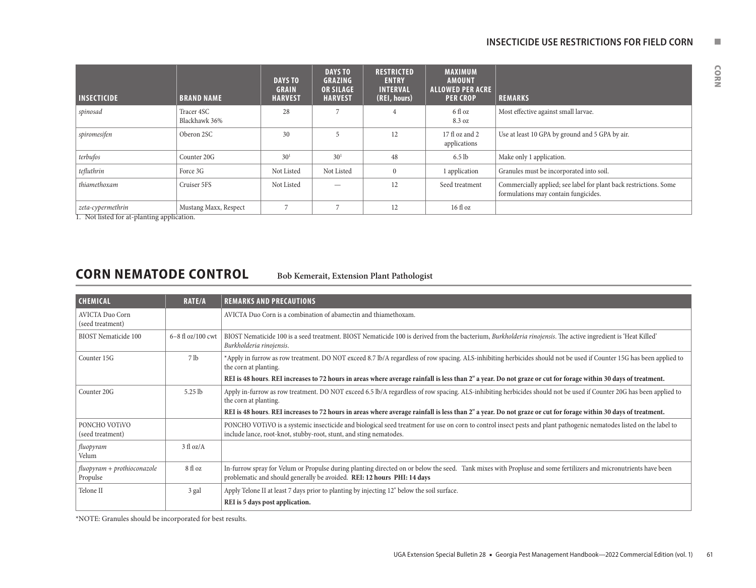| nall larvae. |  |
|--------------|--|
|              |  |
|              |  |

| <b>INSECTICIDE</b>                                          | <b>BRAND NAME</b>           | <b>DAYS TO</b><br><b>GRAIN</b><br><b>HARVEST</b> | <b>DAYS TO</b><br><b>GRAZING</b><br><b>OR SILAGE</b><br><b>HARVEST</b> | <b>RESTRICTED</b><br><b>ENTRY</b><br><b>INTERVAL</b><br>(REI, hours) | <b>MAXIMUM</b><br><b>AMOUNT</b><br><b>ALLOWED PER ACRE</b><br><b>PER CROP</b> | <b>REMARKS</b>                                                                                            |
|-------------------------------------------------------------|-----------------------------|--------------------------------------------------|------------------------------------------------------------------------|----------------------------------------------------------------------|-------------------------------------------------------------------------------|-----------------------------------------------------------------------------------------------------------|
| spinosad                                                    | Tracer 4SC<br>Blackhawk 36% | 28                                               |                                                                        |                                                                      | 6 fl oz<br>8.3 oz                                                             | Most effective against small larvae.                                                                      |
| spiromesifen                                                | Oberon 2SC                  | 30                                               |                                                                        | 12                                                                   | 17 fl oz and 2<br>applications                                                | Use at least 10 GPA by ground and 5 GPA by air.                                                           |
| terbufos                                                    | Counter 20G                 | 30 <sup>1</sup>                                  | 30 <sup>1</sup>                                                        | 48                                                                   | $6.5$ lb                                                                      | Make only 1 application.                                                                                  |
| tefluthrin                                                  | Force 3G                    | Not Listed                                       | Not Listed                                                             |                                                                      | 1 application                                                                 | Granules must be incorporated into soil.                                                                  |
| thiamethoxam                                                | Cruiser 5FS                 | Not Listed                                       |                                                                        | 12                                                                   | Seed treatment                                                                | Commercially applied; see label for plant back restrictions. Some<br>formulations may contain fungicides. |
| zeta-cypermethrin<br>Not listed for at planting application | Mustang Maxx, Respect       |                                                  |                                                                        | 12                                                                   | $16f$ l oz                                                                    |                                                                                                           |

1. Not listed for at-planting application.

# **CORN NEMATODE CONTROL Bob Kemerait, Extension Plant Pathologist**

| <b>CHEMICAL</b>                            | <b>RATE/A</b>       | <b>REMARKS AND PRECAUTIONS</b>                                                                                                                                                                                                             |
|--------------------------------------------|---------------------|--------------------------------------------------------------------------------------------------------------------------------------------------------------------------------------------------------------------------------------------|
| <b>AVICTA Duo Corn</b><br>(seed treatment) |                     | AVICTA Duo Corn is a combination of abamectin and thiamethoxam.                                                                                                                                                                            |
| <b>BIOST</b> Nematicide 100                | $6-8$ fl oz/100 cwt | BIOST Nematicide 100 is a seed treatment. BIOST Nematicide 100 is derived from the bacterium, Burkholderia rinojensis. The active ingredient is 'Heat Killed'<br>Burkholderia rinojensis.                                                  |
| Counter 15G                                | 7 <sub>lb</sub>     | *Apply in furrow as row treatment. DO NOT exceed 8.7 lb/A regardless of row spacing. ALS-inhibiting herbicides should not be used if Counter 15G has been applied to<br>the corn at planting.                                              |
|                                            |                     | REI is 48 hours. REI increases to 72 hours in areas where average rainfall is less than 2" a year. Do not graze or cut for forage within 30 days of treatment.                                                                             |
| Counter 20G                                | $5.25$ lb           | Apply in-furrow as row treatment. DO NOT exceed 6.5 lb/A regardless of row spacing. ALS-inhibiting herbicides should not be used if Counter 20G has been applied to<br>the corn at planting.                                               |
|                                            |                     | REI is 48 hours. REI increases to 72 hours in areas where average rainfall is less than 2" a year. Do not graze or cut for forage within 30 days of treatment.                                                                             |
| PONCHO VOTIVO<br>(seed treatment)          |                     | PONCHO VOTIVO is a systemic insecticide and biological seed treatment for use on corn to control insect pests and plant pathogenic nematodes listed on the label to<br>include lance, root-knot, stubby-root, stunt, and sting nematodes.  |
| fluopyram<br>Velum                         | $3 \text{ fl oz/A}$ |                                                                                                                                                                                                                                            |
| fluopyram + prothioconazole<br>Propulse    | 8 fl oz             | In-furrow spray for Velum or Propulse during planting directed on or below the seed. Tank mixes with Propluse and some fertilizers and micronutrients have been<br>problematic and should generally be avoided. REI: 12 hours PHI: 14 days |
| Telone II                                  | 3 gal               | Apply Telone II at least 7 days prior to planting by injecting 12" below the soil surface.                                                                                                                                                 |
|                                            |                     | REI is 5 days post application.                                                                                                                                                                                                            |

\*NOTE: Granules should be incorporated for best results.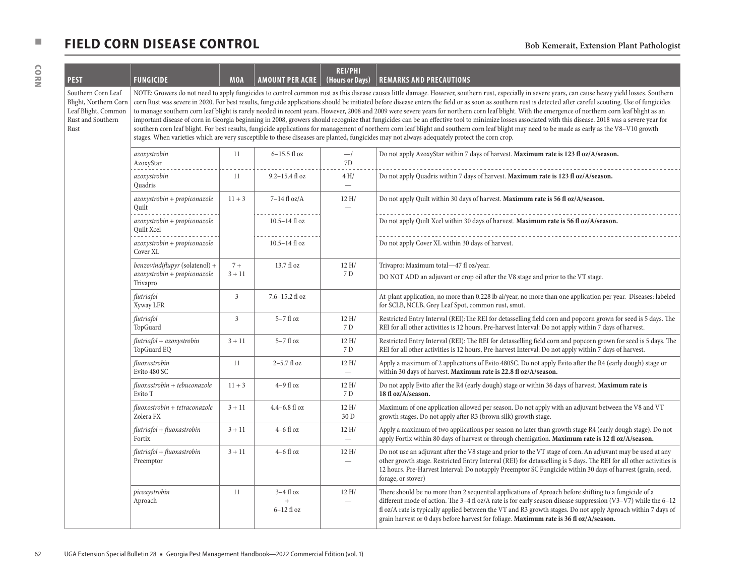# **n FIELD CORN DISEASE CONTROL Bob Kemerait, Extension Plant Pathologist**

| <b>PEST</b>                                                                                     | <b>FUNGICIDE</b>                                                           | <b>MOA</b>       | <b>AMOUNT PER ACRE</b>                           | <b>REI/PHI</b><br>(Hours or Days) | <b>REMARKS AND PRECAUTIONS</b>                                                                                                                                                                                                                                                                                                                                                                                                                                                                                                                                                                                                                                                                                                                                                                                                                                                                                                                                                                                                                                                                                                                                                           |
|-------------------------------------------------------------------------------------------------|----------------------------------------------------------------------------|------------------|--------------------------------------------------|-----------------------------------|------------------------------------------------------------------------------------------------------------------------------------------------------------------------------------------------------------------------------------------------------------------------------------------------------------------------------------------------------------------------------------------------------------------------------------------------------------------------------------------------------------------------------------------------------------------------------------------------------------------------------------------------------------------------------------------------------------------------------------------------------------------------------------------------------------------------------------------------------------------------------------------------------------------------------------------------------------------------------------------------------------------------------------------------------------------------------------------------------------------------------------------------------------------------------------------|
| Southern Corn Leaf<br>Blight, Northern Corn<br>Leaf Blight, Common<br>Rust and Southern<br>Rust |                                                                            |                  |                                                  |                                   | NOTE: Growers do not need to apply fungicides to control common rust as this disease causes little damage. However, southern rust, especially in severe years, can cause heavy yield losses. Southern<br>corn Rust was severe in 2020. For best results, fungicide applications should be initiated before disease enters the field or as soon as southern rust is detected after careful scouting. Use of fungicides<br>to manage southern corn leaf blight is rarely needed in recent years. However, 2008 and 2009 were severe years for northern corn leaf blight. With the emergence of northern corn leaf blight as an<br>important disease of corn in Georgia beginning in 2008, growers should recognize that fungicides can be an effective tool to minimize losses associated with this disease. 2018 was a severe year for<br>southern corn leaf blight. For best results, fungicide applications for management of northern corn leaf blight and southern corn leaf blight may need to be made as early as the V8-V10 growth<br>stages. When varieties which are very susceptible to these diseases are planted, fungicides may not always adequately protect the corn crop. |
|                                                                                                 | azoxystrobin<br>AzoxyStar                                                  | 11               | 6-15.5 fl oz                                     | $-1$<br>7D                        | Do not apply AzoxyStar within 7 days of harvest. Maximum rate is 123 fl oz/A/season.                                                                                                                                                                                                                                                                                                                                                                                                                                                                                                                                                                                                                                                                                                                                                                                                                                                                                                                                                                                                                                                                                                     |
|                                                                                                 | azoxystrobin<br>Quadris                                                    | 11               | $9.2 - 15.4$ fl oz                               | 4H/<br>$\qquad \qquad -$          | Do not apply Quadris within 7 days of harvest. Maximum rate is 123 fl oz/A/season.                                                                                                                                                                                                                                                                                                                                                                                                                                                                                                                                                                                                                                                                                                                                                                                                                                                                                                                                                                                                                                                                                                       |
|                                                                                                 | azoxystrobin + propiconazole<br>Quilt                                      | $11 + 3$         | $7-14$ fl oz/A                                   | 12 H/                             | Do not apply Quilt within 30 days of harvest. Maximum rate is 56 fl oz/A/season.                                                                                                                                                                                                                                                                                                                                                                                                                                                                                                                                                                                                                                                                                                                                                                                                                                                                                                                                                                                                                                                                                                         |
|                                                                                                 | azoxystrobin + propiconazole<br>Quilt Xcel                                 |                  | $10.5 - 14$ fl oz                                |                                   | Do not apply Quilt Xcel within 30 days of harvest. Maximum rate is 56 fl oz/A/season.                                                                                                                                                                                                                                                                                                                                                                                                                                                                                                                                                                                                                                                                                                                                                                                                                                                                                                                                                                                                                                                                                                    |
|                                                                                                 | azoxystrobin + propiconazole<br>Cover XL                                   |                  | $10.5 - 14$ fl oz                                |                                   | Do not apply Cover XL within 30 days of harvest.                                                                                                                                                                                                                                                                                                                                                                                                                                                                                                                                                                                                                                                                                                                                                                                                                                                                                                                                                                                                                                                                                                                                         |
|                                                                                                 | benzovindiflupyr (solatenol) +<br>azoxystrobin + propiconazole<br>Trivapro | $7+$<br>$3 + 11$ | 13.7 fl oz                                       | 12H/<br>7 D                       | Trivapro: Maximum total-47 fl oz/year.<br>DO NOT ADD an adjuvant or crop oil after the V8 stage and prior to the VT stage.                                                                                                                                                                                                                                                                                                                                                                                                                                                                                                                                                                                                                                                                                                                                                                                                                                                                                                                                                                                                                                                               |
|                                                                                                 | flutriafol<br>Xyway LFR                                                    | 3                | 7.6-15.2 fl oz                                   |                                   | At-plant application, no more than 0.228 lb ai/year, no more than one application per year. Diseases: labeled<br>for SCLB, NCLB, Grey Leaf Spot, common rust, smut.                                                                                                                                                                                                                                                                                                                                                                                                                                                                                                                                                                                                                                                                                                                                                                                                                                                                                                                                                                                                                      |
|                                                                                                 | flutriafol<br>TopGuard                                                     | 3                | $5-7$ fl oz                                      | 12 H/<br>7 D                      | Restricted Entry Interval (REI): The REI for detasselling field corn and popcorn grown for seed is 5 days. The<br>REI for all other activities is 12 hours. Pre-harvest Interval: Do not apply within 7 days of harvest.                                                                                                                                                                                                                                                                                                                                                                                                                                                                                                                                                                                                                                                                                                                                                                                                                                                                                                                                                                 |
|                                                                                                 | flutriafol + azoxystrobin<br>TopGuard EQ                                   | $3 + 11$         | $5-7$ fl oz                                      | 12 H/<br>7 D                      | Restricted Entry Interval (REI): The REI for detasselling field corn and popcorn grown for seed is 5 days. The<br>REI for all other activities is 12 hours, Pre-harvest Interval: Do not apply within 7 days of harvest.                                                                                                                                                                                                                                                                                                                                                                                                                                                                                                                                                                                                                                                                                                                                                                                                                                                                                                                                                                 |
|                                                                                                 | fluoxastrobin<br>Evito 480 SC                                              | 11               | $2-5.7$ fl oz                                    | 12 H/<br>$\overline{\phantom{0}}$ | Apply a maximum of 2 applications of Evito 480SC. Do not apply Evito after the R4 (early dough) stage or<br>within 30 days of harvest. Maximum rate is 22.8 fl oz/A/season.                                                                                                                                                                                                                                                                                                                                                                                                                                                                                                                                                                                                                                                                                                                                                                                                                                                                                                                                                                                                              |
|                                                                                                 | fluoxastrobin + tebuconazole<br>Evito T                                    | $11 + 3$         | $4-9$ fl oz                                      | 12 H/<br>7 D                      | Do not apply Evito after the R4 (early dough) stage or within 36 days of harvest. Maximum rate is<br>18 fl oz/A/season.                                                                                                                                                                                                                                                                                                                                                                                                                                                                                                                                                                                                                                                                                                                                                                                                                                                                                                                                                                                                                                                                  |
|                                                                                                 | fluoxostrobin + tetraconazole<br>Zolera FX                                 | $3 + 11$         | $4.4 - 6.8$ fl oz                                | 12 H/<br>30 D                     | Maximum of one application allowed per season. Do not apply with an adjuvant between the V8 and VT<br>growth stages. Do not apply after R3 (brown silk) growth stage.                                                                                                                                                                                                                                                                                                                                                                                                                                                                                                                                                                                                                                                                                                                                                                                                                                                                                                                                                                                                                    |
|                                                                                                 | flutriafol + fluoxastrobin<br>Fortix                                       | $3 + 11$         | $4-6$ fl oz                                      | 12 H/<br>$\overline{\phantom{m}}$ | Apply a maximum of two applications per season no later than growth stage R4 (early dough stage). Do not<br>apply Fortix within 80 days of harvest or through chemigation. Maximum rate is 12 fl oz/A/season.                                                                                                                                                                                                                                                                                                                                                                                                                                                                                                                                                                                                                                                                                                                                                                                                                                                                                                                                                                            |
|                                                                                                 | flutriafol + fluoxastrobin<br>Preemptor                                    | $3 + 11$         | $4-6$ fl oz                                      | 12 H/<br>$\overline{\phantom{m}}$ | Do not use an adjuvant after the V8 stage and prior to the VT stage of corn. An adjuvant may be used at any<br>other growth stage. Restricted Entry Interval (REI) for detasselling is 5 days. The REI for all other activities is<br>12 hours. Pre-Harvest Interval: Do notapply Preemptor SC Fungicide within 30 days of harvest (grain, seed,<br>forage, or stover)                                                                                                                                                                                                                                                                                                                                                                                                                                                                                                                                                                                                                                                                                                                                                                                                                   |
|                                                                                                 | picoxystrobin<br>Aproach                                                   | 11               | $3-4$ fl oz<br>$\qquad \qquad +$<br>$6-12$ fl oz | 12 H/<br>$\overline{\phantom{0}}$ | There should be no more than 2 sequential applications of Aproach before shifting to a fungicide of a<br>different mode of action. The 3-4 fl oz/A rate is for early season disease suppression (V3-V7) while the 6-12<br>fl oz/A rate is typically applied between the VT and R3 growth stages. Do not apply Aproach within 7 days of<br>grain harvest or 0 days before harvest for foliage. Maximum rate is 36 fl oz/A/season.                                                                                                                                                                                                                                                                                                                                                                                                                                                                                                                                                                                                                                                                                                                                                         |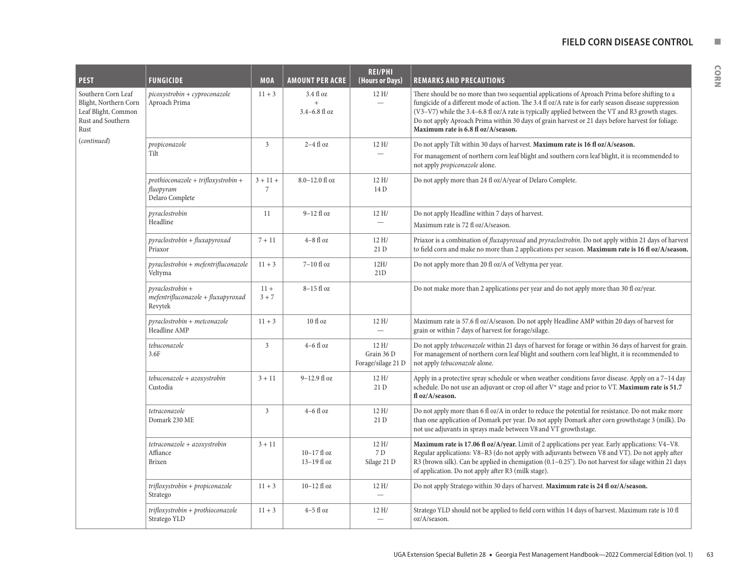#### **FIELD CORN DISEASE CONTROL NUMBER**

| <b>PEST</b>                                                                                     | <b>FUNGICIDE</b>                                                       | <b>MOA</b>        | <b>AMOUNT PER ACRE</b>                  | <b>REI/PHI</b><br>(Hours or Days)        | <b>REMARKS AND PRECAUTIONS</b>                                                                                                                                                                                                                                                                                                                                                                                                                          |
|-------------------------------------------------------------------------------------------------|------------------------------------------------------------------------|-------------------|-----------------------------------------|------------------------------------------|---------------------------------------------------------------------------------------------------------------------------------------------------------------------------------------------------------------------------------------------------------------------------------------------------------------------------------------------------------------------------------------------------------------------------------------------------------|
| Southern Corn Leaf<br>Blight, Northern Corn<br>Leaf Blight, Common<br>Rust and Southern<br>Rust | picoxystrobin + cyproconazole<br>Aproach Prima                         | $11 + 3$          | $3.4f$ l oz<br>$+$<br>$3.4 - 6.8$ fl oz | 12H/                                     | There should be no more than two sequential applications of Aproach Prima before shifting to a<br>fungicide of a different mode of action. The 3.4 fl oz/A rate is for early season disease suppression<br>(V3-V7) while the 3.4-6.8 fl oz/A rate is typically applied between the VT and R3 growth stages.<br>Do not apply Aproach Prima within 30 days of grain harvest or 21 days before harvest for foliage.<br>Maximum rate is 6.8 fl oz/A/season. |
| (continued)                                                                                     | propiconazole                                                          | 3                 | $2-4$ fl oz                             | 12H/                                     | Do not apply Tilt within 30 days of harvest. Maximum rate is 16 fl oz/A/season.                                                                                                                                                                                                                                                                                                                                                                         |
|                                                                                                 | Tilt                                                                   |                   |                                         |                                          | For management of northern corn leaf blight and southern corn leaf blight, it is recommended to<br>not apply propiconazole alone.                                                                                                                                                                                                                                                                                                                       |
|                                                                                                 | $prothioconazole + trifloxystrobin +$<br>fluopyram<br>Delaro Complete  | $3 + 11 +$<br>7   | $8.0 - 12.0$ fl oz                      | 12H/<br>14 D                             | Do not apply more than 24 fl oz/A/year of Delaro Complete.                                                                                                                                                                                                                                                                                                                                                                                              |
|                                                                                                 | pyraclostrobin                                                         | 11                | $9-12$ fl oz                            | 12H/                                     | Do not apply Headline within 7 days of harvest.                                                                                                                                                                                                                                                                                                                                                                                                         |
|                                                                                                 | Headline                                                               |                   |                                         |                                          | Maximum rate is 72 fl oz/A/season.                                                                                                                                                                                                                                                                                                                                                                                                                      |
|                                                                                                 | pyraclostrobin + fluxapyroxad<br>Priaxor                               | $7 + 11$          | $4-8$ fl oz                             | 12H/<br>21 D                             | Priaxor is a combination of <i>fluxapyroxad</i> and <i>pryraclostrobin</i> . Do not apply within 21 days of harvest<br>to field corn and make no more than 2 applications per season. Maximum rate is 16 fl oz/A/season.                                                                                                                                                                                                                                |
|                                                                                                 | $pyraclostrobin + mefentrifluconazole$<br>Veltyma                      | $11 + 3$          | $7-10$ fl oz                            | 12H/<br>21D                              | Do not apply more than 20 fl oz/A of Veltyma per year.                                                                                                                                                                                                                                                                                                                                                                                                  |
|                                                                                                 | $pyraclostrobin +$<br>$m$ efentrifluconazole + fluxapyroxad<br>Revytek | $11 +$<br>$3 + 7$ | 8-15 fl oz                              |                                          | Do not make more than 2 applications per year and do not apply more than 30 fl oz/year.                                                                                                                                                                                                                                                                                                                                                                 |
|                                                                                                 | pyraclostrobin + metconazole<br>Headline AMP                           | $11 + 3$          | $10f$ l oz                              | 12H/<br>$\overline{\phantom{0}}$         | Maximum rate is 57.6 fl oz/A/season. Do not apply Headline AMP within 20 days of harvest for<br>grain or within 7 days of harvest for forage/silage.                                                                                                                                                                                                                                                                                                    |
|                                                                                                 | tebuconazole<br>3.6F                                                   | 3                 | $4-6$ fl oz                             | 12H/<br>Grain 36 D<br>Forage/silage 21 D | Do not apply tebuconazole within 21 days of harvest for forage or within 36 days of harvest for grain.<br>For management of northern corn leaf blight and southern corn leaf blight, it is recommended to<br>not apply tebuconazole alone.                                                                                                                                                                                                              |
|                                                                                                 | tebuconazole + azoxystrobin<br>Custodia                                | $3 + 11$          | $9-12.9$ fl oz                          | 12H/<br>21 D                             | Apply in a protective spray schedule or when weather conditions favor disease. Apply on a 7-14 day<br>schedule. Do not use an adjuvant or crop oil after V* stage and prior to VT. Maximum rate is 51.7<br>fl oz/A/season.                                                                                                                                                                                                                              |
|                                                                                                 | tetraconazole<br>Domark 230 ME                                         | 3                 | $4-6$ fl oz                             | 12H/<br>21 D                             | Do not apply more than 6 fl oz/A in order to reduce the potential for resistance. Do not make more<br>than one application of Domark per year. Do not apply Domark after corn growthstage 3 (milk). Do<br>not use adjuvants in sprays made between V8 and VT growthstage.                                                                                                                                                                               |
|                                                                                                 | tetraconazole + azoxystrobin<br>Affiance<br>Brixen                     | $3 + 11$          | 10-17 fl oz<br>$13-19$ fl oz            | 12H/<br>7 D<br>Silage 21 D               | Maximum rate is 17.06 fl $oz/A/year$ . Limit of 2 applications per year. Early applications: $V4-V8$ .<br>Regular applications: V8-R3 (do not apply with adjuvants between V8 and VT). Do not apply after<br>R3 (brown silk). Can be applied in chemigation $(0.1-0.25)$ . Do not harvest for silage within 21 days<br>of application. Do not apply after R3 (milk stage).                                                                              |
|                                                                                                 | trifloxystrobin + propiconazole<br>Stratego                            | $11 + 3$          | $10-12$ fl oz                           | 12 H/<br>$\overline{\phantom{0}}$        | Do not apply Stratego within 30 days of harvest. Maximum rate is 24 fl oz/A/season.                                                                                                                                                                                                                                                                                                                                                                     |
|                                                                                                 | trifloxystrobin + prothioconazole<br>Stratego YLD                      | $11 + 3$          | $4-5$ fl oz                             | 12H/<br>$\overline{\phantom{0}}$         | Stratego YLD should not be applied to field corn within 14 days of harvest. Maximum rate is 10 fl<br>oz/A/season.                                                                                                                                                                                                                                                                                                                                       |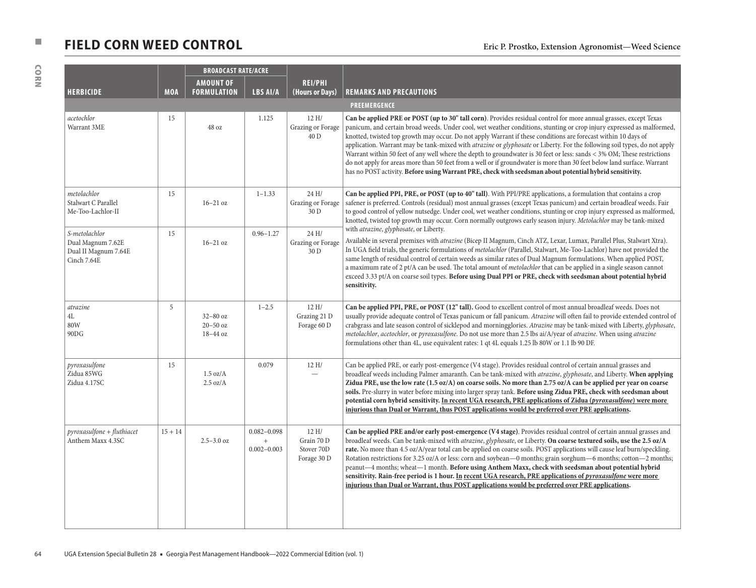# ■ **FIELD CORN WEED CONTROL** Eric P. Prostko, Extension Agronomist—Weed Science

| <b>BROADCAST RATE/ACRE</b>                                                |            |                                          |                                           |                                                  |                                                                                                                                                                                                                                                                                                                                                                                                                                                                                                                                                                                                                                                                                                                                                                                                                                                            |
|---------------------------------------------------------------------------|------------|------------------------------------------|-------------------------------------------|--------------------------------------------------|------------------------------------------------------------------------------------------------------------------------------------------------------------------------------------------------------------------------------------------------------------------------------------------------------------------------------------------------------------------------------------------------------------------------------------------------------------------------------------------------------------------------------------------------------------------------------------------------------------------------------------------------------------------------------------------------------------------------------------------------------------------------------------------------------------------------------------------------------------|
| <b>HERBICIDE</b>                                                          | <b>MOA</b> | <b>AMOUNT OF</b><br><b>FORMULATION</b>   | LBS AI/A                                  | <b>REI/PHI</b><br>(Hours or Days)                | <b>REMARKS AND PRECAUTIONS</b>                                                                                                                                                                                                                                                                                                                                                                                                                                                                                                                                                                                                                                                                                                                                                                                                                             |
|                                                                           |            |                                          |                                           |                                                  | PREEMERGENCE                                                                                                                                                                                                                                                                                                                                                                                                                                                                                                                                                                                                                                                                                                                                                                                                                                               |
| acetochlor<br>Warrant 3ME                                                 | 15         | 48 oz                                    | 1.125                                     | 12 H/<br>Grazing or Forage<br>40 D               | Can be applied PRE or POST (up to 30" tall corn). Provides residual control for more annual grasses, except Texas<br>panicum, and certain broad weeds. Under cool, wet weather conditions, stunting or crop injury expressed as malformed,<br>knotted, twisted top growth may occur. Do not apply Warrant if these conditions are forecast within 10 days of<br>application. Warrant may be tank-mixed with atrazine or glyphosate or Liberty. For the following soil types, do not apply<br>Warrant within 50 feet of any well where the depth to groundwater is 30 feet or less: sands < 3% OM; These restrictions<br>do not apply for areas more than 50 feet from a well or if groundwater is more than 30 feet below land surface. Warrant<br>has no POST activity. Before using Warrant PRE, check with seedsman about potential hybrid sensitivity. |
| metolachlor<br>Stalwart C Parallel<br>Me-Too-Lachlor-II                   | 15         | $16-21$ oz                               | $1 - 1.33$                                | 24 H/<br>Grazing or Forage<br>30 D               | Can be applied PPI, PRE, or POST (up to 40" tall). With PPI/PRE applications, a formulation that contains a crop<br>safener is preferred. Controls (residual) most annual grasses (except Texas panicum) and certain broadleaf weeds. Fair<br>to good control of yellow nutsedge. Under cool, wet weather conditions, stunting or crop injury expressed as malformed,<br>knotted, twisted top growth may occur. Corn normally outgrows early season injury. Metolachlor may be tank-mixed                                                                                                                                                                                                                                                                                                                                                                  |
| S-metolachlor<br>Dual Magnum 7.62E<br>Dual II Magnum 7.64E<br>Cinch 7.64E | 15         | $16-21$ oz                               | $0.96 - 1.27$                             | 24 H/<br>Grazing or Forage<br>30 D               | with atrazine, glyphosate, or Liberty.<br>Available in several premixes with atrazine (Bicep II Magnum, Cinch ATZ, Lexar, Lumax, Parallel Plus, Stalwart Xtra).<br>In UGA field trials, the generic formulations of metolachlor (Parallel, Stalwart, Me-Too-Lachlor) have not provided the<br>same length of residual control of certain weeds as similar rates of Dual Magnum formulations. When applied POST,<br>a maximum rate of 2 pt/A can be used. The total amount of metolachlor that can be applied in a single season cannot<br>exceed 3.33 pt/A on coarse soil types. Before using Dual PPI or PRE, check with seedsman about potential hybrid<br>sensitivity.                                                                                                                                                                                  |
| atrazine<br>4L<br>80W<br>90DG                                             | 5          | $32-80$ oz<br>$20 - 50$ oz<br>18-44 oz   | $1 - 2.5$                                 | 12 H/<br>Grazing 21 D<br>Forage 60 D             | Can be applied PPI, PRE, or POST (12" tall). Good to excellent control of most annual broadleaf weeds. Does not<br>usually provide adequate control of Texas panicum or fall panicum. Atrazine will often fail to provide extended control of<br>crabgrass and late season control of sicklepod and morningglories. Atrazine may be tank-mixed with Liberty, glyphosate,<br>metolachlor, acetochlor, or pyroxasulfone. Do not use more than 2.5 lbs ai/A/year of atrazine. When using atrazine<br>formulations other than 4L, use equivalent rates: 1 qt 4L equals 1.25 lb 80W or 1.1 lb 90 DF.                                                                                                                                                                                                                                                            |
| pyroxasulfone<br>Zidua 85WG<br>Zidua 4.17SC                               | 15         | $1.5 \text{ oz/A}$<br>$2.5 \text{ oz/A}$ | 0.079                                     | 12 H/                                            | Can be applied PRE, or early post-emergence (V4 stage). Provides residual control of certain annual grasses and<br>broadleaf weeds including Palmer amaranth. Can be tank-mixed with atrazine, glyphosate, and Liberty. When applying<br>Zidua PRE, use the low rate (1.5 oz/A) on coarse soils. No more than 2.75 oz/A can be applied per year on coarse<br>soils. Pre-slurry in water before mixing into larger spray tank. Before using Zidua PRE, check with seedsman about<br>potential corn hybrid sensitivity. In recent UGA research, PRE applications of Zidua (pyroxasulfone) were more<br>injurious than Dual or Warrant, thus POST applications would be preferred over PRE applications.                                                                                                                                                      |
| $pyroxasulfone + fluthiacet$<br>Anthem Maxx 4.3SC                         | $15 + 14$  | $2.5 - 3.0$ oz                           | $0.082 - 0.098$<br>$+$<br>$0.002 - 0.003$ | 12 H/<br>Grain 70 D<br>Stover 70D<br>Forage 30 D | Can be applied PRE and/or early post-emergence (V4 stage). Provides residual control of certain annual grasses and<br>broadleaf weeds. Can be tank-mixed with atrazine, glyphosate, or Liberty. On coarse textured soils, use the 2.5 oz/A<br>rate. No more than 4.5 oz/A/year total can be applied on coarse soils. POST applications will cause leaf burn/speckling.<br>Rotation restrictions for 3.25 oz/A or less: corn and soybean-0 months; grain sorghum-6 months; cotton-2 months;<br>peanut-4 months; wheat-1 month. Before using Anthem Maxx, check with seedsman about potential hybrid<br>sensitivity. Rain-free period is 1 hour. In recent UGA research, PRE applications of pyroxasulfone were more<br>injurious than Dual or Warrant, thus POST applications would be preferred over PRE applications.                                     |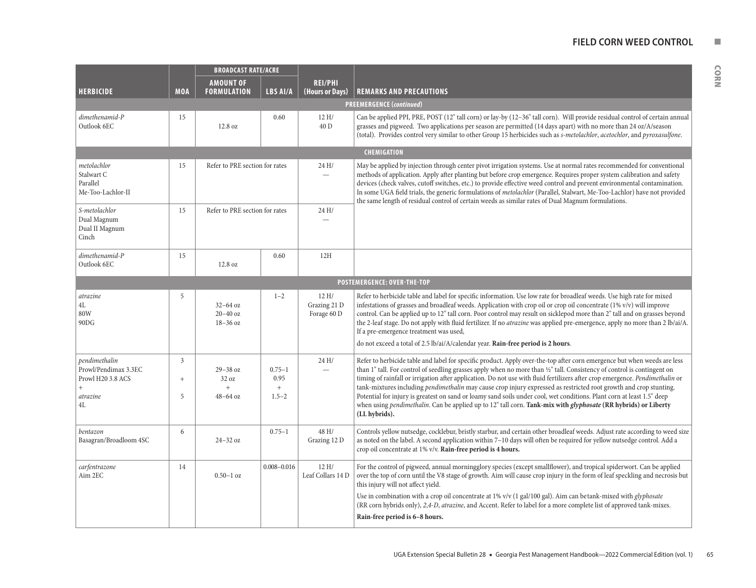#### **FIELD CORN WEED CONTROL NUMBER**

| <b>HERBICIDE</b>                                                                               | <b>MOA</b>                  | <b>BROADCAST RATE/ACRE</b><br><b>AMOUNT OF</b><br><b>FORMULATION</b> | <b>LBS AI/A</b>                        | <b>REI/PHI</b><br>(Hours or Days)   | <b>REMARKS AND PRECAUTIONS</b><br><b>PREEMERGENCE (continued)</b>                                                                                                                                                                                                                                                                                                                                                                                                                                                                                                                                                                                                                                                                                                              |  |  |  |  |
|------------------------------------------------------------------------------------------------|-----------------------------|----------------------------------------------------------------------|----------------------------------------|-------------------------------------|--------------------------------------------------------------------------------------------------------------------------------------------------------------------------------------------------------------------------------------------------------------------------------------------------------------------------------------------------------------------------------------------------------------------------------------------------------------------------------------------------------------------------------------------------------------------------------------------------------------------------------------------------------------------------------------------------------------------------------------------------------------------------------|--|--|--|--|
| dimethenamid-P<br>Outlook 6EC                                                                  | 15                          | 12.8 oz                                                              | 0.60                                   | 12 H/<br>40 D                       | Can be applied PPI, PRE, POST (12" tall corn) or lay-by (12-36" tall corn). Will provide residual control of certain annual<br>grasses and pigweed. Two applications per season are permitted (14 days apart) with no more than 24 oz/A/season<br>(total). Provides control very similar to other Group 15 herbicides such as s-metolachlor, acetochlor, and pyroxasulfone.                                                                                                                                                                                                                                                                                                                                                                                                    |  |  |  |  |
|                                                                                                |                             |                                                                      |                                        |                                     | CHEMIGATION                                                                                                                                                                                                                                                                                                                                                                                                                                                                                                                                                                                                                                                                                                                                                                    |  |  |  |  |
| metolachlor<br>Stalwart C<br>Parallel<br>Me-Too-Lachlor-II                                     | 15                          | Refer to PRE section for rates                                       |                                        | 24 H/                               | May be applied by injection through center pivot irrigation systems. Use at normal rates recommended for conventional<br>methods of application. Apply after planting but before crop emergence. Requires proper system calibration and safety<br>devices (check valves, cutoff switches, etc.) to provide effective weed control and prevent environmental contamination.<br>In some UGA field trials, the generic formulations of metolachlor (Parallel, Stalwart, Me-Too-Lachlor) have not provided<br>the same length of residual control of certain weeds as similar rates of Dual Magnum formulations.                                                                                                                                                                   |  |  |  |  |
| S-metolachlor<br>Dual Magnum<br>Dual II Magnum<br>Cinch                                        | 15                          | Refer to PRE section for rates                                       |                                        | 24 H/                               |                                                                                                                                                                                                                                                                                                                                                                                                                                                                                                                                                                                                                                                                                                                                                                                |  |  |  |  |
| dimethenamid-P<br>Outlook 6EC                                                                  | 15                          | 12.8 oz                                                              | 0.60                                   | 12H                                 |                                                                                                                                                                                                                                                                                                                                                                                                                                                                                                                                                                                                                                                                                                                                                                                |  |  |  |  |
|                                                                                                | POSTEMERGENCE: OVER-THE-TOP |                                                                      |                                        |                                     |                                                                                                                                                                                                                                                                                                                                                                                                                                                                                                                                                                                                                                                                                                                                                                                |  |  |  |  |
| atrazine<br>4L<br>80W<br>90DG                                                                  | 5                           | $32 - 64$ oz<br>$20 - 40$ oz<br>$18-36$ oz                           | $1 - 2$                                | 12H/<br>Grazing 21 D<br>Forage 60 D | Refer to herbicide table and label for specific information. Use low rate for broadleaf weeds. Use high rate for mixed<br>infestations of grasses and broadleaf weeds. Application with crop oil or crop oil concentrate $(1\% v/v)$ will improve<br>control. Can be applied up to 12" tall corn. Poor control may result on sicklepod more than 2" tall and on grasses beyond<br>the 2-leaf stage. Do not apply with fluid fertilizer. If no <i>atrazine</i> was applied pre-emergence, apply no more than 2 lb/ai/A.<br>If a pre-emergence treatment was used,<br>do not exceed a total of 2.5 lb/ai/A/calendar year. Rain-free period is 2 hours.                                                                                                                           |  |  |  |  |
| pendimethalin<br>Prowl/Pendimax 3.3EC<br>Prowl H20 3.8 ACS<br>$+$<br>atrazine<br>$4\mathrm{L}$ | 3<br>$\qquad \qquad +$<br>5 | $29 - 38$ oz<br>32 oz<br>$^{+}$<br>$48-64$ oz                        | $0.75 - 1$<br>0.95<br>$+$<br>$1.5 - 2$ | 24 H/                               | Refer to herbicide table and label for specific product. Apply over-the-top after corn emergence but when weeds are less<br>than 1" tall. For control of seedling grasses apply when no more than 1/2" tall. Consistency of control is contingent on<br>timing of rainfall or irrigation after application. Do not use with fluid fertilizers after crop emergence. Pendimethalin or<br>tank-mixtures including <i>pendimethalin</i> may cause crop injury expressed as restricted root growth and crop stunting.<br>Potential for injury is greatest on sand or loamy sand soils under cool, wet conditions. Plant corn at least 1.5" deep<br>when using pendimethalin. Can be applied up to 12" tall corn. Tank-mix with glyphosate (RR hybrids) or Liberty<br>(LL hybrids). |  |  |  |  |
| bentazon<br>Basagran/Broadloom 4SC                                                             | 6                           | $24 - 32$ oz                                                         | $0.75 - 1$                             | 48 H/<br>Grazing 12 D               | Controls yellow nutsedge, cocklebur, bristly starbur, and certain other broadleaf weeds. Adjust rate according to weed size<br>as noted on the label. A second application within 7-10 days will often be required for yellow nutsedge control. Add a<br>crop oil concentrate at 1% v/v. Rain-free period is 4 hours.                                                                                                                                                                                                                                                                                                                                                                                                                                                          |  |  |  |  |
| carfentrazone<br>Aim 2EC                                                                       | 14                          | $0.50 - 1$ oz                                                        | $0.008 - 0.016$                        | 12H/<br>Leaf Collars 14 D           | For the control of pigweed, annual morningglory species (except smallflower), and tropical spiderwort. Can be applied<br>over the top of corn until the V8 stage of growth. Aim will cause crop injury in the form of leaf speckling and necrosis but<br>this injury will not affect yield.<br>Use in combination with a crop oil concentrate at 1% v/v (1 gal/100 gal). Aim can betank-mixed with <i>glyphosate</i><br>(RR corn hybrids only), 2,4-D, atrazine, and Accent. Refer to label for a more complete list of approved tank-mixes.<br>Rain-free period is 6-8 hours.                                                                                                                                                                                                 |  |  |  |  |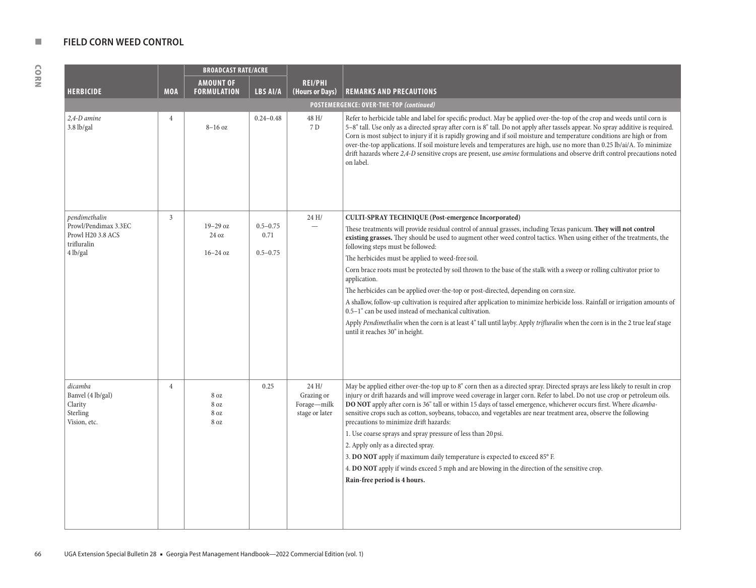CORN

|                                                                      |                | <b>BROADCAST RATE/ACRE</b>        |                                      |                                                     |                                                                                                                                                                                                                                                                                                                                                                                                                                                                                                                                                                                                                                                                                                                                                                                                                                                                                                                                     |  |
|----------------------------------------------------------------------|----------------|-----------------------------------|--------------------------------------|-----------------------------------------------------|-------------------------------------------------------------------------------------------------------------------------------------------------------------------------------------------------------------------------------------------------------------------------------------------------------------------------------------------------------------------------------------------------------------------------------------------------------------------------------------------------------------------------------------------------------------------------------------------------------------------------------------------------------------------------------------------------------------------------------------------------------------------------------------------------------------------------------------------------------------------------------------------------------------------------------------|--|
|                                                                      |                | <b>AMOUNT OF</b>                  |                                      | <b>REI/PHI</b>                                      |                                                                                                                                                                                                                                                                                                                                                                                                                                                                                                                                                                                                                                                                                                                                                                                                                                                                                                                                     |  |
| <b>HERBICIDE</b>                                                     | <b>MOA</b>     | <b>FORMULATION</b>                | LBS AI/A                             | (Hours or Days)                                     | <b>REMARKS AND PRECAUTIONS</b>                                                                                                                                                                                                                                                                                                                                                                                                                                                                                                                                                                                                                                                                                                                                                                                                                                                                                                      |  |
|                                                                      |                |                                   |                                      |                                                     | POSTEMERGENCE: OVER-THE-TOP (continued)                                                                                                                                                                                                                                                                                                                                                                                                                                                                                                                                                                                                                                                                                                                                                                                                                                                                                             |  |
| 2,4-D amine<br>$3.8$ lb/gal                                          | $\overline{4}$ | $8-16$ oz                         | $0.24 - 0.48$                        | 48 H/<br>7 D                                        | Refer to herbicide table and label for specific product. May be applied over-the-top of the crop and weeds until corn is<br>5-8" tall. Use only as a directed spray after corn is 8" tall. Do not apply after tassels appear. No spray additive is required.<br>Corn is most subject to injury if it is rapidly growing and if soil moisture and temperature conditions are high or from<br>over-the-top applications. If soil moisture levels and temperatures are high, use no more than 0.25 lb/ai/A. To minimize<br>drift hazards where 2,4-D sensitive crops are present, use <i>amine</i> formulations and observe drift control precautions noted<br>on label.                                                                                                                                                                                                                                                               |  |
| pendimethalin                                                        | $\mathfrak{Z}$ |                                   |                                      | 24H/                                                | <b>CULTI-SPRAY TECHNIQUE (Post-emergence Incorporated)</b>                                                                                                                                                                                                                                                                                                                                                                                                                                                                                                                                                                                                                                                                                                                                                                                                                                                                          |  |
| Prowl/Pendimax 3.3EC<br>Prowl H20 3.8 ACS<br>trifluralin<br>4 lb/gal |                | $19-29$ oz<br>24 oz<br>$16-24$ oz | $0.5 - 0.75$<br>0.71<br>$0.5 - 0.75$ |                                                     | These treatments will provide residual control of annual grasses, including Texas panicum. They will not control<br>existing grasses. They should be used to augment other weed control tactics. When using either of the treatments, the<br>following steps must be followed:<br>The herbicides must be applied to weed-free soil.<br>Corn brace roots must be protected by soil thrown to the base of the stalk with a sweep or rolling cultivator prior to<br>application.<br>The herbicides can be applied over-the-top or post-directed, depending on corn size.<br>A shallow, follow-up cultivation is required after application to minimize herbicide loss. Rainfall or irrigation amounts of<br>0.5-1" can be used instead of mechanical cultivation.<br>Apply Pendimethalin when the corn is at least 4" tall until layby. Apply trifluralin when the corn is in the 2 true leaf stage<br>until it reaches 30" in height. |  |
| dicamba<br>Banvel (4 lb/gal)<br>Clarity<br>Sterling<br>Vision, etc.  | $\overline{4}$ | 8 oz<br>8 oz<br>8 oz<br>8 oz      | 0.25                                 | 24H/<br>Grazing or<br>Forage-milk<br>stage or later | May be applied either over-the-top up to 8" corn then as a directed spray. Directed sprays are less likely to result in crop<br>injury or drift hazards and will improve weed coverage in larger corn. Refer to label. Do not use crop or petroleum oils.<br>DO NOT apply after corn is 36" tall or within 15 days of tassel emergence, whichever occurs first. Where dicamba-<br>sensitive crops such as cotton, soybeans, tobacco, and vegetables are near treatment area, observe the following<br>precautions to minimize drift hazards:<br>1. Use coarse sprays and spray pressure of less than 20 psi.<br>2. Apply only as a directed spray.<br>3. DO NOT apply if maximum daily temperature is expected to exceed 85° F.<br>4. DO NOT apply if winds exceed 5 mph and are blowing in the direction of the sensitive crop.<br>Rain-free period is 4 hours.                                                                    |  |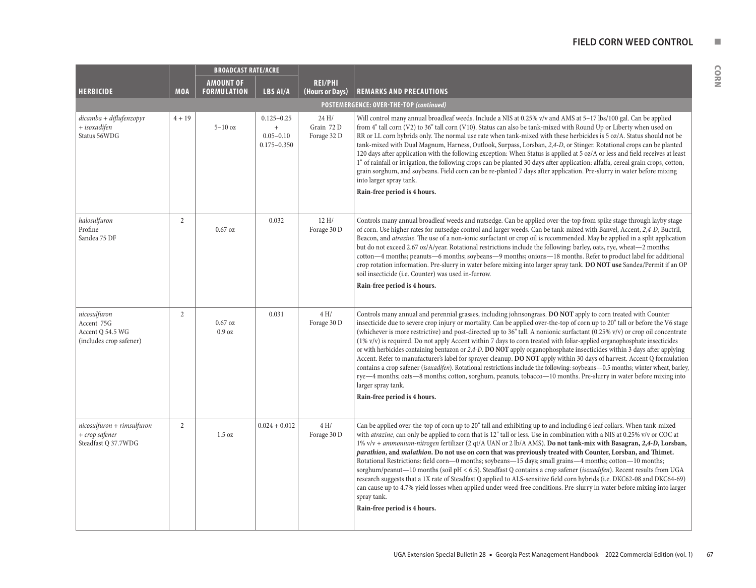|                                                                           |                | <b>BROADCAST RATE/ACRE</b>             |                                                                        |                                    |                                                                                                                                                                                                                                                                                                                                                                                                                                                                                                                                                                                                                                                                                                                                                                                                                                                                                                                                                                                                                                                                                 |
|---------------------------------------------------------------------------|----------------|----------------------------------------|------------------------------------------------------------------------|------------------------------------|---------------------------------------------------------------------------------------------------------------------------------------------------------------------------------------------------------------------------------------------------------------------------------------------------------------------------------------------------------------------------------------------------------------------------------------------------------------------------------------------------------------------------------------------------------------------------------------------------------------------------------------------------------------------------------------------------------------------------------------------------------------------------------------------------------------------------------------------------------------------------------------------------------------------------------------------------------------------------------------------------------------------------------------------------------------------------------|
| <b>HERBICIDE</b>                                                          | <b>MOA</b>     | <b>AMOUNT OF</b><br><b>FORMULATION</b> | <b>LBS AI/A</b>                                                        | <b>REI/PHI</b><br>(Hours or Days)  | <b>REMARKS AND PRECAUTIONS</b>                                                                                                                                                                                                                                                                                                                                                                                                                                                                                                                                                                                                                                                                                                                                                                                                                                                                                                                                                                                                                                                  |
|                                                                           |                |                                        |                                                                        |                                    | POSTEMERGENCE: OVER-THE-TOP (continued)                                                                                                                                                                                                                                                                                                                                                                                                                                                                                                                                                                                                                                                                                                                                                                                                                                                                                                                                                                                                                                         |
| $dicamba + diffufenzopyr$<br>+ isoxadifen<br>Status 56WDG                 | $4 + 19$       | $5-10$ oz                              | $0.125 - 0.25$<br>$\boldsymbol{+}$<br>$0.05 - 0.10$<br>$0.175 - 0.350$ | 24 H/<br>Grain 72 D<br>Forage 32 D | Will control many annual broadleaf weeds. Include a NIS at 0.25% v/v and AMS at 5-17 lbs/100 gal. Can be applied<br>from 4" tall corn (V2) to 36" tall corn (V10). Status can also be tank-mixed with Round Up or Liberty when used on<br>RR or LL corn hybrids only. The normal use rate when tank-mixed with these herbicides is 5 oz/A. Status should not be<br>tank-mixed with Dual Magnum, Harness, Outlook, Surpass, Lorsban, 2,4-D, or Stinger. Rotational crops can be planted<br>120 days after application with the following exception: When Status is applied at 5 oz/A or less and field receives at least<br>1" of rainfall or irrigation, the following crops can be planted 30 days after application: alfalfa, cereal grain crops, cotton,<br>grain sorghum, and soybeans. Field corn can be re-planted 7 days after application. Pre-slurry in water before mixing<br>into larger spray tank.<br>Rain-free period is 4 hours.                                                                                                                                 |
| halosulfuron<br>Profine<br>Sandea 75 DF                                   | $\overline{2}$ | $0.67$ oz                              | 0.032                                                                  | 12 H/<br>Forage 30 D               | Controls many annual broadleaf weeds and nutsedge. Can be applied over-the-top from spike stage through layby stage<br>of corn. Use higher rates for nutsedge control and larger weeds. Can be tank-mixed with Banvel, Accent, 2,4-D, Buctril,<br>Beacon, and atrazine. The use of a non-ionic surfactant or crop oil is recommended. May be applied in a split application<br>but do not exceed 2.67 oz/A/year. Rotational restrictions include the following: barley, oats, rye, wheat—2 months;<br>cotton—4 months; peanuts—6 months; soybeans—9 months; onions—18 months. Refer to product label for additional<br>crop rotation information. Pre-slurry in water before mixing into larger spray tank. DO NOT use Sandea/Permit if an OP<br>soil insecticide (i.e. Counter) was used in-furrow.<br>Rain-free period is 4 hours.                                                                                                                                                                                                                                            |
| nicosulfuron<br>Accent 75G<br>Accent Q 54.5 WG<br>(includes crop safener) | 2              | $0.67$ oz<br>0.9 oz                    | 0.031                                                                  | 4 H/<br>Forage 30 D                | Controls many annual and perennial grasses, including johnsongrass. DO NOT apply to corn treated with Counter<br>insecticide due to severe crop injury or mortality. Can be applied over-the-top of corn up to 20" tall or before the V6 stage<br>(whichever is more restrictive) and post-directed up to 36" tall. A nonionic surfactant (0.25% v/v) or crop oil concentrate<br>(1% v/v) is required. Do not apply Accent within 7 days to corn treated with foliar-applied organophosphate insecticides<br>or with herbicides containing bentazon or $2,4$ -D. DO NOT apply organophosphate insecticides within 3 days after applying<br>Accent. Refer to manufacturer's label for sprayer cleanup. DO NOT apply within 30 days of harvest. Accent Q formulation<br>contains a crop safener (isoxadifen). Rotational restrictions include the following: soybeans-0.5 months; winter wheat, barley,<br>rye—4 months; oats—8 months; cotton, sorghum, peanuts, tobacco—10 months. Pre-slurry in water before mixing into<br>larger spray tank.<br>Rain-free period is 4 hours. |
| $nicosulfuron + rimsulfuron$<br>+ crop safener<br>Steadfast Q 37.7WDG     | $\overline{2}$ | 1.5 oz                                 | $0.024 + 0.012$                                                        | 4 H/<br>Forage 30 D                | Can be applied over-the-top of corn up to 20" tall and exhibiting up to and including 6 leaf collars. When tank-mixed<br>with <i>atrazine</i> , can only be applied to corn that is 12" tall or less. Use in combination with a NIS at 0.25% v/v or COC at<br>1% v/v + ammonium-nitrogen fertilizer (2 qt/A UAN or 2 lb/A AMS). Do not tank-mix with Basagran, 2,4-D, Lorsban,<br>parathion, and malathion. Do not use on corn that was previously treated with Counter, Lorsban, and Thimet.<br>Rotational Restrictions: field corn—0 months; soybeans—15 days; small grains—4 months; cotton—10 months;<br>sorghum/peanut-10 months (soil pH < 6.5). Steadfast Q contains a crop safener (isoxadifen). Recent results from UGA<br>research suggests that a 1X rate of Steadfast Q applied to ALS-sensitive field corn hybrids (i.e. DKC62-08 and DKC64-69)<br>can cause up to 4.7% yield losses when applied under weed-free conditions. Pre-slurry in water before mixing into larger<br>spray tank.<br>Rain-free period is 4 hours.                                         |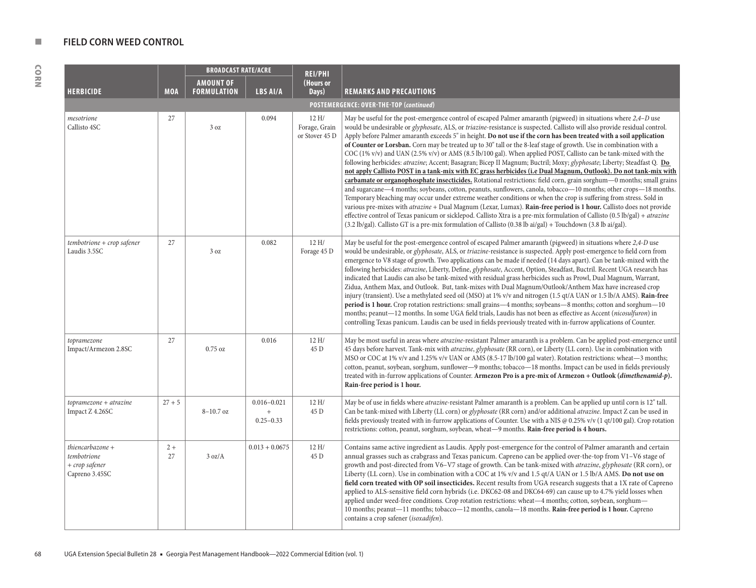CORN

|                                                                     |            | <b>BROADCAST RATE/ACRE</b>             |                                                      | <b>REI/PHI</b>                           |                                                                                                                                                                                                                                                                                                                                                                                                                                                                                                                                                                                                                                                                                                                                                                                                                                                                                                                                                                                                                                                                                                                                                                                                                                |
|---------------------------------------------------------------------|------------|----------------------------------------|------------------------------------------------------|------------------------------------------|--------------------------------------------------------------------------------------------------------------------------------------------------------------------------------------------------------------------------------------------------------------------------------------------------------------------------------------------------------------------------------------------------------------------------------------------------------------------------------------------------------------------------------------------------------------------------------------------------------------------------------------------------------------------------------------------------------------------------------------------------------------------------------------------------------------------------------------------------------------------------------------------------------------------------------------------------------------------------------------------------------------------------------------------------------------------------------------------------------------------------------------------------------------------------------------------------------------------------------|
| <b>HERBICIDE</b>                                                    | <b>MOA</b> | <b>AMOUNT OF</b><br><b>FORMULATION</b> | LBS AI/A                                             | (Hours or<br>Days)                       | <b>REMARKS AND PRECAUTIONS</b>                                                                                                                                                                                                                                                                                                                                                                                                                                                                                                                                                                                                                                                                                                                                                                                                                                                                                                                                                                                                                                                                                                                                                                                                 |
|                                                                     |            |                                        |                                                      |                                          | POSTEMERGENCE: OVER-THE-TOP (continued)                                                                                                                                                                                                                                                                                                                                                                                                                                                                                                                                                                                                                                                                                                                                                                                                                                                                                                                                                                                                                                                                                                                                                                                        |
| mesotrione<br>Callisto 4SC                                          | 27         | 3 oz                                   | 0.094                                                | 12 H/<br>Forage, Grain<br>or Stover 45 D | May be useful for the post-emergence control of escaped Palmer amaranth (pigweed) in situations where 2,4–D use<br>would be undesirable or <i>glyphosate</i> , ALS, or <i>triazine</i> -resistance is suspected. Callisto will also provide residual control.<br>Apply before Palmer amaranth exceeds 5" in height. Do not use if the corn has been treated with a soil application<br>of Counter or Lorsban. Corn may be treated up to 30" tall or the 8-leaf stage of growth. Use in combination with a<br>COC $(1\% v/v)$ and UAN $(2.5\% v/v)$ or AMS $(8.5 \text{ lb}/100 \text{ gal})$ . When applied POST, Callisto can be tank-mixed with the<br>following herbicides: atrazine; Accent; Basagran; Bicep II Magnum; Buctril; Moxy; glyphosate; Liberty; Steadfast Q. Do<br>not apply Callisto POST in a tank-mix with EC grass herbicides (i.e Dual Magnum, Outlook). Do not tank-mix with                                                                                                                                                                                                                                                                                                                             |
|                                                                     |            |                                        |                                                      |                                          | carbamate or organophosphate insecticides. Rotational restrictions: field corn, grain sorghum—0 months; small grains<br>and sugarcane—4 months; soybeans, cotton, peanuts, sunflowers, canola, tobacco—10 months; other crops—18 months.<br>Temporary bleaching may occur under extreme weather conditions or when the crop is suffering from stress. Sold in<br>various pre-mixes with atrazine + Dual Magnum (Lexar, Lumax). Rain-free period is 1 hour. Callisto does not provide<br>effective control of Texas panicum or sicklepod. Callisto Xtra is a pre-mix formulation of Callisto $(0.5 \text{ lb/gal}) + \text{arazine}$<br>$(3.2 \text{ lb/gal})$ . Callisto GT is a pre-mix formulation of Callisto $(0.38 \text{ lb ai/gal})$ + Touchdown $(3.8 \text{ lb ai/gal})$ .                                                                                                                                                                                                                                                                                                                                                                                                                                            |
| tembotrione + crop safener<br>Laudis 3.5SC                          | 27         | 3 oz                                   | 0.082                                                | 12 H/<br>Forage 45 D                     | May be useful for the post-emergence control of escaped Palmer amaranth (pigweed) in situations where 2,4-D use<br>would be undesirable, or <i>glyphosate</i> , ALS, or <i>triazine</i> -resistance is suspected. Apply post-emergence to field corn from<br>emergence to V8 stage of growth. Two applications can be made if needed (14 days apart). Can be tank-mixed with the<br>following herbicides: atrazine, Liberty, Define, glyphosate, Accent, Option, Steadfast, Buctril. Recent UGA research has<br>indicated that Laudis can also be tank-mixed with residual grass herbicides such as Prowl, Dual Magnum, Warrant,<br>Zidua, Anthem Max, and Outlook. But, tank-mixes with Dual Magnum/Outlook/Anthem Max have increased crop<br>injury (transient). Use a methylated seed oil (MSO) at 1% v/v and nitrogen (1.5 qt/A UAN or 1.5 lb/A AMS). Rain-free<br>period is 1 hour. Crop rotation restrictions: small grains—4 months; soybeans—8 months; cotton and sorghum—10<br>months; peanut-12 months. In some UGA field trials, Laudis has not been as effective as Accent (nicosulfuron) in<br>controlling Texas panicum. Laudis can be used in fields previously treated with in-furrow applications of Counter. |
| topramezone<br>Impact/Armezon 2.8SC                                 | 27         | $0.75$ oz                              | 0.016                                                | 12 H/<br>45 D                            | May be most useful in areas where atrazine-resistant Palmer amaranth is a problem. Can be applied post-emergence until<br>45 days before harvest. Tank-mix with atrazine, glyphosate (RR corn), or Liberty (LL corn). Use in combination with<br>MSO or COC at 1% v/v and 1.25% v/v UAN or AMS (8.5-17 lb/100 gal water). Rotation restrictions: wheat-3 months;<br>cotton, peanut, soybean, sorghum, sunflower-9 months; tobacco-18 months. Impact can be used in fields previously<br>treated with in-furrow applications of Counter. Armezon Pro is a pre-mix of Armezon + Outlook (dimethenamid-p).<br>Rain-free period is 1 hour.                                                                                                                                                                                                                                                                                                                                                                                                                                                                                                                                                                                         |
| topramezone + atrazine<br>Impact Z 4.26SC                           | $27 + 5$   | $8 - 10.7$ oz                          | $0.016 - 0.021$<br>$\boldsymbol{+}$<br>$0.25 - 0.33$ | 12 H/<br>45 D                            | May be of use in fields where <i>atrazine</i> -resistant Palmer amaranth is a problem. Can be applied up until corn is 12" tall.<br>Can be tank-mixed with Liberty (LL corn) or glyphosate (RR corn) and/or additional atrazine. Impact Z can be used in<br>fields previously treated with in-furrow applications of Counter. Use with a NIS @ 0.25% v/v (1 qt/100 gal). Crop rotation<br>restrictions: cotton, peanut, sorghum, soybean, wheat-9 months. Rain-free period is 4 hours.                                                                                                                                                                                                                                                                                                                                                                                                                                                                                                                                                                                                                                                                                                                                         |
| thiencarbazone +<br>tembotrione<br>+ crop safener<br>Capreno 3.45SC | $2+$<br>27 | 3 oz/A                                 | $0.013 + 0.0675$                                     | 12 H/<br>45 D                            | Contains same active ingredient as Laudis. Apply post-emergence for the control of Palmer amaranth and certain<br>annual grasses such as crabgrass and Texas panicum. Capreno can be applied over-the-top from V1-V6 stage of<br>growth and post-directed from V6-V7 stage of growth. Can be tank-mixed with atrazine, glyphosate (RR corn), or<br>Liberty (LL corn). Use in combination with a COC at 1% v/v and 1.5 qt/A UAN or 1.5 lb/A AMS. Do not use on<br>field corn treated with OP soil insecticides. Recent results from UGA research suggests that a 1X rate of Capreno<br>applied to ALS-sensitive field corn hybrids (i.e. DKC62-08 and DKC64-69) can cause up to 4.7% yield losses when<br>applied under weed-free conditions. Crop rotation restrictions: wheat-4 months; cotton, soybean, sorghum-<br>10 months; peanut—11 months; tobacco—12 months, canola—18 months. Rain-free period is 1 hour. Capreno<br>contains a crop safener (isoxadifen).                                                                                                                                                                                                                                                           |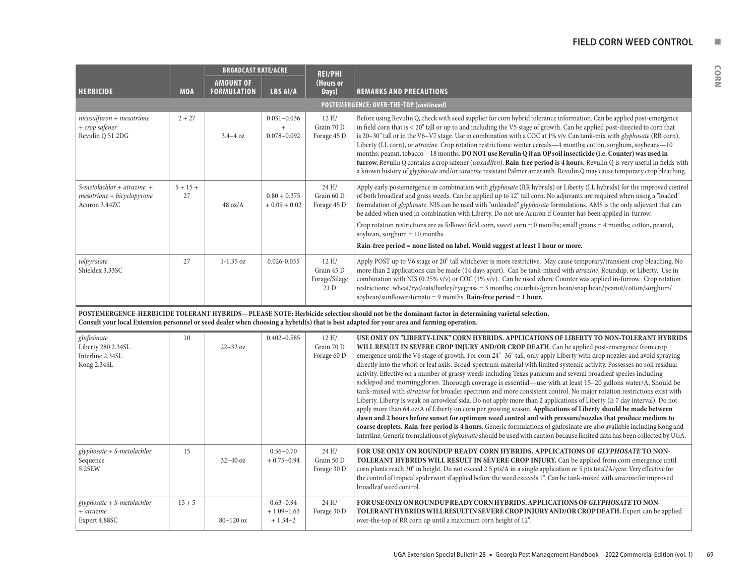| . . |  |
|-----|--|
|     |  |
|     |  |

|                                                                             |                  | <b>BROADCAST RATE/ACRE</b> |                                                 | <b>REI/PHI</b>                               |                                                                                                                                                                                                                                                                                                                                                                                                                                                                                                                                                                                                                                                                                                                                                                                                                                                                                                                                                                                                                                                                                                                                                                                                                                                                                                                                                                                                                                      |  |
|-----------------------------------------------------------------------------|------------------|----------------------------|-------------------------------------------------|----------------------------------------------|--------------------------------------------------------------------------------------------------------------------------------------------------------------------------------------------------------------------------------------------------------------------------------------------------------------------------------------------------------------------------------------------------------------------------------------------------------------------------------------------------------------------------------------------------------------------------------------------------------------------------------------------------------------------------------------------------------------------------------------------------------------------------------------------------------------------------------------------------------------------------------------------------------------------------------------------------------------------------------------------------------------------------------------------------------------------------------------------------------------------------------------------------------------------------------------------------------------------------------------------------------------------------------------------------------------------------------------------------------------------------------------------------------------------------------------|--|
|                                                                             |                  | <b>AMOUNT OF</b>           |                                                 | (Hours or                                    |                                                                                                                                                                                                                                                                                                                                                                                                                                                                                                                                                                                                                                                                                                                                                                                                                                                                                                                                                                                                                                                                                                                                                                                                                                                                                                                                                                                                                                      |  |
| <b>HERBICIDE</b>                                                            | <b>MOA</b>       | <b>FORMULATION</b>         | <b>LBS AI/A</b>                                 | Days)                                        | <b>REMARKS AND PRECAUTIONS</b>                                                                                                                                                                                                                                                                                                                                                                                                                                                                                                                                                                                                                                                                                                                                                                                                                                                                                                                                                                                                                                                                                                                                                                                                                                                                                                                                                                                                       |  |
|                                                                             |                  |                            |                                                 |                                              | POSTEMERGENCE: OVER-THE-TOP (continued)                                                                                                                                                                                                                                                                                                                                                                                                                                                                                                                                                                                                                                                                                                                                                                                                                                                                                                                                                                                                                                                                                                                                                                                                                                                                                                                                                                                              |  |
| $nicosulfuron + mesotrione$<br>+ crop safener<br>Revulin Q 51.2DG           | $2 + 27$         | $3.4 - 4$ oz               | $0.031 - 0.036$<br>$\ddot{}$<br>$0.078 - 0.092$ | 12 H/<br>Grain 70 D<br>Forage 45 D           | Before using Revulin Q, check with seed supplier for corn hybrid tolerance information. Can be applied post-emergence<br>in field corn that is < 20" tall or up to and including the V5 stage of growth. Can be applied post-directed to corn that<br>is 20–30" tall or in the V6–V7 stage. Use in combination with a COC at 1% v/v. Can tank-mix with <i>glyphosate</i> (RR corn),<br>Liberty (LL corn), or <i>atrazine</i> . Crop rotation restrictions: winter cereals -4 months; cotton, sorghum, soybeans -10<br>months; peanut, tobacco—18 months. DO NOT use Revulin Q if an OP soil insecticide (i.e. Counter) was used in-<br>furrow. Revulin Q contains a crop safener (isoxadifen). Rain-free period is 4 hours. Revulin Q is very useful in fields with<br>a known history of <i>glyphosate</i> and/or <i>atrazine</i> resistant Palmer amaranth. Revulin Q may cause temporary crop bleaching.                                                                                                                                                                                                                                                                                                                                                                                                                                                                                                                          |  |
| S-metolachlor + atrazine +<br>$mesotrione + bicyclopyrone$<br>Acuron 3.44ZC | $5 + 15 +$<br>27 | $48 \text{ oz/A}$          | $0.80 + 0.375$<br>$+0.09 + 0.02$                | 24 H/<br>Grain 60 D<br>Forage 45 D           | Apply early postemergence in combination with glyphosate (RR hybrids) or Liberty (LL hybrids) for the improved control<br>of both broadleaf and grass weeds. Can be applied up to 12" tall corn. No adjuvants are required when using a "loaded"<br>formulation of glyphosate. NIS can be used with "unloaded" glyphosate formulations. AMS is the only adjuvant that can<br>be added when used in combination with Liberty. Do not use Acuron if Counter has been applied in-furrow.<br>Crop rotation restrictions are as follows: field corn, sweet corn = $0$ months; small grains = $4$ months; cotton, peanut,<br>soybean, sorghum $= 10$ months.<br>Rain-free period = none listed on label. Would suggest at least 1 hour or more.                                                                                                                                                                                                                                                                                                                                                                                                                                                                                                                                                                                                                                                                                            |  |
| tolpyralate<br>Shieldex 3.33SC                                              | 27               | $1 - 1.35$ oz              | $0.026 - 0.035$                                 | 12 H/<br>Grain 45 D<br>Forage/Silage<br>21 D | Apply POST up to V6 stage or 20" tall whichever is more restrictive. May cause temporary/transient crop bleaching. No<br>more than 2 applications can be made (14 days apart). Can be tank-mixed with <i>atrazine</i> , Roundup, or Liberty. Use in<br>combination with NIS (0.25% v/v) or COC (1% v/v). Can be used where Counter was applied in-furrow. Crop rotation<br>restrictions: wheat/rye/oats/barley/ryegrass = 3 months; cucurbits/green bean/snap bean/peanut/cotton/sorghum/<br>soybean/sunflower/tomato = 9 months. Rain-free period = 1 hour.                                                                                                                                                                                                                                                                                                                                                                                                                                                                                                                                                                                                                                                                                                                                                                                                                                                                         |  |
|                                                                             |                  |                            |                                                 |                                              | POSTEMERGENCE-HERBICIDE TOLERANT HYBRIDS-PLEASE NOTE: Herbicide selection should not be the dominant factor in determining varietal selection.<br>Consult your local Extension personnel or seed dealer when choosing a hybrid(s) that is best adapted for your area and farming operation.                                                                                                                                                                                                                                                                                                                                                                                                                                                                                                                                                                                                                                                                                                                                                                                                                                                                                                                                                                                                                                                                                                                                          |  |
| glufosinate<br>Liberty 280 2.34SL<br>Interline 2.34SL<br>Kong 2.34SL        | 10               | $22 - 32$ oz               | $0.402 - 0.585$                                 | 12H/<br>Grain 70 D<br>Forage 60 D            | USE ONLY ON "LIBERTY-LINK" CORN HYBRIDS. APPLICATIONS OF LIBERTY TO NON-TOLERANT HYBRIDS<br>WILL RESULT IN SEVERE CROP INJURY AND/OR CROP DEATH. Can be applied post-emergence from crop<br>emergence until the V6 stage of growth. For corn 24"-36" tall, only apply Liberty with drop nozzles and avoid spraying<br>directly into the whorl or leaf axils. Broad-spectrum material with limited systemic activity. Possesses no soil residual<br>activity. Effective on a number of grassy weeds including Texas panicum and several broadleaf species including<br>sicklepod and morningglories. Thorough coverage is essential—use with at least 15–20 gallons water/A. Should be<br>tank-mixed with atrazine for broader spectrum and more consistent control. No major rotation restrictions exist with<br>Liberty. Liberty is weak on arrowleaf sida. Do not apply more than 2 applications of Liberty ( $\geq 7$ day interval). Do not<br>apply more than 64 oz/A of Liberty on corn per growing season. Applications of Liberty should be made between<br>dawn and 2 hours before sunset for optimum weed control and with pressure/nozzles that produce medium to<br>coarse droplets. Rain-free period is 4 hours. Generic formulations of glufosinate are also available including Kong and<br>Interline. Generic formulations of glufosinate should be used with caution because limited data has been collected by UGA. |  |
| $glyphosate + S-metolachlor$<br>Sequence<br>5.25EW                          | 15               | $32-40$ oz                 | $0.56 - 0.70$<br>$+0.75 - 0.94$                 | 24 H/<br>Grain 50 D<br>Forage 30 D           | FOR USE ONLY ON ROUNDUP READY CORN HYBRIDS. APPLICATIONS OF GLYPHOSATE TO NON-<br>TOLERANT HYBRIDS WILL RESULT IN SEVERE CROP INJURY. Can be applied from corn emergence until<br>corn plants reach 30" in height. Do not exceed 2.5 pts/A in a single application or 5 pts total/A/year. Very effective for<br>the control of tropical spiderwort if applied before the weed exceeds 1". Can be tank-mixed with <i>atrazine</i> for improved<br>broadleaf weed control.                                                                                                                                                                                                                                                                                                                                                                                                                                                                                                                                                                                                                                                                                                                                                                                                                                                                                                                                                             |  |
| glyphosate + S-metolachlor<br>$+$ atrazine<br>Expert 4.88SC                 | $15 + 5$         | 80-120 oz                  | $0.63 - 0.94$<br>$+1.09-1.63$<br>$+1.34-2$      | 24 H/<br>Forage 30 D                         | FOR USE ONLY ON ROUNDUP READY CORN HYBRIDS. APPLICATIONS OF GLYPHOSATE TO NON-<br><b>TOLERANT HYBRIDS WILL RESULT IN SEVERE CROP INJURY AND/OR CROP DEATH.</b> Expert can be applied<br>over-the-top of RR corn up until a maximum corn height of 12".                                                                                                                                                                                                                                                                                                                                                                                                                                                                                                                                                                                                                                                                                                                                                                                                                                                                                                                                                                                                                                                                                                                                                                               |  |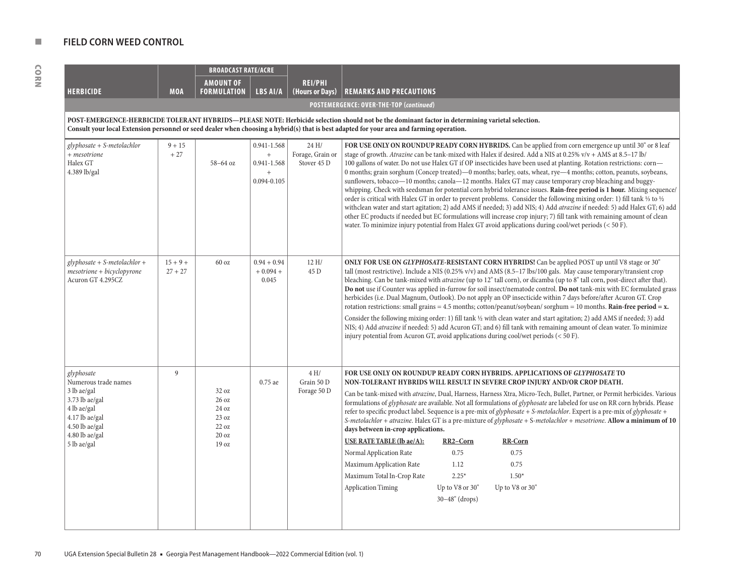|                                                                                                                                                         |                         | <b>BROADCAST RATE/ACRE</b>                                             |                                                         |                                          |                                                                                                                                                                                                                                                                                                                                                                                                                                                                                                                                                                                                                                                                                                                                                                                                                                                                                                                                                                                                                                                                                                                                                                                                            |
|---------------------------------------------------------------------------------------------------------------------------------------------------------|-------------------------|------------------------------------------------------------------------|---------------------------------------------------------|------------------------------------------|------------------------------------------------------------------------------------------------------------------------------------------------------------------------------------------------------------------------------------------------------------------------------------------------------------------------------------------------------------------------------------------------------------------------------------------------------------------------------------------------------------------------------------------------------------------------------------------------------------------------------------------------------------------------------------------------------------------------------------------------------------------------------------------------------------------------------------------------------------------------------------------------------------------------------------------------------------------------------------------------------------------------------------------------------------------------------------------------------------------------------------------------------------------------------------------------------------|
|                                                                                                                                                         |                         | <b>AMOUNT OF</b>                                                       |                                                         | <b>REI/PHI</b>                           |                                                                                                                                                                                                                                                                                                                                                                                                                                                                                                                                                                                                                                                                                                                                                                                                                                                                                                                                                                                                                                                                                                                                                                                                            |
| <b>HERBICIDE</b>                                                                                                                                        | <b>MOA</b>              | FORMULATION                                                            | LBS AI/A                                                | (Hours or Days)                          | <b>REMARKS AND PRECAUTIONS</b>                                                                                                                                                                                                                                                                                                                                                                                                                                                                                                                                                                                                                                                                                                                                                                                                                                                                                                                                                                                                                                                                                                                                                                             |
|                                                                                                                                                         |                         |                                                                        |                                                         |                                          | POSTEMERGENCE: OVER-THE-TOP (continued)                                                                                                                                                                                                                                                                                                                                                                                                                                                                                                                                                                                                                                                                                                                                                                                                                                                                                                                                                                                                                                                                                                                                                                    |
|                                                                                                                                                         |                         |                                                                        |                                                         |                                          | POST-EMERGENCE-HERBICIDE TOLERANT HYBRIDS—PLEASE NOTE: Herbicide selection should not be the dominant factor in determining varietal selection.<br>Consult your local Extension personnel or seed dealer when choosing a hybrid(s) that is best adapted for your area and farming operation.                                                                                                                                                                                                                                                                                                                                                                                                                                                                                                                                                                                                                                                                                                                                                                                                                                                                                                               |
| glyphosate + S-metolachlor<br>+ mesotrione<br>Halex GT<br>4.389 lb/gal                                                                                  | $9 + 15$<br>$+27$       | 58-64 oz                                                               | 0.941-1.568<br>$+$<br>0.941-1.568<br>$+$<br>0.094-0.105 | 24 H/<br>Forage, Grain or<br>Stover 45 D | FOR USE ONLY ON ROUNDUP READY CORN HYBRIDS. Can be applied from corn emergence up until 30" or 8 leaf<br>stage of growth. Atrazine can be tank-mixed with Halex if desired. Add a NIS at 0.25% v/v + AMS at 8.5–17 lb/<br>100 gallons of water. Do not use Halex GT if OP insecticides have been used at planting. Rotation restrictions: corn-<br>0 months; grain sorghum (Concep treated)—0 months; barley, oats, wheat, rye—4 months; cotton, peanuts, soybeans,<br>sunflowers, tobacco—10 months; canola—12 months. Halex GT may cause temporary crop bleaching and buggy-<br>whipping. Check with seedsman for potential corn hybrid tolerance issues. Rain-free period is 1 hour. Mixing sequence/<br>order is critical with Halex GT in order to prevent problems. Consider the following mixing order: 1) fill tank 1/3 to 1/2<br>withclean water and start agitation; 2) add AMS if needed; 3) add NIS; 4) Add atrazine if needed: 5) add Halex GT; 6) add<br>other EC products if needed but EC formulations will increase crop injury; 7) fill tank with remaining amount of clean<br>water. To minimize injury potential from Halex GT avoid applications during cool/wet periods $(< 50 F$ ). |
| $glyphosate + S-metolachlor +$<br>$mesotrione + bicyclopyrone$<br>Acuron GT 4.295CZ                                                                     | $15 + 9 +$<br>$27 + 27$ | 60 oz                                                                  | $0.94 + 0.94$<br>$+0.094 +$<br>0.045                    | 12H/<br>45 D                             | ONLY FOR USE ON GLYPHOSATE-RESISTANT CORN HYBRIDS! Can be applied POST up until V8 stage or 30"<br>tall (most restrictive). Include a NIS (0.25% v/v) and AMS (8.5-17 lbs/100 gals. May cause temporary/transient crop<br>bleaching. Can be tank-mixed with <i>atrazine</i> (up to 12" tall corn), or dicamba (up to 8" tall corn, post-direct after that).<br>Do not use if Counter was applied in-furrow for soil insect/nematode control. Do not tank-mix with EC formulated grass<br>herbicides (i.e. Dual Magnum, Outlook). Do not apply an OP insecticide within 7 days before/after Acuron GT. Crop<br>rotation restrictions: small grains = 4.5 months; cotton/peanut/soybean/sorghum = 10 months. Rain-free period = $x$ .<br>Consider the following mixing order: 1) fill tank 1/2 with clean water and start agitation; 2) add AMS if needed; 3) add<br>NIS; 4) Add atrazine if needed: 5) add Acuron GT; and 6) fill tank with remaining amount of clean water. To minimize<br>injury potential from Acuron GT, avoid applications during cool/wet periods $(< 50 F$ ).                                                                                                                        |
| glyphosate<br>Numerous trade names<br>3 lb ae/gal<br>3.73 lb ae/gal<br>4 lb ae/gal<br>4.17 lb ae/gal<br>4.50 lb ae/gal<br>4.80 lb ae/gal<br>5 lb ae/gal | 9                       | 32 oz<br>26 oz<br>24 oz<br>23 oz<br>22 oz<br>20 oz<br>19 <sub>oz</sub> | 0.75 ae                                                 | 4H/<br>Grain 50 D<br>Forage 50 D         | FOR USE ONLY ON ROUNDUP READY CORN HYBRIDS. APPLICATIONS OF GLYPHOSATE TO<br>NON-TOLERANT HYBRIDS WILL RESULT IN SEVERE CROP INJURY AND/OR CROP DEATH.<br>Can be tank-mixed with atrazine, Dual, Harness, Harness Xtra, Micro-Tech, Bullet, Partner, or Permit herbicides. Various<br>formulations of <i>glyphosate</i> are available. Not all formulations of <i>glyphosate</i> are labeled for use on RR corn hybrids. Please<br>refer to specific product label. Sequence is a pre-mix of glyphosate + S-metolachlor. Expert is a pre-mix of glyphosate +<br>S-metolachlor + atrazine. Halex GT is a pre-mixture of glyphosate + S-metolachlor + mesotrione. Allow a minimum of 10<br>days between in-crop applications.<br>USE RATE TABLE (lb ae/A):<br>RR2-Corn<br><b>RR-Corn</b><br>0.75<br>Normal Application Rate<br>0.75<br>Maximum Application Rate<br>1.12<br>0.75<br>Maximum Total In-Crop Rate<br>$2.25*$<br>$1.50*$<br><b>Application Timing</b><br>Up to V8 or 30"<br>Up to V8 or 30"<br>$30 - 48"$ (drops)                                                                                                                                                                                 |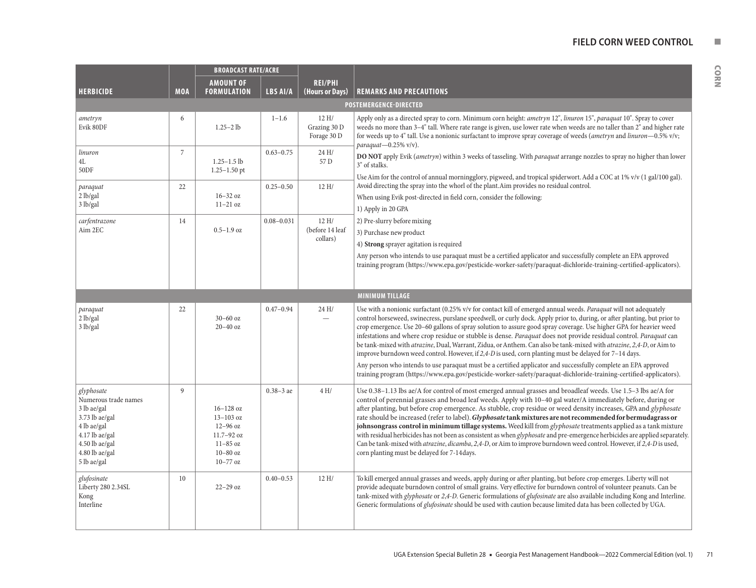#### **FIELD CORN WEED CONTROL NUMBER**

|                                                                                                                                                           |                | <b>BROADCAST RATE/ACRE</b>                                                                             |                 |                                      |                                                                                                                                                                                                                                                                                                                                                                                                                                                                                                                                                                                                                                                                                                                                                                                                                                                                                                                                                                                                                                          |  |  |  |
|-----------------------------------------------------------------------------------------------------------------------------------------------------------|----------------|--------------------------------------------------------------------------------------------------------|-----------------|--------------------------------------|------------------------------------------------------------------------------------------------------------------------------------------------------------------------------------------------------------------------------------------------------------------------------------------------------------------------------------------------------------------------------------------------------------------------------------------------------------------------------------------------------------------------------------------------------------------------------------------------------------------------------------------------------------------------------------------------------------------------------------------------------------------------------------------------------------------------------------------------------------------------------------------------------------------------------------------------------------------------------------------------------------------------------------------|--|--|--|
| <b>HERBICIDE</b>                                                                                                                                          | <b>MOA</b>     | <b>AMOUNT OF</b><br><b>FORMULATION</b>                                                                 | <b>LBS AI/A</b> | <b>REI/PHI</b><br>(Hours or Days)    | <b>REMARKS AND PRECAUTIONS</b>                                                                                                                                                                                                                                                                                                                                                                                                                                                                                                                                                                                                                                                                                                                                                                                                                                                                                                                                                                                                           |  |  |  |
|                                                                                                                                                           |                |                                                                                                        |                 |                                      | <b>POSTEMERGENCE-DIRECTED</b>                                                                                                                                                                                                                                                                                                                                                                                                                                                                                                                                                                                                                                                                                                                                                                                                                                                                                                                                                                                                            |  |  |  |
| ametryn<br>Evik 80DF                                                                                                                                      | 6              | $1.25 - 2$ lb                                                                                          | $1 - 1.6$       | 12 H/<br>Grazing 30 D<br>Forage 30 D | Apply only as a directed spray to corn. Minimum corn height: ametryn 12", linuron 15", paraquat 10". Spray to cover<br>weeds no more than 3-4" tall. Where rate range is given, use lower rate when weeds are no taller than 2" and higher rate<br>for weeds up to 4" tall. Use a nonionic surfactant to improve spray coverage of weeds (ametryn and linuron-0.5% v/v;<br>paraquat-0.25% $v/v$ ).                                                                                                                                                                                                                                                                                                                                                                                                                                                                                                                                                                                                                                       |  |  |  |
| linuron<br>4L<br>50DF                                                                                                                                     | $\overline{7}$ | $1.25 - 1.5$ lb<br>$1.25 - 1.50$ pt                                                                    | $0.63 - 0.75$   | 24 H/<br>57 D                        | DO NOT apply Evik (ametryn) within 3 weeks of tasseling. With paraquat arrange nozzles to spray no higher than lower<br>3" of stalks.<br>Use Aim for the control of annual morningglory, pigweed, and tropical spiderwort. Add a COC at 1% v/v (1 gal/100 gal).                                                                                                                                                                                                                                                                                                                                                                                                                                                                                                                                                                                                                                                                                                                                                                          |  |  |  |
| paraquat<br>2 lb/gal<br>3 lb/gal                                                                                                                          | 22             | $16 - 32$ oz<br>$11-21$ oz                                                                             | $0.25 - 0.50$   | 12 H/                                | Avoid directing the spray into the whorl of the plant. Aim provides no residual control.<br>When using Evik post-directed in field corn, consider the following:<br>1) Apply in 20 GPA                                                                                                                                                                                                                                                                                                                                                                                                                                                                                                                                                                                                                                                                                                                                                                                                                                                   |  |  |  |
| carfentrazone<br>Aim 2EC                                                                                                                                  | 14             | $0.5 - 1.9$ oz                                                                                         | $0.08 - 0.031$  | 12H/<br>(before 14 leaf<br>collars)  | 2) Pre-slurry before mixing<br>3) Purchase new product<br>4) Strong sprayer agitation is required<br>Any person who intends to use paraquat must be a certified applicator and successfully complete an EPA approved<br>training program (https://www.epa.gov/pesticide-worker-safety/paraquat-dichloride-training-certified-applicators).                                                                                                                                                                                                                                                                                                                                                                                                                                                                                                                                                                                                                                                                                               |  |  |  |
|                                                                                                                                                           |                |                                                                                                        |                 |                                      | <b>MINIMUM TILLAGE</b>                                                                                                                                                                                                                                                                                                                                                                                                                                                                                                                                                                                                                                                                                                                                                                                                                                                                                                                                                                                                                   |  |  |  |
| paraquat<br>2 lb/gal<br>3 lb/gal                                                                                                                          | 22             | $30 - 60$ oz<br>$20-40$ oz                                                                             | $0.47 - 0.94$   | 24 H/                                | Use with a nonionic surfactant (0.25% v/v for contact kill of emerged annual weeds. Paraquat will not adequately<br>control horseweed, swinecress, purslane speedwell, or curly dock. Apply prior to, during, or after planting, but prior to<br>crop emergence. Use 20-60 gallons of spray solution to assure good spray coverage. Use higher GPA for heavier weed<br>infestations and where crop residue or stubble is dense. Paraquat does not provide residual control. Paraquat can<br>be tank-mixed with atrazine, Dual, Warrant, Zidua, or Anthem. Can also be tank-mixed with atrazine, 2,4-D, or Aim to<br>improve burndown weed control. However, if 2,4-D is used, corn planting must be delayed for 7-14 days.<br>Any person who intends to use paraquat must be a certified applicator and successfully complete an EPA approved                                                                                                                                                                                            |  |  |  |
| glyphosate<br>Numerous trade names<br>3 lb ae/gal<br>3.73 lb ae/gal<br>4 lb ae/gal<br>4.17 lb ae/gal<br>$4.50$ lb ae/gal<br>4.80 lb ae/gal<br>5 lb ae/gal | $\mathbf{Q}$   | $16 - 128$ oz<br>$13 - 103$ oz<br>$12-96$ oz<br>11.7-92 oz<br>$11-85$ oz<br>$10-80$ oz<br>$10 - 77$ oz | $0.38 - 3$ ae   | 4H/                                  | training program (https://www.epa.gov/pesticide-worker-safety/paraquat-dichloride-training-certified-applicators).<br>Use 0.38-1.13 lbs ae/A for control of most emerged annual grasses and broadleaf weeds. Use 1.5-3 lbs ae/A for<br>control of perennial grasses and broad leaf weeds. Apply with 10-40 gal water/A immediately before, during or<br>after planting, but before crop emergence. As stubble, crop residue or weed density increases, GPA and glyphosate<br>rate should be increased (refer to label). Glyphosate tank mixtures are not recommended for bermudagrass or<br>johnsongrass control in minimum tillage systems. Weed kill from glyphosate treatments applied as a tank mixture<br>with residual herbicides has not been as consistent as when <i>glyphosate</i> and pre-emergence herbicides are applied separately.<br>Can be tank-mixed with <i>atrazine</i> , <i>dicamba</i> , 2,4-D, or Aim to improve burndown weed control. However, if 2,4-D is used,<br>corn planting must be delayed for 7-14days. |  |  |  |
| glufosinate<br>Liberty 280 2.34SL<br>Kong<br>Interline                                                                                                    | 10             | $22 - 29$ oz                                                                                           | $0.40 - 0.53$   | 12 H/                                | To kill emerged annual grasses and weeds, apply during or after planting, but before crop emerges. Liberty will not<br>provide adequate burndown control of small grains. Very effective for burndown control of volunteer peanuts. Can be<br>tank-mixed with glyphosate or 2,4-D. Generic formulations of glufosinate are also available including Kong and Interline.<br>Generic formulations of <i>glufosinate</i> should be used with caution because limited data has been collected by UGA.                                                                                                                                                                                                                                                                                                                                                                                                                                                                                                                                        |  |  |  |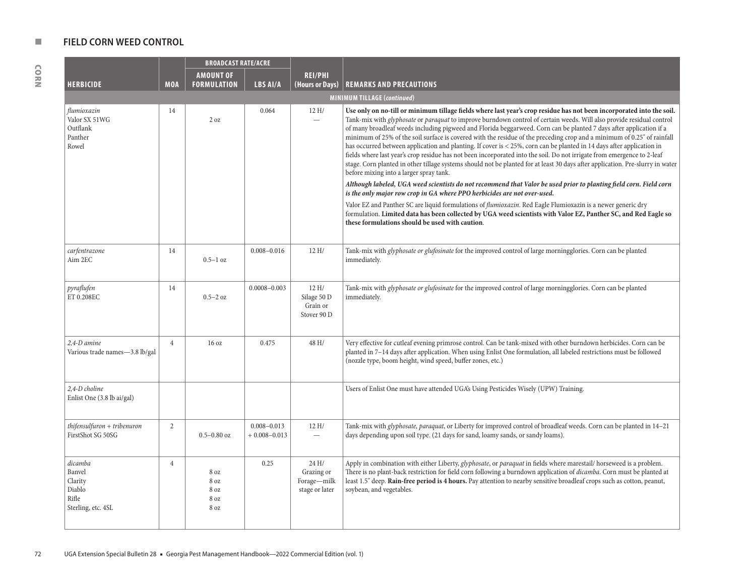|                                                                       |                | <b>BROADCAST RATE/ACRE</b>           |                                     |                                                      |                                                                                                                                                                                                                                                                                                                                                                                                                                                                                                                                                                                                                                                                                                                                                                                                                                                                                                                                                                                                                                                                                                                                                   |  |  |  |
|-----------------------------------------------------------------------|----------------|--------------------------------------|-------------------------------------|------------------------------------------------------|---------------------------------------------------------------------------------------------------------------------------------------------------------------------------------------------------------------------------------------------------------------------------------------------------------------------------------------------------------------------------------------------------------------------------------------------------------------------------------------------------------------------------------------------------------------------------------------------------------------------------------------------------------------------------------------------------------------------------------------------------------------------------------------------------------------------------------------------------------------------------------------------------------------------------------------------------------------------------------------------------------------------------------------------------------------------------------------------------------------------------------------------------|--|--|--|
|                                                                       |                | <b>AMOUNT OF</b>                     |                                     | <b>REI/PHI</b>                                       |                                                                                                                                                                                                                                                                                                                                                                                                                                                                                                                                                                                                                                                                                                                                                                                                                                                                                                                                                                                                                                                                                                                                                   |  |  |  |
| <b>HERBICIDE</b>                                                      | <b>MOA</b>     | <b>FORMULATION</b>                   | LBS AI/A                            | (Hours or Days)                                      | <b>REMARKS AND PRECAUTIONS</b>                                                                                                                                                                                                                                                                                                                                                                                                                                                                                                                                                                                                                                                                                                                                                                                                                                                                                                                                                                                                                                                                                                                    |  |  |  |
|                                                                       |                |                                      |                                     |                                                      | <b>MINIMUM TILLAGE (continued)</b>                                                                                                                                                                                                                                                                                                                                                                                                                                                                                                                                                                                                                                                                                                                                                                                                                                                                                                                                                                                                                                                                                                                |  |  |  |
| flumioxazin<br>Valor SX 51WG<br>Outflank<br>Panther<br>Rowel          | 14             | 2 oz                                 | 0.064                               | 12 H/                                                | Use only on no-till or minimum tillage fields where last year's crop residue has not been incorporated into the soil.<br>Tank-mix with <i>glyphosate</i> or <i>paraquat</i> to improve burndown control of certain weeds. Will also provide residual control<br>of many broadleaf weeds including pigweed and Florida beggarweed. Corn can be planted 7 days after application if a<br>minimum of 25% of the soil surface is covered with the residue of the preceding crop and a minimum of 0.25" of rainfall<br>has occurred between application and planting. If cover is < 25%, corn can be planted in 14 days after application in<br>fields where last year's crop residue has not been incorporated into the soil. Do not irrigate from emergence to 2-leaf<br>stage. Corn planted in other tillage systems should not be planted for at least 30 days after application. Pre-slurry in water<br>before mixing into a larger spray tank.<br>Although labeled, UGA weed scientists do not recommend that Valor be used prior to planting field corn. Field corn<br>is the only major row crop in GA where PPO herbicides are not over-used. |  |  |  |
|                                                                       |                |                                      |                                     |                                                      | Valor EZ and Panther SC are liquid formulations of <i>flumioxazin</i> . Red Eagle Flumioxazin is a newer generic dry<br>formulation. Limited data has been collected by UGA weed scientists with Valor EZ, Panther SC, and Red Eagle so<br>these formulations should be used with caution.                                                                                                                                                                                                                                                                                                                                                                                                                                                                                                                                                                                                                                                                                                                                                                                                                                                        |  |  |  |
| carfentrazone<br>Aim 2EC                                              | 14             | $0.5-1$ oz                           | $0.008 - 0.016$                     | 12 H/                                                | Tank-mix with <i>glyphosate or glufosinate</i> for the improved control of large morningglories. Corn can be planted<br>immediately.                                                                                                                                                                                                                                                                                                                                                                                                                                                                                                                                                                                                                                                                                                                                                                                                                                                                                                                                                                                                              |  |  |  |
| pyraflufen<br>ET 0.208EC                                              | 14             | $0.5 - 2$ oz                         | $0.0008 - 0.003$                    | 12 H/<br>Silage 50 D<br>Grain or<br>Stover 90 D      | Tank-mix with <i>glyphosate or glufosinate</i> for the improved control of large morningglories. Corn can be planted<br>immediately.                                                                                                                                                                                                                                                                                                                                                                                                                                                                                                                                                                                                                                                                                                                                                                                                                                                                                                                                                                                                              |  |  |  |
| 2.4-D amine<br>Various trade names-3.8 lb/gal                         | $\overline{4}$ | 16 <sub>oz</sub>                     | 0.475                               | 48 H/                                                | Very effective for cutleaf evening primrose control. Can be tank-mixed with other burndown herbicides. Corn can be<br>planted in 7-14 days after application. When using Enlist One formulation, all labeled restrictions must be followed<br>(nozzle type, boom height, wind speed, buffer zones, etc.)                                                                                                                                                                                                                                                                                                                                                                                                                                                                                                                                                                                                                                                                                                                                                                                                                                          |  |  |  |
| 2,4-D choline<br>Enlist One (3.8 lb ai/gal)                           |                |                                      |                                     |                                                      | Users of Enlist One must have attended UGA's Using Pesticides Wisely (UPW) Training.                                                                                                                                                                                                                                                                                                                                                                                                                                                                                                                                                                                                                                                                                                                                                                                                                                                                                                                                                                                                                                                              |  |  |  |
| thifensulfuron + tribenuron<br>FirstShot SG 50SG                      | $\mathbf{2}$   | $0.5 - 0.80$ oz                      | $0.008 - 0.013$<br>$+0.008 - 0.013$ | 12 H/                                                | Tank-mix with <i>glyphosate, paraquat</i> , or Liberty for improved control of broadleaf weeds. Corn can be planted in 14-21<br>days depending upon soil type. (21 days for sand, loamy sands, or sandy loams).                                                                                                                                                                                                                                                                                                                                                                                                                                                                                                                                                                                                                                                                                                                                                                                                                                                                                                                                   |  |  |  |
| dicamba<br>Banvel<br>Clarity<br>Diablo<br>Rifle<br>Sterling, etc. 4SL | $\overline{4}$ | 8 oz<br>8 oz<br>8 oz<br>8 oz<br>8 oz | 0.25                                | 24 H/<br>Grazing or<br>Forage-milk<br>stage or later | Apply in combination with either Liberty, glyphosate, or paraquat in fields where marestail/ horseweed is a problem.<br>There is no plant-back restriction for field corn following a burndown application of <i>dicamba</i> . Corn must be planted at<br>least 1.5" deep. Rain-free period is 4 hours. Pay attention to nearby sensitive broadleaf crops such as cotton, peanut,<br>soybean, and vegetables.                                                                                                                                                                                                                                                                                                                                                                                                                                                                                                                                                                                                                                                                                                                                     |  |  |  |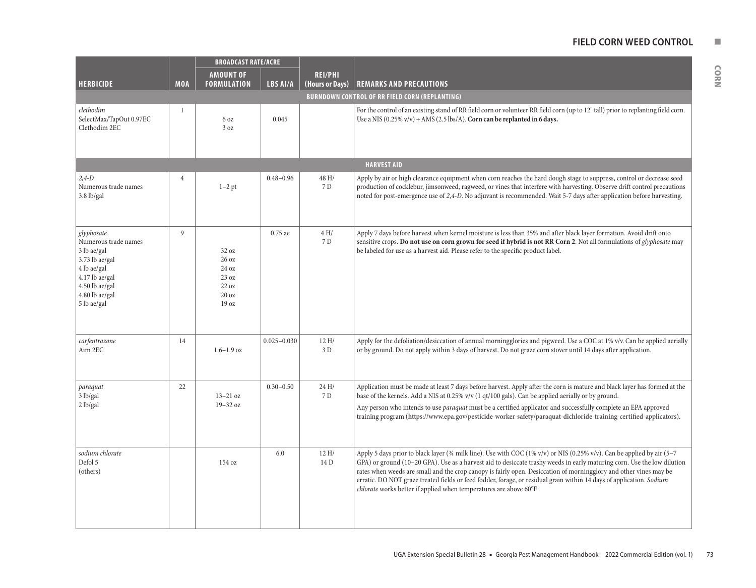## **FIELD CORN WEED CONTROL NUMBER**

|  | 정도 시 |  |  |
|--|------|--|--|
|  | e e  |  |  |

|                                                                                                                                                         |                | <b>BROADCAST RATE/ACRE</b>                                  |                 |                                   |                                                                                                                                                                                                                                                                                                                                                                                                                                                                                                                                                                      |  |  |
|---------------------------------------------------------------------------------------------------------------------------------------------------------|----------------|-------------------------------------------------------------|-----------------|-----------------------------------|----------------------------------------------------------------------------------------------------------------------------------------------------------------------------------------------------------------------------------------------------------------------------------------------------------------------------------------------------------------------------------------------------------------------------------------------------------------------------------------------------------------------------------------------------------------------|--|--|
| <b>HERBICIDE</b>                                                                                                                                        | <b>MOA</b>     | <b>AMOUNT OF</b><br><b>FORMULATION</b>                      | LBS AI/A        | <b>REI/PHI</b><br>(Hours or Days) | <b>REMARKS AND PRECAUTIONS</b>                                                                                                                                                                                                                                                                                                                                                                                                                                                                                                                                       |  |  |
|                                                                                                                                                         |                |                                                             |                 |                                   | <b>BURNDOWN CONTROL OF RR FIELD CORN (REPLANTING)</b>                                                                                                                                                                                                                                                                                                                                                                                                                                                                                                                |  |  |
| clethodim<br>SelectMax/TapOut 0.97EC<br>Clethodim 2EC                                                                                                   | $\mathbf{1}$   | 6 oz<br>3 oz                                                | 0.045           |                                   | For the control of an existing stand of RR field corn or volunteer RR field corn (up to 12" tall) prior to replanting field corn.<br>Use a NIS $(0.25\% \text{ v/v}) + \text{AMS}$ (2.5 lbs/A). Corn can be replanted in 6 days.                                                                                                                                                                                                                                                                                                                                     |  |  |
|                                                                                                                                                         |                |                                                             |                 |                                   | <b>HARVEST AID</b>                                                                                                                                                                                                                                                                                                                                                                                                                                                                                                                                                   |  |  |
| $2.4 - D$<br>Numerous trade names<br>$3.8$ lb/gal                                                                                                       | $\overline{4}$ | $1-2$ pt                                                    | $0.48 - 0.96$   | 48 H/<br>7 D                      | Apply by air or high clearance equipment when corn reaches the hard dough stage to suppress, control or decrease seed<br>production of cocklebur, jimsonweed, ragweed, or vines that interfere with harvesting. Observe drift control precautions<br>noted for post-emergence use of 2,4-D. No adjuvant is recommended. Wait 5-7 days after application before harvesting.                                                                                                                                                                                           |  |  |
| glyphosate<br>Numerous trade names<br>3 lb ae/gal<br>3.73 lb ae/gal<br>4 lb ae/gal<br>4.17 lb ae/gal<br>4.50 lb ae/gal<br>4.80 lb ae/gal<br>5 lb ae/gal | 9              | 32 oz<br>26 oz<br>24 oz<br>23 oz<br>22 oz<br>20 oz<br>19 oz | 0.75 ae         | 4H/<br>7 D                        | Apply 7 days before harvest when kernel moisture is less than 35% and after black layer formation. Avoid drift onto<br>sensitive crops. Do not use on corn grown for seed if hybrid is not RR Corn 2. Not all formulations of <i>glyphosate</i> may<br>be labeled for use as a harvest aid. Please refer to the specific product label.                                                                                                                                                                                                                              |  |  |
| carfentrazone<br>Aim 2EC                                                                                                                                | 14             | $1.6 - 1.9$ oz                                              | $0.025 - 0.030$ | 12H/<br>3 D                       | Apply for the defoliation/desiccation of annual morningglories and pigweed. Use a COC at 1% v/v. Can be applied aerially<br>or by ground. Do not apply within 3 days of harvest. Do not graze corn stover until 14 days after application.                                                                                                                                                                                                                                                                                                                           |  |  |
| paraquat<br>3 lb/gal<br>2 lb/gal                                                                                                                        | 22             | $13-21$ oz<br>19-32 oz                                      | $0.30 - 0.50$   | 24H/<br>7 D                       | Application must be made at least 7 days before harvest. Apply after the corn is mature and black layer has formed at the<br>base of the kernels. Add a NIS at 0.25% v/v (1 qt/100 gals). Can be applied aerially or by ground.<br>Any person who intends to use paraquat must be a certified applicator and successfully complete an EPA approved<br>training program (https://www.epa.gov/pesticide-worker-safety/paraquat-dichloride-training-certified-applicators).                                                                                             |  |  |
| sodium chlorate<br>Defol 5<br>(others)                                                                                                                  |                | 154 oz                                                      | 6.0             | 12H/<br>14 D                      | Apply 5 days prior to black layer (34 milk line). Use with COC (1% v/v) or NIS (0.25% v/v). Can be applied by air (5-7<br>GPA) or ground (10-20 GPA). Use as a harvest aid to desiccate trashy weeds in early maturing corn. Use the low dilution<br>rates when weeds are small and the crop canopy is fairly open. Desiccation of morningglory and other vines may be<br>erratic. DO NOT graze treated fields or feed fodder, forage, or residual grain within 14 days of application. Sodium<br>chlorate works better if applied when temperatures are above 60°F. |  |  |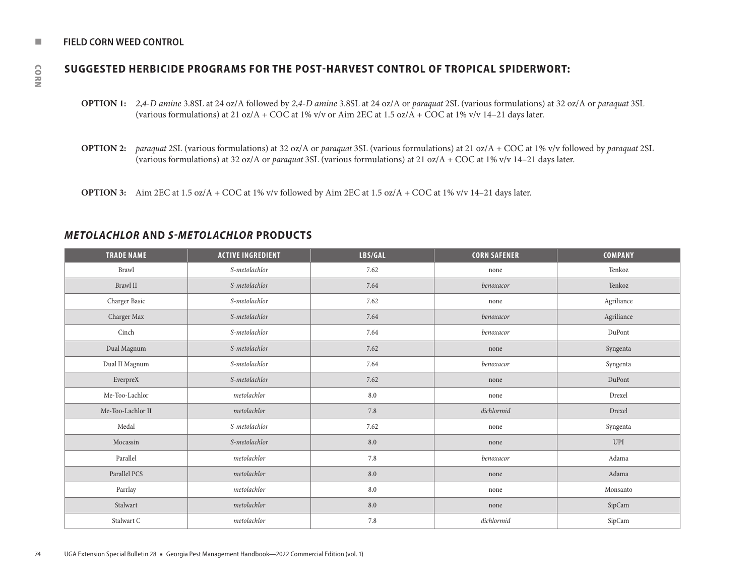#### **NUMBER CORN WEED CONTROL**

# **SUGGESTED HERBICIDE PROGRAMS FOR THE POST-HARVEST CONTROL OF TROPICAL SPIDERWORT:**

- **OPTION 1:** *2*,*4*-*D amine* 3.8SL at 24 oz/A followed by *2*,*4*-*D amine* 3.8SL at 24 oz/A or *paraquat* 2SL (various formulations) at 32 oz/A or *paraquat* 3SL (various formulations) at 21 oz/A + COC at 1% v/v or Aim 2EC at 1.5 oz/A + COC at 1% v/v 14–21 days later.
- **OPTION 2:** *paraquat* 2SL (various formulations) at 32 oz/A or *paraquat* 3SL (various formulations) at 21 oz/A + COC at 1% v/v followed by *paraquat* 2SL (various formulations) at 32 oz/A or *paraquat* 3SL (various formulations) at 21 oz/A + COC at 1% v/v 14–21 days later.
- **OPTION 3:** Aim 2EC at 1.5 oz/A + COC at 1% v/v followed by Aim 2EC at 1.5 oz/A + COC at 1% v/v 14–21 days later.

# *METOLACHLOR* **AND** *S-METOLACHLOR* **PRODUCTS**

| <b>TRADE NAME</b> | <b>ACTIVE INGREDIENT</b> | LBS/GAL | <b>CORN SAFENER</b> | <b>COMPANY</b> |
|-------------------|--------------------------|---------|---------------------|----------------|
| Brawl             | S-metolachlor            | 7.62    | none                | Tenkoz         |
| Brawl $\rm II$    | S-metolachlor            | 7.64    | benoxacor           | Tenkoz         |
| Charger Basic     | S-metolachlor            | 7.62    | none                | Agriliance     |
| Charger Max       | S-metolachlor            | 7.64    | benoxacor           | Agriliance     |
| Cinch             | S-metolachlor            | 7.64    | benoxacor           | DuPont         |
| Dual Magnum       | S-metolachlor            | 7.62    | none                | Syngenta       |
| Dual II Magnum    | S-metolachlor            | 7.64    | benoxacor           | Syngenta       |
| EverpreX          | S-metolachlor            | 7.62    | none                | DuPont         |
| Me-Too-Lachlor    | metolachlor              | $8.0\,$ | none                | Drexel         |
| Me-Too-Lachlor II | metolachlor              | 7.8     | dichlormid          | Drexel         |
| Medal             | S-metolachlor            | 7.62    | none                | Syngenta       |
| Mocassin          | S-metolachlor            | $8.0\,$ | none                | UPI            |
| Parallel          | metolachlor              | 7.8     | benoxacor           | Adama          |
| Parallel PCS      | metolachlor              | 8.0     | none                | Adama          |
| Parrlay           | metolachlor              | $8.0\,$ | none                | Monsanto       |
| Stalwart          | metolachlor              | $8.0\,$ | none                | SipCam         |
| Stalwart C        | metolachlor              | $7.8\,$ | dichlormid          | SipCam         |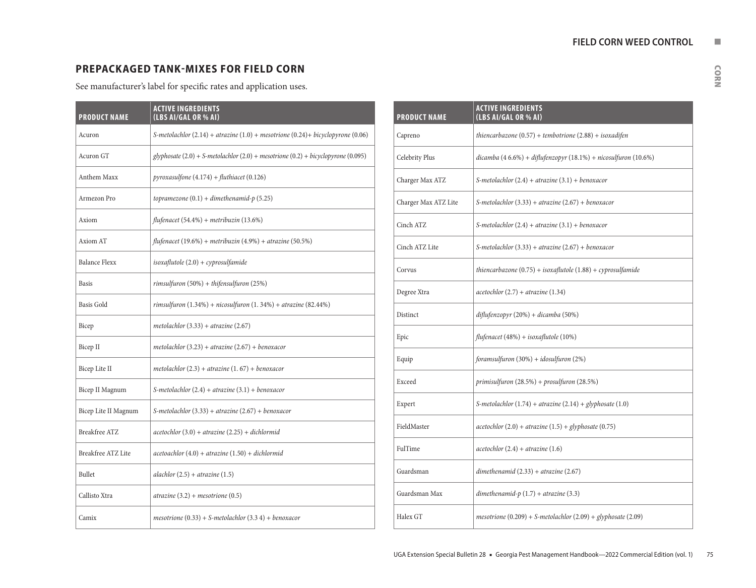# **PREPACKAGED TANK-MIXES FOR FIELD CORN**

See manufacturer's label for specific rates and application uses.

| <b>PRODUCT NAME</b>  | <b>ACTIVE INGREDIENTS</b><br>(LBS AI/GAL OR % AI)                                        |
|----------------------|------------------------------------------------------------------------------------------|
| Acuron               | S-metolachlor $(2.14)$ + atrazine $(1.0)$ + mesotrione $(0.24)$ + bicyclopyrone $(0.06)$ |
| Acuron GT            | $glyphosate (2.0) + S-metolachlor (2.0) + mesotrione (0.2) + bicyclopyrone (0.095)$      |
| Anthem Maxx          | $pyroxasulfone (4.174) + fluthiacet (0.126)$                                             |
| Armezon Pro          | topramezone $(0.1)$ + dimethenamid-p (5.25)                                              |
| Axiom                | flufenacet (54.4%) + metribuzin (13.6%)                                                  |
| Axiom AT             | flufenacet (19.6%) + metribuzin (4.9%) + atrazine (50.5%)                                |
| <b>Balance Flexx</b> | $isoxaflutole(2.0) + cyprosulfamide$                                                     |
| <b>Basis</b>         | $rimsulfuron(50%) + thifensulfuron(25%)$                                                 |
| <b>Basis Gold</b>    | rimsulfuron $(1.34\%) + nicosulfuron (1.34\%) + atrazine (82.44\%)$                      |
| Bicep                | metolachlor $(3.33) + \pi$ trazine $(2.67)$                                              |
| Bicep II             | metolachlor $(3.23)$ + atrazine $(2.67)$ + benoxacor                                     |
| Bicep Lite II        | metolachlor $(2.3)$ + atrazine $(1.67)$ + benoxacor                                      |
| Bicep II Magnum      | S-metolachlor $(2.4)$ + atrazine $(3.1)$ + benoxacor                                     |
| Bicep Lite II Magnum | S-metolachlor $(3.33)$ + atrazine $(2.67)$ + benoxacor                                   |
| <b>Breakfree ATZ</b> | $acetochlor(3.0) + atrazine(2.25) + dichlormid$                                          |
| Breakfree ATZ Lite   | $acetoachlor (4.0) + atrazine (1.50) + dichlormid$                                       |
| <b>Bullet</b>        | alachlor $(2.5)$ + atrazine $(1.5)$                                                      |
| Callisto Xtra        | $\aro(3.2) + mesotrione(0.5)$                                                            |
| Camix                | mesotrione (0.33) + S-metolachlor (3.3 4) + benoxacor                                    |

| <b>PRODUCT NAME</b>  | <b>ACTIVE INGREDIENTS</b><br>(LBS AI/GAL OR % AI)                      |
|----------------------|------------------------------------------------------------------------|
| Capreno              | thiencarbazone $(0.57)$ + tembotrione $(2.88)$ + isoxadifen            |
| Celebrity Plus       | dicamba (4 6.6%) + diflufenzopyr (18.1%) + nicosulfuron (10.6%)        |
| Charger Max ATZ      | S-metolachlor $(2.4)$ + atrazine $(3.1)$ + benoxacor                   |
| Charger Max ATZ Lite | S-metolachlor $(3.33)$ + atrazine $(2.67)$ + benoxacor                 |
| Cinch ATZ            | S-metolachlor $(2.4)$ + atrazine $(3.1)$ + benoxacor                   |
| Cinch ATZ Lite       | S-metolachlor $(3.33)$ + atrazine $(2.67)$ + benoxacor                 |
| Corvus               | thiencarbazone $(0.75)$ + isoxaflutole $(1.88)$ + cyprosulfamide       |
| Degree Xtra          | $acetochlor(2.7) + atrazine(1.34)$                                     |
| Distinct             | diflufenzopyr (20%) + dicamba (50%)                                    |
| Epic                 | flufenacet (48%) + isoxaflutole (10%)                                  |
| Equip                | foramsulfuron (30%) + idosulfuron (2%)                                 |
| Exceed               | primisulfuron $(28.5%) + prox{ifuron(28.5%)}$                          |
| Expert               | S-metolachlor $(1.74) + \pi$ trazine $(2.14) + \pi$ glyphosate $(1.0)$ |
| FieldMaster          | $acetochlor(2.0) + atrazine(1.5) + glyphosate(0.75)$                   |
| FulTime              | $acetochlor(2.4) + atrazine(1.6)$                                      |
| Guardsman            | dimethenamid $(2.33) + \text{a}$ trazine $(2.67)$                      |
| Guardsman Max        | dimethenamid- $p(1.7) + \text{a}$ trazine (3.3)                        |
| Halex GT             | $mesotrione (0.209) + S-metolachlor (2.09) + glyphosate (2.09)$        |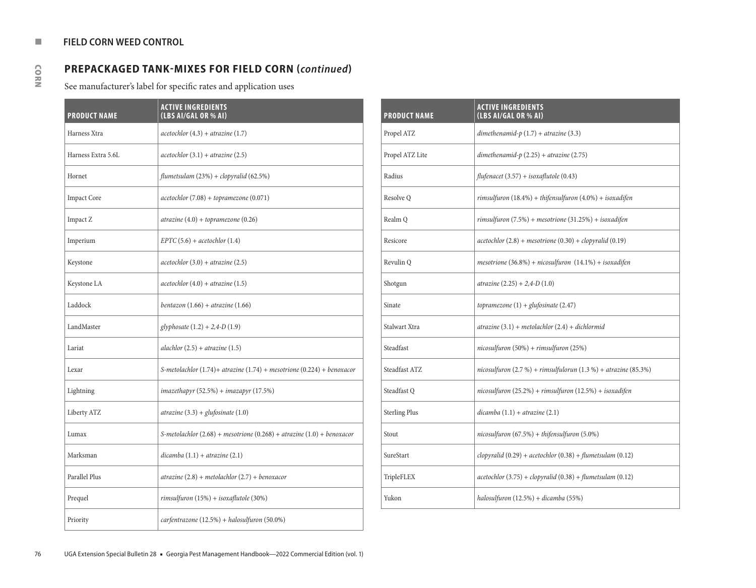# **PREPACKAGED TANK-MIXES FOR FIELD CORN (***continued***)**

See manufacturer's label for specific rates and application uses

| <b>PRODUCT NAME</b> | <b>ACTIVE INGREDIENTS</b><br>(LBS AI/GAL OR % AI)                             |
|---------------------|-------------------------------------------------------------------------------|
| Harness Xtra        | $acetochlor(4.3) + atrazine(1.7)$                                             |
| Harness Extra 5.6L  | $acetochlor(3.1) + atrazine(2.5)$                                             |
| Hornet              | flumetsulam $(23%) + clopy$ ralid $(62.5%)$                                   |
| <b>Impact Core</b>  | $acetochlor(7.08) + topramezone(0.071)$                                       |
| Impact Z            | $\aro(4.0) + \text{topramezone}(0.26)$                                        |
| Imperium            | $EPTC (5.6) + acetochlor (1.4)$                                               |
| Keystone            | $acetochlor(3.0) + atrazine(2.5)$                                             |
| Keystone LA         | $acetochlor(4.0) + atrazine(1.5)$                                             |
| Laddock             | bentazon $(1.66)$ + atrazine $(1.66)$                                         |
| LandMaster          | glyphosate $(1.2) + 2,4-D$ $(1.9)$                                            |
| Lariat              | alachlor $(2.5) + \arcsin(1.5)$                                               |
| Lexar               | S-metolachlor $(1.74)$ + atrazine $(1.74)$ + mesotrione $(0.224)$ + benoxacor |
| Lightning           | ${inazethayr(52.5%) + inazapyr(17.5%)}$                                       |
| Liberty ATZ         | atrazine $(3.3) +$ glufosinate $(1.0)$                                        |
| Lumax               | S-metolachlor $(2.68)$ + mesotrione $(0.268)$ + atrazine $(1.0)$ + benoxacor  |
| Marksman            | $dicamba(1.1) + atrazine(2.1)$                                                |
| Parallel Plus       | $\aro(2.8) + \text{metolachlor}(2.7) + \text{benoxacor}$                      |
| Prequel             | $rimsulfuron(15%) + isoxaflutole(30%)$                                        |
| Priority            | carfentrazone (12.5%) + halosulfuron (50.0%)                                  |

| <b>PRODUCT NAME</b>  | <b>ACTIVE INGREDIENTS</b><br>(LBS AI/GAL OR % AI)                      |
|----------------------|------------------------------------------------------------------------|
| Propel ATZ           | dimethenamid- $p(1.7) + \text{a} \text{tr} \text{azine}(3.3)$          |
| Propel ATZ Lite      | dimethenamid- $p(2.25) + a\text{trazine}(2.75)$                        |
| Radius               | flufenacet (3.57) + isoxaflutole (0.43)                                |
| Resolve Q            | rimsulfuron $(18.4\%)$ + thifensulfuron $(4.0\%)$ + isoxadifen         |
| Realm Q              | rimsulfuron $(7.5%) + mesotrione (31.25%) + isoxadifen$                |
| Resicore             | $acetochlor(2.8) + mesotrione(0.30) + clopyralid(0.19)$                |
| Revulin Q            | mesotrione (36.8%) + nicosulfuron $(14.1%)$ + isoxadifen               |
| Shotgun              | $atrazine (2.25) + 2,4-D (1.0)$                                        |
| Sinate               | topramezone $(1) +$ glufosinate $(2.47)$                               |
| Stalwart Xtra        | atrazine $(3.1)$ + metolachlor $(2.4)$ + dichlormid                    |
| Steadfast            | nicosulfuron (50%) + rimsulfuron (25%)                                 |
| Steadfast ATZ        | nicosulfuron $(2.7\%)$ + rimsulfulorun $(1.3\%)$ + atrazine $(85.3\%)$ |
| Steadfast Q          | $nicosulfuron (25.2%) + rimsulfuron (12.5%) + isoxadifen$              |
| <b>Sterling Plus</b> | $dicamba(1.1) + atrazine(2.1)$                                         |
| Stout                | $nicosulfuron(67.5%) + thifensulfuron(5.0%)$                           |
| SureStart            | clopyralid $(0.29)$ + acetochlor $(0.38)$ + flumetsulam $(0.12)$       |
| TripleFLEX           | $acetochlor(3.75) + clopyralid(0.38) + flumetsulam(0.12)$              |
| Yukon                | halosulfuron (12.5%) + dicamba (55%)                                   |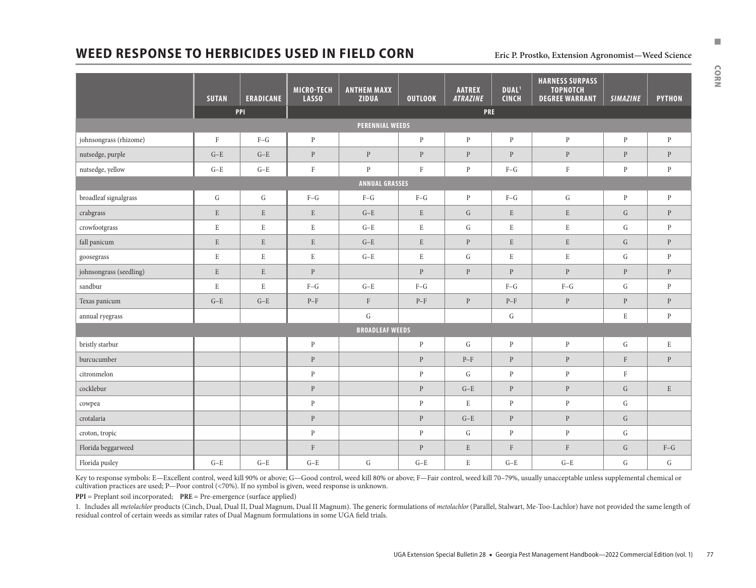# **WEED RESPONSE TO HERBICIDES USED IN FIELD CORN Eric P. Prostko, Extension Agronomist—Weed Science**

|                         |              |                         | <b>MICRO-TECH</b> | <b>ANTHEM MAXX</b>     |                     | <b>AATREX</b>   | DUAL <sup>1</sup>         | <b>HARNESS SURPASS</b><br><b>TOPNOTCH</b> |                 |               |
|-------------------------|--------------|-------------------------|-------------------|------------------------|---------------------|-----------------|---------------------------|-------------------------------------------|-----------------|---------------|
|                         | <b>SUTAN</b> | <b>ERADICANE</b><br>PPI | <b>LASSO</b>      | <b>ZIDUA</b>           | <b>OUTLOOK</b>      | <b>ATRAZINE</b> | <b>CINCH</b>              | <b>DEGREE WARRANT</b>                     | <b>SIMAZINE</b> | <b>PYTHON</b> |
|                         |              |                         |                   | <b>PERENNIAL WEEDS</b> | PRE                 |                 |                           |                                           |                 |               |
| johnsongrass (rhizome)  | $\rm F$      | $F-G$                   | $\mathbf{P}$      |                        | $\mathbf{P}$        | $\, {\bf p}$    | $\mathbf{P}$              | $\, {\bf p}$                              | $\mathbf{P}$    | $\mathbf{P}$  |
| nutsedge, purple        | $G-E$        | $G-E$                   | $\mathbf{P}$      | $\, {\bf p}$           | $\mathbf{P}$        | $\, {\bf p}$    | $\mathbf{P}$              | $\, {\bf p}$                              | $\, {\bf p}$    | $\, {\bf p}$  |
| nutsedge, yellow        | $G-E$        | $G-E$                   | $\rm F$           | $\mathbf{P}$           | $\mathbf F$         | $\, {\bf p}$    | $F-G$                     | $\mathbf F$                               | $\, {\bf p}$    | $\mathbf{P}$  |
|                         |              |                         |                   | <b>ANNUAL GRASSES</b>  |                     |                 |                           |                                           |                 |               |
| broadleaf signalgrass   | ${\rm G}$    | ${\rm G}$               | $F-G$             | $\mbox{F-}\mbox{G}$    | $\mbox{F-}\mbox{G}$ | $\, {\bf p}$    | $F-G$                     | ${\rm G}$                                 | $\, {\bf p}$    | $\, {\bf p}$  |
| crabgrass               | $\mathbf E$  | $\mathbf E$             | $\mathbf E$       | $G-E$                  | $\mathbf E$         | ${\bf G}$       | ${\bf E}$                 | $\mathbf E$                               | ${\rm G}$       | $\, {\bf P}$  |
| crowfootgrass           | $\mathbf E$  | $\rm E$                 | $\rm E$           | $\mbox{G-E}$           | ${\bf E}$           | ${\bf G}$       | $\mathbf E$               | $\mathbf E$                               | ${\rm G}$       | $\, {\bf p}$  |
| fall panicum            | ${\bf E}$    | ${\bf E}$               | ${\bf E}$         | $\mbox{G-E}$           | $\mathbf E$         | ${\bf P}$       | ${\bf E}$                 | ${\bf E}$                                 | ${\rm G}$       | $\, {\bf p}$  |
| goosegrass              | $\mathbf E$  | $\mathbf E$             | ${\bf E}$         | $G-E$                  | $\mathbf E$         | G               | $\rm E$                   | $\mathbf E$                               | G               | $\mathbf{P}$  |
| johnsongrass (seedling) | $\mathbf E$  | $\mathbf E$             | $\mathbf{P}$      |                        | $\mathbf{P}$        | $\, {\bf p}$    | $\mathbf{P}$              | $\, {\bf p}$                              | $\, {\bf p}$    | $\, {\bf p}$  |
| sandbur                 | $\mathbf E$  | E                       | $F-G$             | $G-E$                  | $F-G$               |                 | $F-G$                     | $F-G$                                     | G               | $\mathbf{P}$  |
| Texas panicum           | $G-E$        | $G-E$                   | $P-F$             | $\mathbf F$            | $P-F$               | $\, {\bf p}$    | $P-F$                     | $\, {\bf P}$                              | $\, {\bf p}$    | $\, {\bf p}$  |
| annual ryegrass         |              |                         |                   | $\mathsf G$            |                     |                 | ${\bf G}$                 |                                           | $\mathbf E$     | $\mathbf{P}$  |
|                         |              |                         |                   | <b>BROADLEAF WEEDS</b> |                     |                 |                           |                                           |                 |               |
| bristly starbur         |              |                         | $\, {\bf p}$      |                        | $\, {\bf p}$        | $\mathbf G$     | $\, {\bf p}$              | $\, {\bf p}$                              | ${\rm G}$       | $\mathbf E$   |
| burcucumber             |              |                         | $\, {\bf p}$      |                        | $\mathbf{P}$        | $P-F$           | $\, {\bf p}$              | ${\bf P}$                                 | $\rm F$         | $\mathbf{P}$  |
| citronmelon             |              |                         | $\mathbf{P}$      |                        | $\mathbf{P}$        | G               | $\, {\bf p}$              | $\, {\bf p}$                              | $\rm F$         |               |
| cocklebur               |              |                         | $\mathbf{P}$      |                        | $\mathbf{P}$        | $G-E$           | $\, {\bf p}$              | $\, {\bf p}$                              | ${\rm G}$       | $\mathbf E$   |
| cowpea                  |              |                         | $\mathbf{P}$      |                        | $\mathbf{P}$        | $\mathbf E$     | $\, {\bf p}$              | $\, {\bf p}$                              | ${\rm G}$       |               |
| crotalaria              |              |                         | ${\bf P}$         |                        | $\, {\bf p}$        | $G-E$           | $\, {\bf p}$              | $\, {\bf p}$                              | ${\rm G}$       |               |
| croton, tropic          |              |                         | $\, {\bf p}$      |                        | $\mathbf{P}$        | G               | $\, {\bf p}$              | $\, {\bf p}$                              | G               |               |
| Florida beggarweed      |              |                         | $\rm F$           |                        | $\mathbf{P}$        | $\mathbf E$     | $\boldsymbol{\mathrm{F}}$ | $\rm F$                                   | $\mathsf G$     | $F-G$         |
| Florida pusley          | $G-E$        | $G-E$                   | $G-E$             | G                      | $G-E$               | $\mathbf E$     | $G-E$                     | $G-E$                                     | G               | G             |

Key to response symbols: E—Excellent control, weed kill 90% or above; G—Good control, weed kill 80% or above; F—Fair control, weed kill 70-79%, usually unacceptable unless supplemental chemical or cultivation practices are used; P—Poor control (<70%). If no symbol is given, weed response is unknown.

**PPI** = Preplant soil incorporated; **PRE** = Pre-emergence (surface applied)

1. Includes all *metolachlor* products (Cinch, Dual, Dual II, Dual Magnum, Dual II Magnum). The generic formulations of *metolachlor* (Parallel, Stalwart, Me-Too-Lachlor) have not provided the same length of residual control of certain weeds as similar rates of Dual Magnum formulations in some UGA field trials.

CORN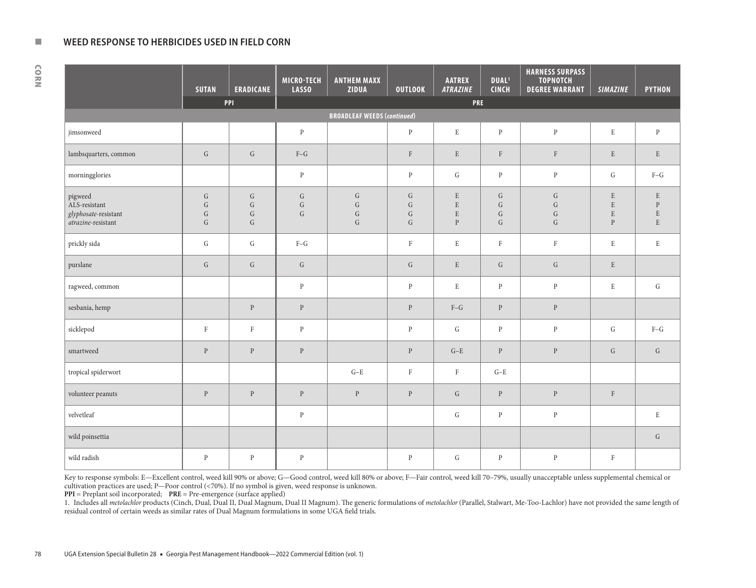#### **NEW WEED RESPONSE TO HERBICIDES USED IN FIELD CORN**

CORN

|                                                                        | <b>SUTAN</b>                               | <b>ERADICANE</b>                         | <b>MICRO-TECH</b><br><b>LASSO</b> | <b>ANTHEM MAXX</b><br>ZIDUA                      | <b>OUTLOOK</b>                                     | <b>AATREX</b><br>ATRAZINE                             | <b>DUAL</b> <sup>1</sup><br><b>CINCH</b>       | <b>HARNESS SURPASS</b><br><b>TOPNOTCH</b><br><b>DEGREE WARRANT</b> | <b>SIMAZINE</b>                                 | <b>PYTHON</b>                                             |
|------------------------------------------------------------------------|--------------------------------------------|------------------------------------------|-----------------------------------|--------------------------------------------------|----------------------------------------------------|-------------------------------------------------------|------------------------------------------------|--------------------------------------------------------------------|-------------------------------------------------|-----------------------------------------------------------|
|                                                                        |                                            | PPI                                      |                                   |                                                  |                                                    | PRE                                                   |                                                |                                                                    |                                                 |                                                           |
| <b>BROADLEAF WEEDS (continued)</b>                                     |                                            |                                          |                                   |                                                  |                                                    |                                                       |                                                |                                                                    |                                                 |                                                           |
| jimsonweed                                                             |                                            |                                          | $\, {\bf p}$                      |                                                  | $\, {\bf p}$                                       | ${\bf E}$                                             | $\mathbf{P}$                                   | $\, {\bf p}$                                                       | $\mathbf E$                                     | $\, {\bf p}$                                              |
| lambsquarters, common                                                  | ${\bf G}$                                  | ${\rm G}$                                | $\mbox{F--G}$                     |                                                  | $\mathbf F$                                        | ${\bf E}$                                             | $\rm F$                                        | $\rm F$                                                            | $\mathbf E$                                     | $\mathbf E$                                               |
| morningglories                                                         |                                            |                                          | $\, {\bf p}$                      |                                                  | $\, {\bf p}$                                       | G                                                     | ${\bf P}$                                      | $\, {\bf p}$                                                       | ${\rm G}$                                       | $\mbox{F--G}$                                             |
| pigweed<br>ALS-resistant<br>glyphosate-resistant<br>atrazine-resistant | G<br>${\rm G}$<br>${\rm G}$<br>$\mathsf G$ | ${\rm G}$<br>G<br>${\rm G}$<br>${\rm G}$ | ${\rm G}$<br>G<br>G               | ${\rm G}$<br>${\rm G}$<br>${\rm G}$<br>${\rm G}$ | ${\rm G}$<br>$\mathsf G$<br>${\rm G}$<br>${\rm G}$ | ${\bf E}$<br>$\mathbf E$<br>${\bf E}$<br>$\mathbf{P}$ | $\mathsf G$<br>G<br>$\mathsf G$<br>$\mathsf G$ | $\mathsf G$<br>$\mathsf G$<br>${\bf G}$<br>${\rm G}$               | $\mathbf E$<br>E<br>$\mathbf E$<br>$\, {\bf p}$ | $\mathbf E$<br>$\mathbf{P}$<br>$\mathbf E$<br>$\mathbf E$ |
| prickly sida                                                           | ${\rm G}$                                  | G                                        | $F-G$                             |                                                  | $\rm F$                                            | ${\rm E}$                                             | $\rm F$                                        | $\rm F$                                                            | $\mathbf E$                                     | $\mathbf E$                                               |
| purslane                                                               | $\mathsf G$                                | G                                        | G                                 |                                                  | G                                                  | $\mathbf E$                                           | $\mathsf G$                                    | $\mathsf G$                                                        | $\mathbf E$                                     |                                                           |
| ragweed, common                                                        |                                            |                                          | $\mathbf{P}$                      |                                                  | $\mathbf{P}$                                       | $\overline{\mathrm{E}}$                               | $\mathbf{P}$                                   | $\, {\bf p}$                                                       | $\mathbf E$                                     | G                                                         |
| sesbania, hemp                                                         |                                            | $\, {\bf P}$                             | $\, {\bf P}$                      |                                                  | $\, {\bf P}$                                       | $\mbox{F-}\mbox{G}$                                   | $\, {\bf p}$                                   | $\, {\bf p}$                                                       |                                                 |                                                           |
| sicklepod                                                              | $\rm F$                                    | $\rm F$                                  | $\, {\bf p}$                      |                                                  | $\, {\bf p}$                                       | $\mathsf G$                                           | $\, {\bf p}$                                   | $\, {\bf p}$                                                       | G                                               | $\mbox{F--G}$                                             |
| smartweed                                                              | $\, {\bf p}$                               | $\, {\bf p}$                             | $\, {\bf p}$                      |                                                  | $\mathbf{P}$                                       | $G-E$                                                 | $\, {\bf p}$                                   | $\, {\bf p}$                                                       | G                                               | $\mathsf{G}$                                              |
| tropical spiderwort                                                    |                                            |                                          |                                   | $G-E$                                            | $\rm F$                                            | $\rm F$                                               | $G-E$                                          |                                                                    |                                                 |                                                           |
| volunteer peanuts                                                      | $\, {\bf p}$                               | $\, {\bf p}$                             | $\, {\bf p}$                      | $\, {\bf p}$                                     | $\mathbf{P}$                                       | ${\rm G}$                                             | $\, {\bf p}$                                   | $\, {\bf p}$                                                       | $\rm F$                                         |                                                           |
| velvetleaf                                                             |                                            |                                          | $\, {\bf p}$                      |                                                  |                                                    | $\mathsf G$                                           | $\, {\bf p}$                                   | $\, {\bf p}$                                                       |                                                 | $\mathbf E$                                               |
| wild poinsettia                                                        |                                            |                                          |                                   |                                                  |                                                    |                                                       |                                                |                                                                    |                                                 | $\mathsf G$                                               |
| wild radish                                                            | $\mathbf{P}$                               | $\mathbf{P}$                             | $\mathbf{P}$                      |                                                  | $\mathbf{P}$                                       | G                                                     | $\, {\bf p}$                                   | $\mathbf{P}$                                                       | $\mathbf{F}$                                    |                                                           |

Key to response symbols: E—Excellent control, weed kill 90% or above; G—Good control, weed kill 80% or above; F—Fair control, weed kill 70-79%, usually unacceptable unless supplemental chemical or cultivation practices are used; P—Poor control (<70%). If no symbol is given, weed response is unknown.

**PPI** = Preplant soil incorporated; **PRE** = Pre-emergence (surface applied)

1. Includes all *metolachlor* products (Cinch, Dual, Dual II, Dual Magnum, Dual II Magnum). The generic formulations of *metolachlor* (Parallel, Stalwart, Me-Too-Lachlor) have not provided the same length of residual control of certain weeds as similar rates of Dual Magnum formulations in some UGA field trials.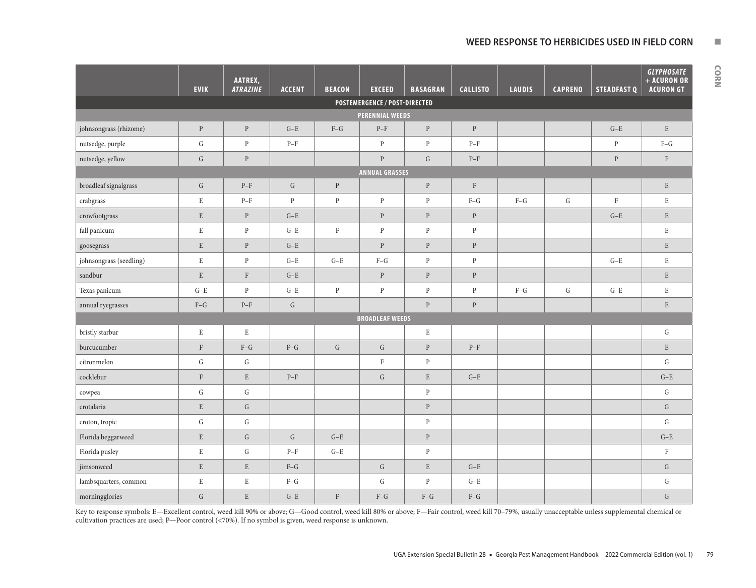## WEED RESPONSE TO HERBICIDES USED IN FIELD CORN **NEW**

| 정도 시     |  |
|----------|--|
|          |  |
|          |  |
| I        |  |
| . .<br>ı |  |

|                         | <b>EVIK</b>  | AATREX,<br><b>ATRAZINE</b> | <b>ACCENT</b>                                   | <b>BEACON</b> | <b>EXCEED</b>                                   | <b>BASAGRAN</b> | <b>CALLISTO</b> | <b>LAUDIS</b> | <b>CAPRENO</b> | <b>STEADFAST Q</b> | <b>GLYPHOSATE</b><br>+ ACURON OR<br><b>ACURON GT</b> |
|-------------------------|--------------|----------------------------|-------------------------------------------------|---------------|-------------------------------------------------|-----------------|-----------------|---------------|----------------|--------------------|------------------------------------------------------|
|                         |              |                            |                                                 |               | POSTEMERGENCE / POST-DIRECTED                   |                 |                 |               |                |                    |                                                      |
| PERENNIAL WEEDS         |              |                            |                                                 |               |                                                 |                 |                 |               |                |                    |                                                      |
| johnsongrass (rhizome)  | $\, {\bf p}$ | $\, {\bf p}$               | $\mbox{G-E}$                                    | $\mbox{F--G}$ | $\ensuremath{\mathrm{P}}\ensuremath{\text{-F}}$ | ${\bf P}$       | $\, {\bf p}$    |               |                | $\mbox{G-E}$       | $\mathbf E$                                          |
| nutsedge, purple        | ${\rm G}$    | $\mathbf{P}$               | $\ensuremath{\mathrm{P}}\ensuremath{\text{-F}}$ |               | $\, {\bf p}$                                    | $\, {\bf P}$    | $P-F$           |               |                | $\, {\bf p}$       | $F-G$                                                |
| nutsedge, yellow        | ${\rm G}$    | $\, {\bf p}$               |                                                 |               | $\overline{P}$                                  | ${\rm G}$       | $P-F$           |               |                | $\, {\bf p}$       | $\rm F$                                              |
| <b>ANNUAL GRASSES</b>   |              |                            |                                                 |               |                                                 |                 |                 |               |                |                    |                                                      |
| broadleaf signalgrass   | ${\rm G}$    | $P-F$                      | ${\rm G}$                                       | $\rm P$       |                                                 | $\, {\bf p}$    | $\rm F$         |               |                |                    | $\mathbf E$                                          |
| crabgrass               | $\mathbf E$  | $P-F$                      | $\, {\bf p}$                                    | $\, {\bf p}$  | ${\bf P}$                                       | $\, {\bf p}$    | $F-G$           | $F-G$         | ${\rm G}$      | $\rm F$            | $\mathbf E$                                          |
| crowfootgrass           | ${\bf E}$    | $\, {\bf p}$               | $G-E$                                           |               | $\rm P$                                         | $\, {\bf p}$    | $\, {\bf p}$    |               |                | $G-E$              | ${\bf E}$                                            |
| fall panicum            | E            | $\mathbf{P}$               | $G-E$                                           | $\rm F$       | $\, {\bf p}$                                    | $\, {\bf p}$    | $\mathbf{P}$    |               |                |                    | $\mathbf E$                                          |
| goosegrass              | $\mathbf E$  | $\mathbf{P}$               | $G-E$                                           |               | ${\bf p}$                                       | ${\bf P}$       | $\, {\bf p}$    |               |                |                    | $\mathbf E$                                          |
| johnsongrass (seedling) | $\mathbf E$  | $\, {\bf p}$               | $G-E$                                           | $G-E$         | $F-G$                                           | $\, {\bf p}$    | $\, {\bf p}$    |               |                | $G-E$              | $\mathbf E$                                          |
| sandbur                 | $\mathbf E$  | $\rm F$                    | $\mbox{G-E}$                                    |               | ${\bf P}$                                       | ${\bf P}$       | $\, {\bf p}$    |               |                |                    | ${\bf E}$                                            |
| Texas panicum           | $G-E$        | $\, {\bf p}$               | $_{\mathrm{G-E}}$                               | $\, {\bf p}$  | ${\bf P}$                                       | $\, {\bf p}$    | $\, {\bf p}$    | $F-G$         | ${\rm G}$      | $G-E$              | $\mathbf E$                                          |
| annual ryegrasses       | $F-G$        | $P-F$                      | ${\bf G}$                                       |               |                                                 | $\, {\bf p}$    | $\, {\bf p}$    |               |                |                    | $\mathbf E$                                          |
|                         |              |                            |                                                 |               | <b>BROADLEAF WEEDS</b>                          |                 |                 |               |                |                    |                                                      |
| bristly starbur         | $\,$ E       | E                          |                                                 |               |                                                 | $\mathbf E$     |                 |               |                |                    | G                                                    |
| burcucumber             | $\rm F$      | $\mbox{F--G}$              | $F-G$                                           | ${\rm G}$     | ${\rm G}$                                       | $\, {\bf p}$    | $P-F$           |               |                |                    | $\mathbf E$                                          |
| citronmelon             | ${\rm G}$    | ${\rm G}$                  |                                                 |               | $\rm F$                                         | ${\bf p}$       |                 |               |                |                    | ${\rm G}$                                            |
| cocklebur               | $\rm F$      | $\mathbf E$                | $\ensuremath{\mathrm{P}}\ensuremath{\text{-F}}$ |               | ${\rm G}$                                       | $\mathbf E$     | $G-E$           |               |                |                    | $G-E$                                                |
| cowpea                  | ${\rm G}$    | ${\rm G}$                  |                                                 |               |                                                 | $\, {\bf p}$    |                 |               |                |                    | ${\rm G}$                                            |
| crotalaria              | $\mathbf E$  | ${\rm G}$                  |                                                 |               |                                                 | $\, {\bf p}$    |                 |               |                |                    | $\mathsf G$                                          |
| croton, tropic          | ${\rm G}$    | ${\rm G}$                  |                                                 |               |                                                 | $\, {\bf p}$    |                 |               |                |                    | ${\rm G}$                                            |
| Florida beggarweed      | $\mathbf E$  | ${\bf G}$                  | ${\bf G}$                                       | $G-E$         |                                                 | ${\bf P}$       |                 |               |                |                    | $\mbox{G-E}$                                         |
| Florida pusley          | $\mathbf E$  | ${\rm G}$                  | $P-F$                                           | $\mbox{G-E}$  |                                                 | $\, {\bf p}$    |                 |               |                |                    | $\rm F$                                              |
| jimsonweed              | $\mathbf E$  | $\mathbf E$                | $\mbox{F--G}$                                   |               | ${\bf G}$                                       | ${\bf E}$       | $\mbox{G-E}$    |               |                |                    | ${\rm G}$                                            |
| lambsquarters, common   | $\mathbf E$  | $\mathbf E$                | $F-G$                                           |               | G                                               | $\, {\bf P}$    | $\mbox{G-E}$    |               |                |                    | G                                                    |
| morningglories          | $\mathsf{G}$ | $\mathbf E$                | $G-E$                                           | $\rm F$       | $F-G$                                           | $F-G$           | $\mbox{F--G}$   |               |                |                    | ${\bf G}$                                            |

Key to response symbols: E—Excellent control, weed kill 90% or above; G—Good control, weed kill 80% or above; F—Fair control, weed kill 70–79%, usually unacceptable unless supplemental chemical or cultivation practices are used; P—Poor control (<70%). If no symbol is given, weed response is unknown.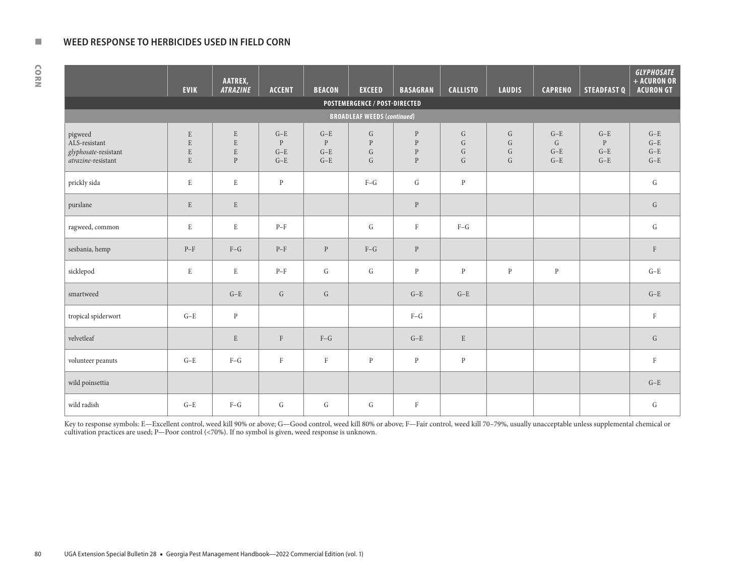#### **NEW WEED RESPONSE TO HERBICIDES USED IN FIELD CORN**

**EVIK AATREX,** *ATRAZINE* **ACCENT BEACON EXCEED BASAGRAN CALLISTO LAUDIS CAPRENO STEADFAST Q** *GLYPHOSATE* **+ ACURON OR ACURON GT POSTEMERGENCE / POST-DIRECTED BROADLEAF WEEDS (***continued***)** pigweed ALS-resistant *glyphosate*-resistant *atrazine*-resistant E E E E  ${\bf E}$ E E P G–E P G–E G–E G–E P G–E G–E G P G G P P P P G G G G G G G G G–E G G–E G–E G–E P G–E G–E G–E G–E G–E G–E prickly sida | E E | E P | F–G | G | P | | | G purslane E E P G ragweed, common E E E E E P–F F E G E E E F–G E E E E G E E E G E E G E E G E E G E E G E G E G E G E sesbania, hemp | P–F | F–G | P–F | P | F–G | P | | | F | F sicklepod E E P–F G G G G P P P P P P G–E smartweed G–E G G G–E G–E G–E tropical spiderwort G–E P F–G F velvetleaf is a second that the second that the second of the second terms is the second terms of the second terms of the second terms of the second terms of the second terms of the second terms of the second terms of the volunteer peanuts G–E F–G F F P P P F wild poinsettia G–E (G–E ) (G–E ) (G–E ) (G–E ) (G–E ) (G–E ) (G–E ) (G–E ) (G–E ) (G–E ) (G–E ) (G–E ) (G–E ) wild radish | G—E | F—G | G | G | G | F | | | G | G

Key to response symbols: E—Excellent control, weed kill 90% or above; G—Good control, weed kill 80% or above; F—Fair control, weed kill 70-79%, usually unacceptable unless supplemental chemical or cultivation practices are used; P—Poor control (<70%). If no symbol is given, weed response is unknown.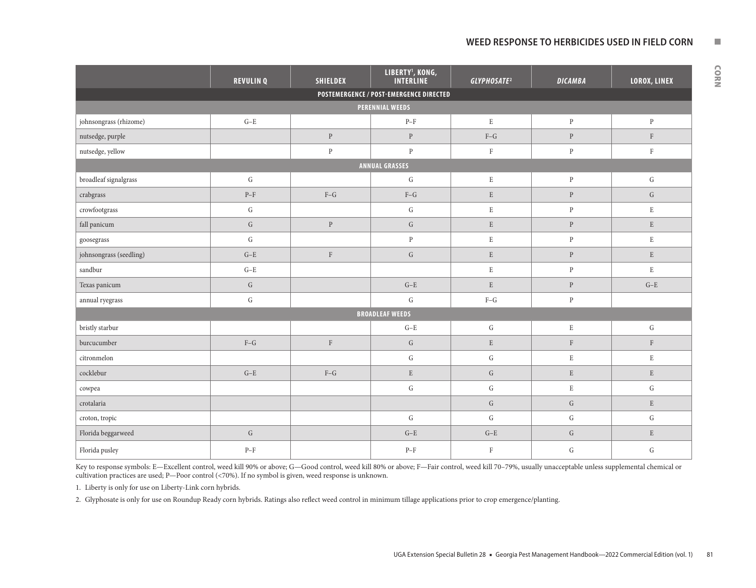## WEED RESPONSE TO HERBICIDES USED IN FIELD CORN **NO LIMITS IN A RESPONSE TO HERBICIDES**

|                         | <b>REVULINQ</b>                                 | <b>SHIELDEX</b> | LIBERTY <sup>1</sup> , KONG,<br><b>INTERLINE</b> | GLYPHOSATE <sup>2</sup> | <b>DICAMBA</b> | LOROX, LINEX |  |  |  |
|-------------------------|-------------------------------------------------|-----------------|--------------------------------------------------|-------------------------|----------------|--------------|--|--|--|
|                         |                                                 |                 | POSTEMERGENCE / POST-EMERGENCE DIRECTED          |                         |                |              |  |  |  |
|                         |                                                 |                 | <b>PERENNIAL WEEDS</b>                           |                         |                |              |  |  |  |
| johnsongrass (rhizome)  | $G-E$                                           |                 | $P-F$                                            | $\mathbf E$             | $\, {\bf p}$   | $\, {\bf p}$ |  |  |  |
| nutsedge, purple        |                                                 | $\, {\bf p}$    | $\mathbf{P}$                                     | $F-G$                   | $\, {\bf P}$   | $\rm F$      |  |  |  |
| nutsedge, yellow        |                                                 | $\, {\bf p}$    | $\, {\bf p}$                                     | $\rm F$                 | ${\bf p}$      | $\rm F$      |  |  |  |
| <b>ANNUAL GRASSES</b>   |                                                 |                 |                                                  |                         |                |              |  |  |  |
| broadleaf signalgrass   | ${\rm G}$                                       |                 | ${\rm G}$                                        | $\mathbf E$             | $\, {\bf p}$   | ${\rm G}$    |  |  |  |
| crabgrass               | $\ensuremath{\mathrm{P}}\ensuremath{\text{-F}}$ | $\mbox{F--G}$   | $F-G$                                            | $\mathbf E$             | $\, {\bf p}$   | ${\rm G}$    |  |  |  |
| crowfootgrass           | ${\rm G}$                                       |                 | ${\rm G}$                                        | $\mathbf E$             | $\, {\bf p}$   | $\mathbf E$  |  |  |  |
| fall panicum            | ${\rm G}$                                       | ${\bf P}$       | ${\rm G}$                                        | $\mathbf E$             | ${\bf P}$      | $\mathbf E$  |  |  |  |
| ${\tt goesegrass}$      | $\mathsf G$                                     |                 | $\mathbf{P}$                                     | $\mathbf E$             | $\, {\bf p}$   | $\mathbf E$  |  |  |  |
| johnsongrass (seedling) | $G-E$                                           | $\mathbf F$     | ${\bf G}$                                        | $\mathbf E$             | ${\bf P}$      | $\mathbf E$  |  |  |  |
| sandbur                 | $G-E$                                           |                 |                                                  | $\mathbf E$             | $\, {\bf p}$   | $\mathbf E$  |  |  |  |
| Texas panicum           | $\mathsf{G}$                                    |                 | $G-E$                                            | $\mathbf E$             | $\, {\bf P}$   | $G-E$        |  |  |  |
| annual ryegrass         | ${\rm G}$                                       |                 | ${\bf G}$                                        | $F-G$                   | $\, {\bf p}$   |              |  |  |  |
|                         |                                                 |                 | <b>BROADLEAF WEEDS</b>                           |                         |                |              |  |  |  |
| bristly starbur         |                                                 |                 | $\mbox{G-E}$                                     | ${\rm G}$               | $\mathbf E$    | ${\rm G}$    |  |  |  |
| burcucumber             | $F-G$                                           | $\mathbf F$     | ${\rm G}$                                        | $\mathbf E$             | $\rm F$        | $\mathbf{F}$ |  |  |  |
| citronmelon             |                                                 |                 | ${\rm G}$                                        | ${\bf G}$               | $\mathbf E$    | $\mathbf E$  |  |  |  |
| cocklebur               | $G-E$                                           | $F-G$           | ${\bf E}$                                        | ${\bf G}$               | $\mathbf E$    | $\mathbf E$  |  |  |  |
| cowpea                  |                                                 |                 | ${\rm G}$                                        | ${\rm G}$               | $\mathbf E$    | $\mathsf G$  |  |  |  |
| crotalaria              |                                                 |                 |                                                  | ${\rm G}$               | ${\rm G}$      | ${\bf E}$    |  |  |  |
| croton, tropic          |                                                 |                 | ${\rm G}$                                        | ${\rm G}$               | ${\rm G}$      | ${\rm G}$    |  |  |  |
| Florida beggarweed      | ${\rm G}$                                       |                 | $\mbox{G-E}$                                     | $\mbox{G-E}$            | ${\bf G}$      | $\mathbf E$  |  |  |  |
| Florida pusley          | $\ensuremath{\mathrm{P}}\ensuremath{\text{-F}}$ |                 | $P-F$                                            | $\rm F$                 | ${\rm G}$      | ${\rm G}$    |  |  |  |

Key to response symbols: E—Excellent control, weed kill 90% or above; G—Good control, weed kill 80% or above; F—Fair control, weed kill 70-79%, usually unacceptable unless supplemental chemical or cultivation practices are used; P—Poor control (<70%). If no symbol is given, weed response is unknown.

1. Liberty is only for use on Liberty-Link corn hybrids.

2. Glyphosate is only for use on Roundup Ready corn hybrids. Ratings also reflect weed control in minimum tillage applications prior to crop emergence/planting.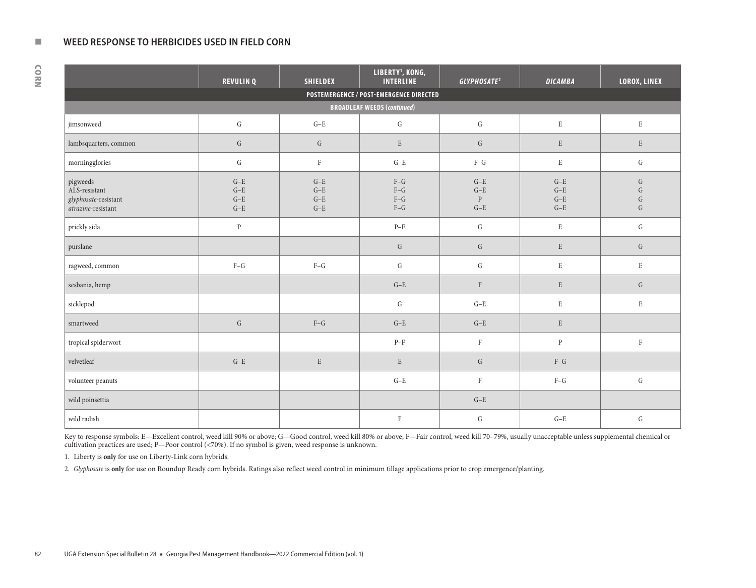#### **NEW WEED RESPONSE TO HERBICIDES USED IN FIELD CORN**

CORN

|                                                                         | <b>REVULINQ</b>                  | <b>SHIELDEX</b>                  | LIBERTY <sup>1</sup> , KONG,<br><b>INTERLINE</b> | GLYPHOSATE <sup>2</sup>                 | <b>DICAMBA</b>                   | LOROX, LINEX                                     |  |  |  |  |
|-------------------------------------------------------------------------|----------------------------------|----------------------------------|--------------------------------------------------|-----------------------------------------|----------------------------------|--------------------------------------------------|--|--|--|--|
|                                                                         |                                  |                                  | POSTEMERGENCE / POST-EMERGENCE DIRECTED          |                                         |                                  |                                                  |  |  |  |  |
| <b>BROADLEAF WEEDS (continued)</b>                                      |                                  |                                  |                                                  |                                         |                                  |                                                  |  |  |  |  |
| jimsonweed                                                              | $\mathsf G$                      | $G-E$                            | ${\rm G}$                                        | ${\rm G}$                               | $\mathbf E$                      | $\mathbf E$                                      |  |  |  |  |
| lambsquarters, common                                                   | ${\rm G}$                        | G                                | ${\bf E}$                                        | ${\rm G}$                               | $\mathbf E$                      | $\mathbf E$                                      |  |  |  |  |
| morningglories                                                          | ${\rm G}$                        | $\rm F$                          | $G-E$                                            | $\mbox{F--G}$                           | $\mathbf E$                      | $\mathbf G$                                      |  |  |  |  |
| pigweeds<br>ALS-resistant<br>glyphosate-resistant<br>atrazine-resistant | $G-E$<br>$G-E$<br>$G-E$<br>$G-E$ | $G-E$<br>$G-E$<br>$G-E$<br>$G-E$ | $F-G$<br>$F-G$<br>$F-G$<br>$F-G$                 | $G-E$<br>$G-E$<br>$\, {\bf p}$<br>$G-E$ | $G-E$<br>$G-E$<br>$G-E$<br>$G-E$ | ${\bf G}$<br>${\bf G}$<br>${\rm G}$<br>${\rm G}$ |  |  |  |  |
| prickly sida                                                            | $\, {\bf p}$                     |                                  | $\ensuremath{\mathrm{P}}\ensuremath{\text{-F}}$  | ${\rm G}$                               | $\mathbf E$                      | ${\rm G}$                                        |  |  |  |  |
| purslane                                                                |                                  |                                  | $\mathsf{G}$                                     | ${\rm G}$                               | $\mathbf E$                      | G                                                |  |  |  |  |
| ragweed, common                                                         | $\mbox{F--G}$                    | $F-G$                            | ${\bf G}$                                        | ${\rm G}$                               | $\mathbf E$                      | $\mathbf E$                                      |  |  |  |  |
| sesbania, hemp                                                          |                                  |                                  | $\mbox{G-E}$                                     | $\rm F$                                 | $\mathbf E$                      | G                                                |  |  |  |  |
| sicklepod                                                               |                                  |                                  | ${\rm G}$                                        | $G-E$                                   | $\mathbf E$                      | $\mathbf E$                                      |  |  |  |  |
| smartweed                                                               | $\mathsf G$                      | $F-G$                            | $G-E$                                            | $G-E$                                   | $\mathbf E$                      |                                                  |  |  |  |  |
| tropical spiderwort                                                     |                                  |                                  | $\ensuremath{\mathrm{P}}\ensuremath{\text{-F}}$  | $\, {\rm F}$                            | $\mathbf{P}$                     | $\mathbf F$                                      |  |  |  |  |
| velvetleaf                                                              | $\mbox{G-E}$                     | $\mathbf E$                      | $\mathbf E$                                      | ${\rm G}$                               | $F-G$                            |                                                  |  |  |  |  |
| volunteer peanuts                                                       |                                  |                                  | $G-E$                                            | $\, {\rm F}$                            | $F-G$                            | ${\bf G}$                                        |  |  |  |  |
| wild poinsettia                                                         |                                  |                                  |                                                  | $\mbox{G-E}$                            |                                  |                                                  |  |  |  |  |
| wild radish                                                             |                                  |                                  | $\rm F$                                          | G                                       | $G-E$                            | ${\bf G}$                                        |  |  |  |  |

Key to response symbols: E—Excellent control, weed kill 90% or above; G—Good control, weed kill 80% or above; F—Fair control, weed kill 70-79%, usually unacceptable unless supplemental chemical or cultivation practices are used; P—Poor control (<70%). If no symbol is given, weed response is unknown.

1. Liberty is **only** for use on Liberty-Link corn hybrids.

2. *Glyphosate* is **only** for use on Roundup Ready corn hybrids. Ratings also reflect weed control in minimum tillage applications prior to crop emergence/planting.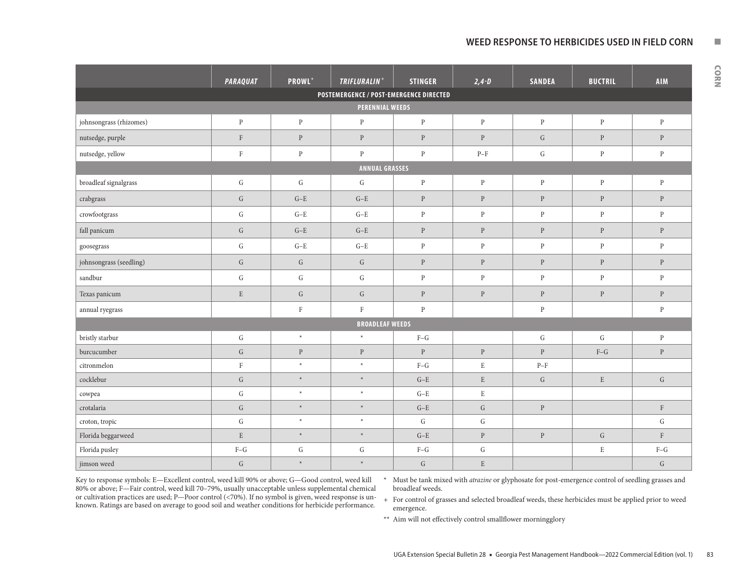## WEED RESPONSE TO HERBICIDES USED IN FIELD CORN **NO**

|                                         | <b>PARAQUAT</b> | PROWL <sup>+</sup> | TRIFLURALIN <sup>+</sup>                | <b>STINGER</b> | $2, 4 - D$   | <b>SANDEA</b> | <b>BUCTRIL</b> | <b>AIM</b>   |  |
|-----------------------------------------|-----------------|--------------------|-----------------------------------------|----------------|--------------|---------------|----------------|--------------|--|
|                                         |                 |                    | POSTEMERGENCE / POST-EMERGENCE DIRECTED |                |              |               |                |              |  |
| PERENNIAL WEEDS                         |                 |                    |                                         |                |              |               |                |              |  |
| johnsongrass (rhizomes)                 | $\, {\bf p}$    | ${\bf P}$          | $\mathbf{P}$                            | $\, {\bf p}$   | $\, {\bf p}$ | $\mathbf{P}$  | $\, {\bf p}$   | $\, {\bf p}$ |  |
| nutsedge, purple                        | $\rm F$         | $\, {\bf p}$       | $\, {\bf p}$                            | $\, {\bf p}$   | $\, {\bf p}$ | ${\bf G}$     | $\, {\bf p}$   | $\, {\bf p}$ |  |
| nutsedge, yellow                        | $\rm F$         | $\, {\bf p}$       | $\, {\bf p}$                            | $\, {\bf p}$   | $P-F$        | ${\bf G}$     | $\, {\bf p}$   | $\, {\bf p}$ |  |
| <b>ANNUAL GRASSES</b>                   |                 |                    |                                         |                |              |               |                |              |  |
| broadleaf signalgrass                   | ${\rm G}$       | G                  | $\mathsf G$                             | $\, {\bf p}$   | $\mathbf{P}$ | $\mathbf{P}$  | $\mathbf{P}$   | $\, {\bf p}$ |  |
| crabgrass                               | ${\rm G}$       | $G-E$              | $G-E$                                   | $\, {\bf p}$   | $\, {\bf p}$ | $\, {\bf P}$  | $\mathbf{P}$   | ${\bf P}$    |  |
| $\footnotesize{\textsf{crowfootgrass}}$ | ${\bf G}$       | $G-E$              | $G-E$                                   | $\, {\bf p}$   | $\, {\bf p}$ | $\, {\bf p}$  | $\, {\bf p}$   | $\mathbf{P}$ |  |
| fall panicum                            | ${\bf G}$       | $\mbox{G-E}$       | $G-E$                                   | $\, {\bf P}$   | $\, {\bf p}$ | $\, {\bf p}$  | $\, {\bf p}$   | $\, {\bf p}$ |  |
| ${\tt goesegrass}$                      | ${\rm G}$       | $G-E$              | $G-E$                                   | $\, {\bf p}$   | $\, {\bf p}$ | $\, {\bf p}$  | $\, {\bf p}$   | $\mathbf{P}$ |  |
| johnsongrass (seedling)                 | ${\bf G}$       | ${\rm G}$          | ${\bf G}$                               | $\, {\bf P}$   | $\, {\bf p}$ | $\, {\bf p}$  | $\mathbf{P}$   | $\, {\bf p}$ |  |
| sandbur                                 | ${\bf G}$       | G                  | G                                       | $\mathbf{P}$   | $\mathbf{P}$ | $\mathbf{P}$  | $\mathbf{P}$   | $\mathbf{P}$ |  |
| Texas panicum                           | $\mathbf E$     | G                  | $\mathsf G$                             | $\, {\bf p}$   | $\, {\bf p}$ | $\, {\bf p}$  | $\mathbf{P}$   | $\, {\bf p}$ |  |
| annual ryegrass                         |                 | $\rm F$            | $\rm F$                                 | $\, {\bf p}$   |              | $\mathbf{P}$  |                | $\mathbf{P}$ |  |
|                                         |                 |                    | <b>BROADLEAF WEEDS</b>                  |                |              |               |                |              |  |
| bristly starbur                         | G               | $\star$            | $\ast$                                  | $F-G$          |              | G             | G              | $\mathbf{P}$ |  |
| burcucumber                             | ${\bf G}$       | $\mathbf{P}$       | $\, {\bf p}$                            | $\mathbf{P}$   | $\mathbf{P}$ | $\mathbf{P}$  | $F-G$          | $\mathbf{P}$ |  |
| citronmelon                             | $\rm F$         | $\star$            | $\ast$                                  | $F-G$          | $\mathbf E$  | $P-F$         |                |              |  |
| cocklebur                               | ${\bf G}$       | $\star$            | $\ast$                                  | $G-E$          | $\mathbf E$  | ${\rm G}$     | $\mathbf E$    | ${\bf G}$    |  |
| cowpea                                  | ${\bf G}$       | $\ast$             | $\star$                                 | $G-E$          | $\mathbf E$  |               |                |              |  |
| crotalaria                              | ${\bf G}$       | $\star$            | $\star$                                 | $G-E$          | ${\bf G}$    | $\mathbf{P}$  |                | $\rm F$      |  |
| croton, tropic                          | ${\rm G}$       | $\star$            | $\star$                                 | ${\bf G}$      | ${\rm G}$    |               |                | ${\rm G}$    |  |
| Florida beggarweed                      | ${\bf E}$       | $\star$            | $\star$                                 | $G-E$          | $\, {\bf p}$ | $\, {\bf p}$  | ${\rm G}$      | $\mathbf F$  |  |
| Florida pusley                          | $F-G$           | ${\rm G}$          | ${\rm G}$                               | $F-G$          | ${\bf G}$    |               | $\mathbf E$    | $F-G$        |  |
| jimson weed                             | ${\bf G}$       | $\star$            | $\star$                                 | ${\rm G}$      | ${\bf E}$    |               |                | ${\bf G}$    |  |

Key to response symbols: E—Excellent control, weed kill 90% or above; G—Good control, weed kill 80% or above; F—Fair control, weed kill 70–79%, usually unacceptable unless supplemental chemical or cultivation practices are used; P—Poor control (<70%). If no symbol is given, weed response is unknown. Ratings are based on average to good soil and weather conditions for herbicide performance.

\* Must be tank mixed with *atrazine* or glyphosate for post-emergence control of seedling grasses and broadleaf weeds.

+ For control of grasses and selected broadleaf weeds, these herbicides must be applied prior to weed emergence.

\*\* Aim will not effectively control smallflower morningglory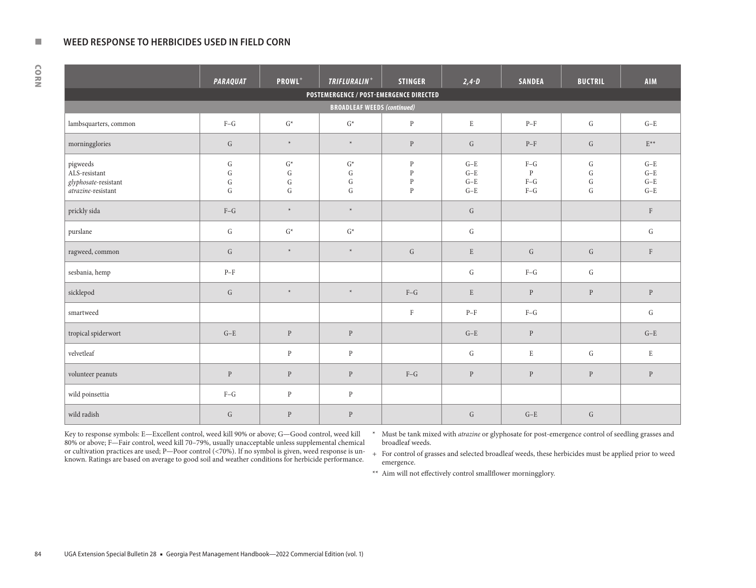#### **NEW WEED RESPONSE TO HERBICIDES USED IN FIELD CORN**

| 정도 시     |    |  |
|----------|----|--|
|          | ٠  |  |
| I<br>. . | ۹  |  |
|          | ۰, |  |

|                                                                                  | <b>PARAQUAT</b>                                  | PROWL <sup>+</sup>                               | TRIFLURALIN <sup>+</sup>                     | <b>STINGER</b>                                               | $2,4 - D$                        | <b>SANDEA</b>                                                          | <b>BUCTRIL</b>                                   | <b>AIM</b>                       |  |  |
|----------------------------------------------------------------------------------|--------------------------------------------------|--------------------------------------------------|----------------------------------------------|--------------------------------------------------------------|----------------------------------|------------------------------------------------------------------------|--------------------------------------------------|----------------------------------|--|--|
|                                                                                  | POSTEMERGENCE / POST-EMERGENCE DIRECTED          |                                                  |                                              |                                                              |                                  |                                                                        |                                                  |                                  |  |  |
| <b>BROADLEAF WEEDS (continued)</b>                                               |                                                  |                                                  |                                              |                                                              |                                  |                                                                        |                                                  |                                  |  |  |
| lambsquarters, common                                                            | $F-G$                                            | $\mathsf{G}^\ast$                                | $\mathsf{G}^\star$                           | $\mathbf{P}$                                                 | $\mathbf E$                      | $\ensuremath{\mathrm{P}}\xspace\text{-}\ensuremath{\mathrm{F}}\xspace$ | G                                                | $G-E$                            |  |  |
| morningglories                                                                   | G                                                | $\ast$                                           | $\ast$                                       | $\, {\bf p}$                                                 | $\mathsf G$                      | $P-F$                                                                  | $\mathsf G$                                      | $\mathrm{E}^{\star\star}$        |  |  |
| pigweeds<br>$\mbox{ALS-resistant}$<br>glyphosate-resistant<br>atrazine-resistant | ${\rm G}$<br>${\rm G}$<br>${\rm G}$<br>${\rm G}$ | $\mathsf{G}^\ast$<br>${\bf G}$<br>G<br>${\rm G}$ | $G^*$<br>${\rm G}$<br>${\bf G}$<br>${\rm G}$ | $\, {\bf p}$<br>$\, {\bf p}$<br>$\, {\bf p}$<br>$\mathbf{P}$ | $G-E$<br>$G-E$<br>$G-E$<br>$G-E$ | $\mbox{F--G}$<br>$\mathbf{P}$<br>$F-G$<br>$\mbox{F--G}$                | ${\rm G}$<br>${\rm G}$<br>${\rm G}$<br>${\rm G}$ | $G-E$<br>$G-E$<br>$G-E$<br>$G-E$ |  |  |
| prickly sida                                                                     | $F-G$                                            | $\star$                                          | $\ast$                                       |                                                              | G                                |                                                                        |                                                  | $\rm F$                          |  |  |
| purslane                                                                         | G                                                | $\mathsf{G}^\star$                               | $\mathsf{G}^\star$                           |                                                              | ${\rm G}$                        |                                                                        |                                                  | G                                |  |  |
| ragweed, common                                                                  | G                                                | $\star$                                          | $\star$                                      | $\mathsf G$                                                  | ${\bf E}$                        | ${\rm G}$                                                              | G                                                | $\mathbf{F}$                     |  |  |
| sesbania, hemp                                                                   | $P-F$                                            |                                                  |                                              |                                                              | G                                | $F-G$                                                                  | G                                                |                                  |  |  |
| sicklepod                                                                        | G                                                | $\star$                                          | $\ast$                                       | $F-G$                                                        | $\mathbf E$                      | $\, {\bf p}$                                                           | $\mathbf{P}$                                     | $\, {\bf p}$                     |  |  |
| smartweed                                                                        |                                                  |                                                  |                                              | $\rm F$                                                      | $P-F$                            | $F-G$                                                                  |                                                  | G                                |  |  |
| tropical spiderwort                                                              | $\mbox{G-E}$                                     | $\, {\bf p}$                                     | $\mathbf{P}$                                 |                                                              | $G-E$                            | $\, {\bf p}$                                                           |                                                  | $G-E$                            |  |  |
| velvetleaf                                                                       |                                                  | $\mathbf{P}$                                     | $\mathbf{P}$                                 |                                                              | ${\rm G}$                        | $\mathbf E$                                                            | ${\rm G}$                                        | $\mathbf E$                      |  |  |
| volunteer peanuts                                                                | $\mathbf{P}$                                     | $\, {\bf p}$                                     | $\mathbf{P}$                                 | $F-G$                                                        | $\, {\bf p}$                     | $\, {\bf p}$                                                           | $\mathbf{P}$                                     | $\mathbf{P}$                     |  |  |
| wild poinsettia                                                                  | $F-G$                                            | $\, {\bf p}$                                     | $\mathbf{P}$                                 |                                                              |                                  |                                                                        |                                                  |                                  |  |  |
| wild radish                                                                      | ${\rm G}$                                        | $\mathbf{P}$                                     | $\mathbf{P}$                                 |                                                              | ${\rm G}$                        | $G-E$                                                                  | ${\rm G}$                                        |                                  |  |  |

Key to response symbols: E—Excellent control, weed kill 90% or above; G—Good control, weed kill 80% or above; F—Fair control, weed kill 70–79%, usually unacceptable unless supplemental chemical or cultivation practices are used; P—Poor control (<70%). If no symbol is given, weed response is unknown. Ratings are based on average to good soil and weather conditions for herbicide performance.

\* Must be tank mixed with *atrazine* or glyphosate for post-emergence control of seedling grasses and broadleaf weeds.

+ For control of grasses and selected broadleaf weeds, these herbicides must be applied prior to weed emergence.

\*\* Aim will not effectively control smallflower morningglory.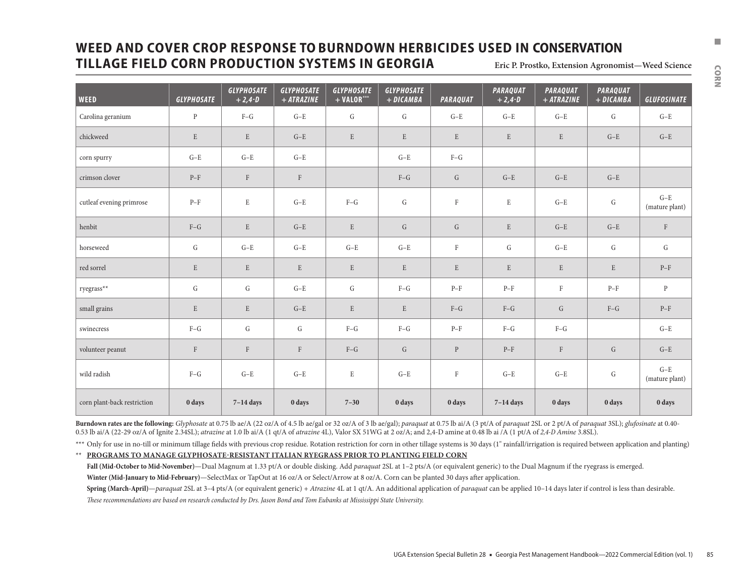# **WEED AND COVER CROP RESPONSE TO BURNDOWN HERBICIDES USED IN CONSERVATION**  $\blacksquare$ **TILLAGE FIELD CORN PRODUCTION SYSTEMS IN GEORGIA**

| Eric P. Prostko, Extension Agronomist-Weed Science |  |
|----------------------------------------------------|--|
|----------------------------------------------------|--|

| <b>WEED</b>                 | <b>GLYPHOSATE</b> | <b>GLYPHOSATE</b><br>$+2,4-0$ | <b>GLYPHOSATE</b><br>$+ ATRAZINE$ | <b>GLYPHOSATE</b><br>$+$ VALOR*** | <b>GLYPHOSATE</b><br>+ DICAMBA | <b>PARAQUAT</b> | <b>PARAQUAT</b><br>$+2,4-0$ | <b>PARAQUAT</b><br>$+ ATRAZINE$ | <b>PARAQUAT</b><br>+ DICAMBA | <b>GLUFOSINATE</b>                              |
|-----------------------------|-------------------|-------------------------------|-----------------------------------|-----------------------------------|--------------------------------|-----------------|-----------------------------|---------------------------------|------------------------------|-------------------------------------------------|
| Carolina geranium           | $\mathbf{P}$      | $F-G$                         | $G-E$                             | G                                 | G                              | $G-E$           | $G-E$                       | $G-E$                           | G                            | $G-E$                                           |
| chickweed                   | $\mathbf E$       | $\,$ E                        | $G-E$                             | ${\bf E}$                         | E                              | $\mathbf E$     | $\mathbf E$                 | E                               | $G-E$                        | $G-E$                                           |
| corn spurry                 | $G-E$             | $G-E$                         | $G-E$                             |                                   | $G-E$                          | $F-G$           |                             |                                 |                              |                                                 |
| crimson clover              | $P-F$             | $\rm F$                       | $\mathbf{F}$                      |                                   | $F-G$                          | G               | $G-E$                       | $G-E$                           | $G-E$                        |                                                 |
| cutleaf evening primrose    | $P-F$             | $\mathbf E$                   | $G-E$                             | $F-G$                             | G                              | $\rm F$         | $\mathbf E$                 | $G-E$                           | ${\rm G}$                    | $G-E$<br>(mature plant)                         |
| henbit                      | $F-G$             | $\mathbf E$                   | $G-E$                             | $\mathbf E$                       | $\mathsf G$                    | G               | ${\bf E}$                   | $G-E$                           | $G-E$                        | $\rm F$                                         |
| horseweed                   | G                 | $G-E$                         | $G-E$                             | $G-E$                             | $G-E$                          | $\rm F$         | G                           | $G-E$                           | G                            | G                                               |
| red sorrel                  | $\mathbf E$       | E                             | E                                 | $\mathbf E$                       | E                              | E               | $\mathbf E$                 | E                               | E                            | $P-F$                                           |
| ryegrass**                  | G                 | G                             | $G-E$                             | G                                 | $F-G$                          | $P-F$           | $P-F$                       | $\mathbf{F}$                    | $P-F$                        | $\, {\bf p}$                                    |
| small grains                | $\mathbf E$       | $\mathbf E$                   | $G-E$                             | ${\bf E}$                         | E                              | $F-G$           | $F-G$                       | G                               | $F-G$                        | $\ensuremath{\mathrm{P}}\ensuremath{\text{-F}}$ |
| swinecress                  | $F-G$             | G                             | G                                 | $F-G$                             | $F-G$                          | $P-F$           | $F-G$                       | $F-G$                           |                              | $G-E$                                           |
| volunteer peanut            | $\rm F$           | $\rm F$                       | $\rm F$                           | $F-G$                             | $\mathsf G$                    | $\mathbf{P}$    | $P-F$                       | $\rm F$                         | $\mathsf{G}$                 | $G-E$                                           |
| wild radish                 | $F-G$             | $G-E$                         | $G-E$                             | E                                 | $G-E$                          | $\rm F$         | $G-E$                       | $G-E$                           | ${\rm G}$                    | $G-E$<br>(mature plant)                         |
| corn plant-back restriction | 0 days            | $7-14$ days                   | 0 days                            | $7 - 30$                          | 0 days                         | 0 days          | $7-14$ days                 | 0 days                          | 0 days                       | 0 days                                          |

Burndown rates are the following: Glyphosate at 0.75 lb ae/A (22 oz/A of 4.5 lb ae/gal or 32 oz/A of 3 lb ae/gal); paraquat at 0.75 lb ai/A (3 pt/A of paraquat 2SL or 2 pt/A of paraquat 3SL); glufosinate at 0.40-0.53 lb ai/A (22-29 oz/A of Ignite 2.34SL); *atrazine* at 1.0 lb ai/A (1 qt/A of *atrazine* 4L), Valor SX 51WG at 2 oz/A; and 2,4-D amine at 0.48 lb ai /A (1 pt/A of *2,4-D Amine* 3.8SL).

\*\*\* Only for use in no-till or minimum tillage fields with previous crop residue. Rotation restriction for corn in other tillage systems is 30 days (1" rainfall/irrigation is required between application and planting)

\*\* **PROGRAMS TO MANAGE GLYPHOSATE-RESISTANT ITALIAN RYEGRASS PRIOR TO PLANTING FIELD CORN**

**Fall (Mid-October to Mid-November)**—Dual Magnum at 1.33 pt/A or double disking. Add *paraquat* 2SL at 1–2 pts/A (or equivalent generic) to the Dual Magnum if the ryegrass is emerged.

Winter (Mid-January to Mid-February)—SelectMax or TapOut at 16 oz/A or Select/Arrow at 8 oz/A. Corn can be planted 30 days after application.

Spring (March-April)—paraquat 2SL at 3-4 pts/A (or equivalent generic) + Atrazine 4L at 1 qt/A. An additional application of paraquat can be applied 10-14 days later if control is less than desirable. *These recommendations are based on research conducted by Drs. Jason Bond and Tom Eubanks at Mississippi State University.*

CORN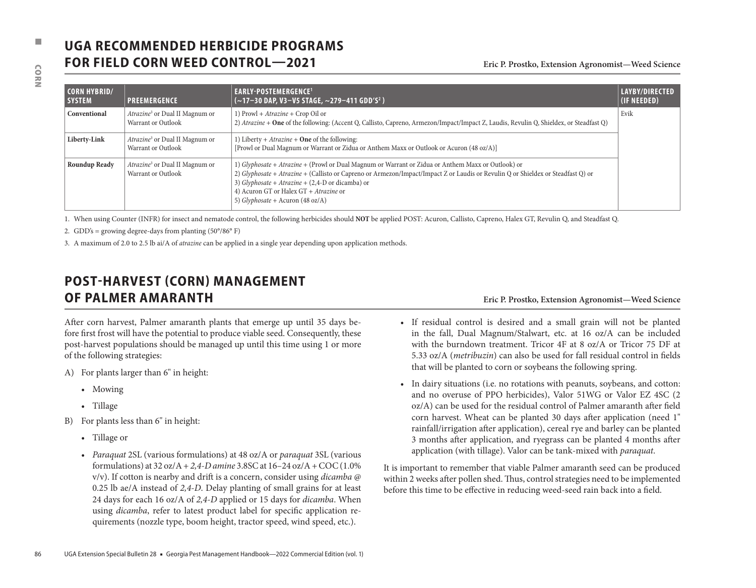# **UGA RECOMMENDED HERBICIDE PROGRAMS FOR FIELD CORN WEED CONTROL—2021** Eric P. Prostko, Extension Agronomist—Weed Science

| <b>SYSTEM</b>                | PREEMERGENCE                                                            | EARLY-POSTEMERGENCE <sup>1</sup><br>(~17-30 DAP, V3-V5 STAGE, ~279-411 GDD'S <sup>2</sup> )                                                                                                                                                                                                                                                                                                                                                                                                                                                                        |                                                                                                                                                                                                                                                                                                                                                                                                                               | LAYBY/DIRECTED<br>(IF NEEDED) |  |  |  |
|------------------------------|-------------------------------------------------------------------------|--------------------------------------------------------------------------------------------------------------------------------------------------------------------------------------------------------------------------------------------------------------------------------------------------------------------------------------------------------------------------------------------------------------------------------------------------------------------------------------------------------------------------------------------------------------------|-------------------------------------------------------------------------------------------------------------------------------------------------------------------------------------------------------------------------------------------------------------------------------------------------------------------------------------------------------------------------------------------------------------------------------|-------------------------------|--|--|--|
| Conventional                 | Atrazine <sup>3</sup> or Dual II Magnum or<br><b>Warrant or Outlook</b> | 1) Prowl + Atrazine + Crop Oil or                                                                                                                                                                                                                                                                                                                                                                                                                                                                                                                                  | 2) Atrazine + One of the following: (Accent Q, Callisto, Capreno, Armezon/Impact/Impact Z, Laudis, Revulin Q, Shieldex, or Steadfast Q)                                                                                                                                                                                                                                                                                       | Evik                          |  |  |  |
| Liberty-Link                 | <i>Atrazine</i> <sup>3</sup> or Dual II Magnum or<br>Warrant or Outlook | 1) Liberty + $A\text{}trazine + \text{One}$ of the following:<br>[Prowl or Dual Magnum or Warrant or Zidua or Anthem Maxx or Outlook or Acuron (48 oz/A)]                                                                                                                                                                                                                                                                                                                                                                                                          |                                                                                                                                                                                                                                                                                                                                                                                                                               |                               |  |  |  |
| <b>Roundup Ready</b>         | Atrazine <sup>3</sup> or Dual II Magnum or<br>Warrant or Outlook        | 3) Glyphosate + Atrazine + $(2,4-D)$ or dicamba) or<br>4) Acuron GT or Halex GT + Atrazine or<br>5) Glyphosate + Acuron (48 oz/A)                                                                                                                                                                                                                                                                                                                                                                                                                                  | 1) Glyphosate + Atrazine + (Prowl or Dual Magnum or Warrant or Zidua or Anthem Maxx or Outlook) or<br>2) Glyphosate + Atrazine + (Callisto or Capreno or Armezon/Impact/Impact Z or Laudis or Revulin Q or Shieldex or Steadfast Q) or<br>1. When using Counter (INFR) for insect and nematode control, the following herbicides should NOT be applied POST: Acuron, Callisto, Capreno, Halex GT, Revulin Q, and Steadfast Q. |                               |  |  |  |
| of the following strategies: | <b>POST-HARVEST (CORN) MANAGEMENT</b><br>OF PALMER AMARANTH             | After corn harvest, Palmer amaranth plants that emerge up until 35 days be-<br>fore first frost will have the potential to produce viable seed. Consequently, these<br>post-harvest populations should be managed up until this time using 1 or more                                                                                                                                                                                                                                                                                                               | Eric P. Prostko, Extension Agronomist-Weed Science<br>· If residual control is desired and a small grain will not be planted<br>in the fall, Dual Magnum/Stalwart, etc. at 16 oz/A can be included<br>with the burndown treatment. Tricor 4F at 8 oz/A or Tricor 75 DF at                                                                                                                                                     |                               |  |  |  |
|                              |                                                                         |                                                                                                                                                                                                                                                                                                                                                                                                                                                                                                                                                                    |                                                                                                                                                                                                                                                                                                                                                                                                                               |                               |  |  |  |
|                              | For plants larger than 6" in height:                                    |                                                                                                                                                                                                                                                                                                                                                                                                                                                                                                                                                                    | 5.33 oz/A (metribuzin) can also be used for fall residual control in fields<br>that will be planted to corn or soybeans the following spring.                                                                                                                                                                                                                                                                                 |                               |  |  |  |
| A)<br>• Mowing               |                                                                         |                                                                                                                                                                                                                                                                                                                                                                                                                                                                                                                                                                    | • In dairy situations (i.e. no rotations with peanuts, soybeans, and cotton:                                                                                                                                                                                                                                                                                                                                                  |                               |  |  |  |
| • Tillage                    |                                                                         |                                                                                                                                                                                                                                                                                                                                                                                                                                                                                                                                                                    | and no overuse of PPO herbicides), Valor 51WG or Valor EZ 4SC (2<br>oz/A) can be used for the residual control of Palmer amaranth after field                                                                                                                                                                                                                                                                                 |                               |  |  |  |
|                              | For plants less than 6" in height:                                      |                                                                                                                                                                                                                                                                                                                                                                                                                                                                                                                                                                    | corn harvest. Wheat can be planted 30 days after application (need 1"                                                                                                                                                                                                                                                                                                                                                         |                               |  |  |  |
| • Tillage or                 |                                                                         |                                                                                                                                                                                                                                                                                                                                                                                                                                                                                                                                                                    | rainfall/irrigation after application), cereal rye and barley can be planted<br>3 months after application, and ryegrass can be planted 4 months after<br>application (with tillage). Valor can be tank-mixed with paraquat.                                                                                                                                                                                                  |                               |  |  |  |
| B)                           |                                                                         | • Paraquat 2SL (various formulations) at 48 oz/A or paraquat 3SL (various<br>formulations) at 32 oz/A + 2,4-D amine 3.8SC at $16-24$ oz/A + COC (1.0%<br>v/v). If cotton is nearby and drift is a concern, consider using <i>dicamba</i> @<br>0.25 lb ae/A instead of 2,4-D. Delay planting of small grains for at least<br>24 days for each 16 oz/A of 2,4-D applied or 15 days for <i>dicamba</i> . When<br>using dicamba, refer to latest product label for specific application re-<br>quirements (nozzle type, boom height, tractor speed, wind speed, etc.). | It is important to remember that viable Palmer amaranth seed can be produced<br>within 2 weeks after pollen shed. Thus, control strategies need to be implemented<br>before this time to be effective in reducing weed-seed rain back into a field.                                                                                                                                                                           |                               |  |  |  |

# **POST-HARVEST (CORN) MANAGEMENT OF PALMER AMARANTH Eric P. Prostko, Extension Agronomist—Weed Science**

- A) For plants larger than 6" in height:
	- Mowing
	- Tillage
- B) For plants less than 6" in height:
	- Tillage or
	- *Paraquat* 2SL (various formulations) at 48 oz/A or *paraquat* 3SL (various formulations) at 32 oz/A + *2,4-D amine* 3.8SC at 16–24 oz/A + COC (1.0% v/v). If cotton is nearby and drift is a concern, consider using *dicamba* @ 0.25 lb ae/A instead of *2,4-D*. Delay planting of small grains for at least 24 days for each 16 oz/A of *2,4-D* applied or 15 days for *dicamba*. When using *dicamba*, refer to latest product label for specific application requirements (nozzle type, boom height, tractor speed, wind speed, etc.).

- If residual control is desired and a small grain will not be planted in the fall, Dual Magnum/Stalwart, etc. at 16 oz/A can be included with the burndown treatment. Tricor 4F at 8 oz/A or Tricor 75 DF at 5.33 oz/A (*metribuzin*) can also be used for fall residual control in fields that will be planted to corn or soybeans the following spring.
- In dairy situations (i.e. no rotations with peanuts, soybeans, and cotton: and no overuse of PPO herbicides), Valor 51WG or Valor EZ 4SC (2 oz/A) can be used for the residual control of Palmer amaranth after field corn harvest. Wheat can be planted 30 days after application (need 1" rainfall/irrigation after application), cereal rye and barley can be planted 3 months after application, and ryegrass can be planted 4 months after application (with tillage). Valor can be tank-mixed with *paraquat*.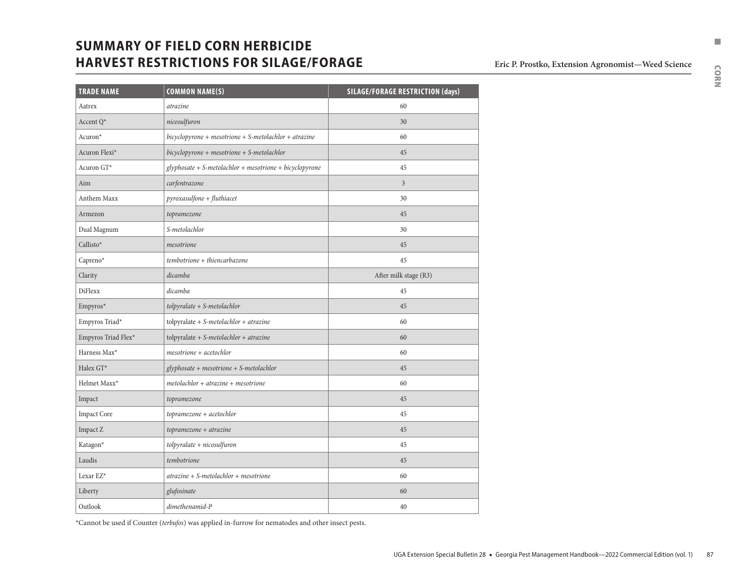# **SUMMARY OF FIELD CORN HERBICIDE No. 2020 12:30 THE SUMMARY OF FIELD CORN HERBICIDE HARVEST RESTRICTIONS FOR SILAGE/FORAGE** Eric P. Prostko, Extension Agronomist—Weed Science

| <b>TRADE NAME</b>   | <b>COMMON NAME(S)</b>                                     | <b>SILAGE/FORAGE RESTRICTION (days)</b> |
|---------------------|-----------------------------------------------------------|-----------------------------------------|
| Aatrex              | atrazine                                                  | 60                                      |
| Accent Q*           | nicosulfuron                                              | 30                                      |
| Acuron*             | $bicyclopyrone + mesotrione + S-metolachlor + atrazine$   | 60                                      |
| Acuron Flexi*       | bicyclopyrone + mesotrione + S-metolachlor                | 45                                      |
| Acuron GT*          | $glyphosate + S-metolachlor + mesotrione + bicyclopyrone$ | 45                                      |
| Aim                 | carfentrazone                                             | $\overline{3}$                          |
| <b>Anthem Maxx</b>  | $pyroxasulfone + fluthiacet$                              | 30                                      |
| Armezon             | topramezone                                               | 45                                      |
| Dual Magnum         | S-metolachlor                                             | 30                                      |
| Callisto*           | mesotrione                                                | 45                                      |
| Capreno*            | tembotrione + thiencarbazone                              | 45                                      |
| Clarity             | dicamba                                                   | After milk stage (R3)                   |
| <b>DiFlexx</b>      | dicamba                                                   | 45                                      |
| Empyros*            | $tolpyr a late + S-metolachlor$                           | 45                                      |
| Empyros Triad*      | tolpyralate + $S$ -metolachlor + atrazine                 | 60                                      |
| Empyros Triad Flex* | $tolpyr$ alate + S-metolachlor + atrazine                 | 60                                      |
| Harness Max*        | $mesotrione + acetochlor$                                 | 60                                      |
| Halex GT*           | $glyphosate + mesotrione + S-metolachlor$                 | 45                                      |
| Helmet Maxx*        | $metolachlor + atrazine + mesotrione$                     | 60                                      |
| Impact              | topramezone                                               | 45                                      |
| <b>Impact Core</b>  | topramezone + acetochlor                                  | 45                                      |
| Impact Z            | $topramezone + atrazine$                                  | 45                                      |
| Katagon*            | $to$ lpyralate + nicosulfuron                             | 45                                      |
| Laudis              | tembotrione                                               | 45                                      |
| Lexar EZ*           | $\alpha$ trazine + S-metolachlor + mesotrione             | 60                                      |
| Liberty             | glufosinate                                               | 60                                      |
| Outlook             | dimethenamid-P                                            | 40                                      |

\*Cannot be used if Counter (*terbufos*) was applied in-furrow for nematodes and other insect pests.